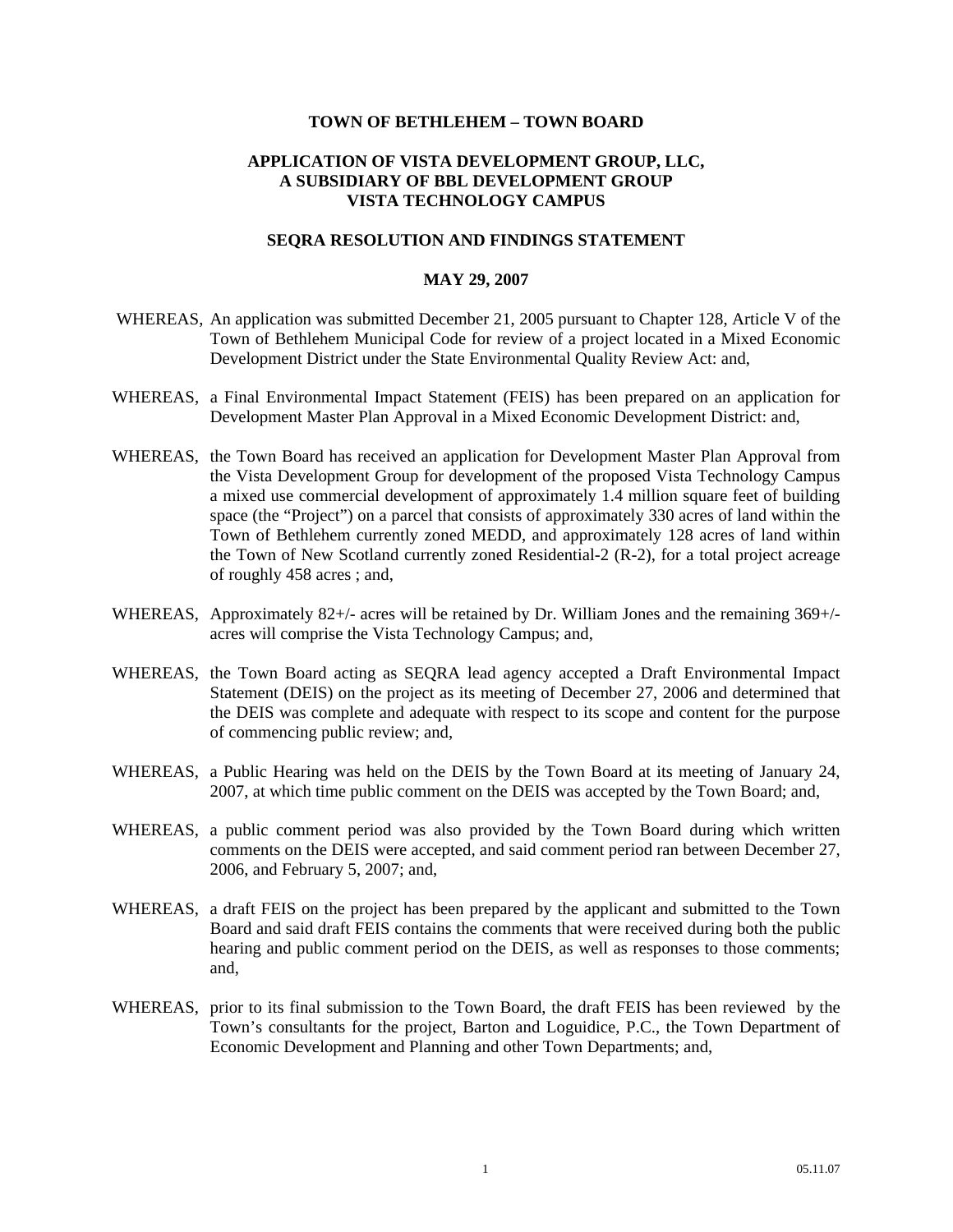#### **TOWN OF BETHLEHEM – TOWN BOARD**

#### **APPLICATION OF VISTA DEVELOPMENT GROUP, LLC, A SUBSIDIARY OF BBL DEVELOPMENT GROUP VISTA TECHNOLOGY CAMPUS**

#### **SEQRA RESOLUTION AND FINDINGS STATEMENT**

#### **MAY 29, 2007**

- WHEREAS, An application was submitted December 21, 2005 pursuant to Chapter 128, Article V of the Town of Bethlehem Municipal Code for review of a project located in a Mixed Economic Development District under the State Environmental Quality Review Act: and,
- WHEREAS, a Final Environmental Impact Statement (FEIS) has been prepared on an application for Development Master Plan Approval in a Mixed Economic Development District: and,
- WHEREAS, the Town Board has received an application for Development Master Plan Approval from the Vista Development Group for development of the proposed Vista Technology Campus a mixed use commercial development of approximately 1.4 million square feet of building space (the "Project") on a parcel that consists of approximately 330 acres of land within the Town of Bethlehem currently zoned MEDD, and approximately 128 acres of land within the Town of New Scotland currently zoned Residential-2 (R-2), for a total project acreage of roughly 458 acres ; and,
- WHEREAS, Approximately 82+/- acres will be retained by Dr. William Jones and the remaining 369+/ acres will comprise the Vista Technology Campus; and,
- WHEREAS, the Town Board acting as SEQRA lead agency accepted a Draft Environmental Impact Statement (DEIS) on the project as its meeting of December 27, 2006 and determined that the DEIS was complete and adequate with respect to its scope and content for the purpose of commencing public review; and,
- WHEREAS, a Public Hearing was held on the DEIS by the Town Board at its meeting of January 24, 2007, at which time public comment on the DEIS was accepted by the Town Board; and,
- WHEREAS, a public comment period was also provided by the Town Board during which written comments on the DEIS were accepted, and said comment period ran between December 27, 2006, and February 5, 2007; and,
- WHEREAS, a draft FEIS on the project has been prepared by the applicant and submitted to the Town Board and said draft FEIS contains the comments that were received during both the public hearing and public comment period on the DEIS, as well as responses to those comments; and,
- WHEREAS, prior to its final submission to the Town Board, the draft FEIS has been reviewed by the Town's consultants for the project, Barton and Loguidice, P.C., the Town Department of Economic Development and Planning and other Town Departments; and,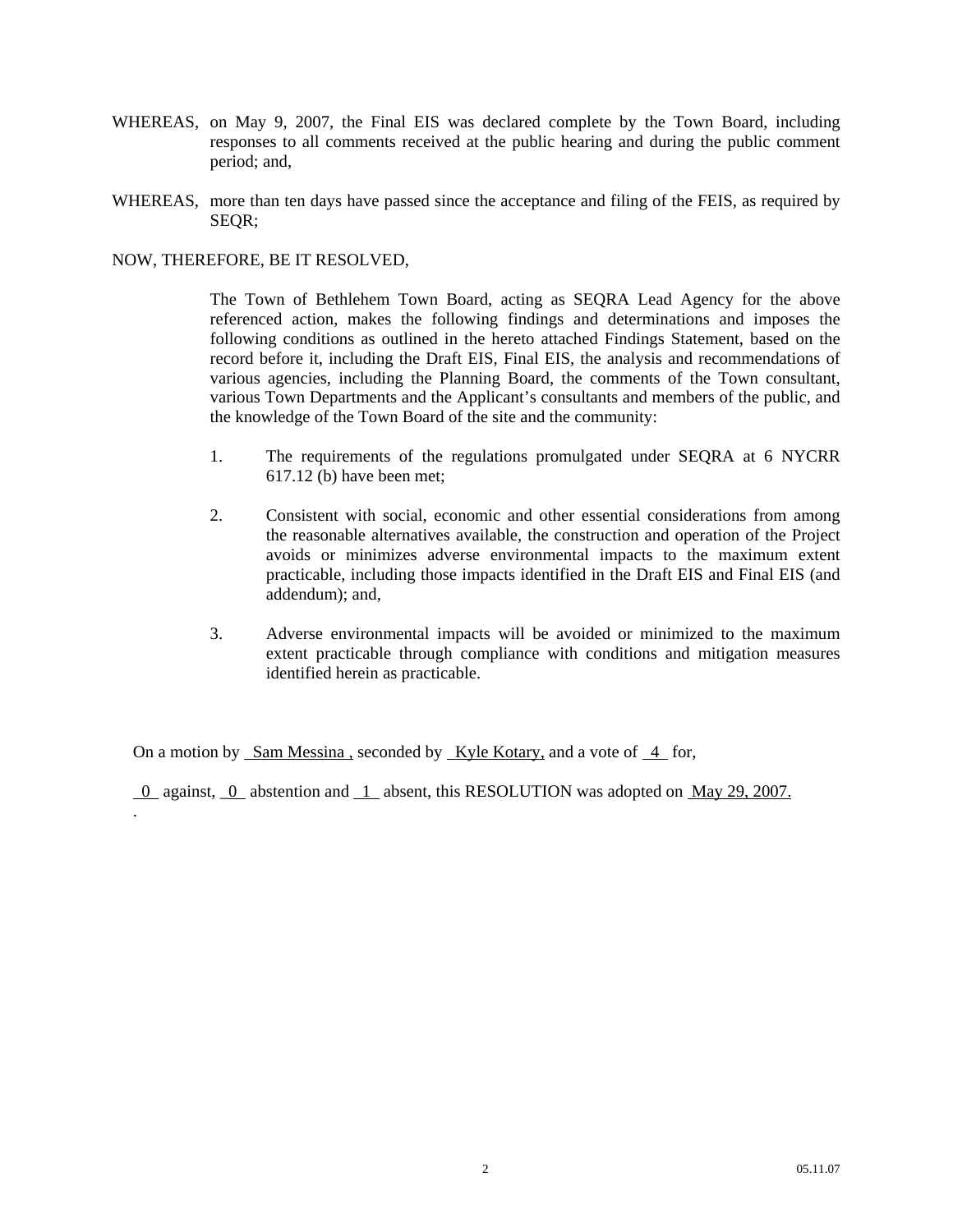- WHEREAS, on May 9, 2007, the Final EIS was declared complete by the Town Board, including responses to all comments received at the public hearing and during the public comment period; and,
- WHEREAS, more than ten days have passed since the acceptance and filing of the FEIS, as required by SEQR;

#### NOW, THEREFORE, BE IT RESOLVED,

.

 The Town of Bethlehem Town Board, acting as SEQRA Lead Agency for the above referenced action, makes the following findings and determinations and imposes the following conditions as outlined in the hereto attached Findings Statement, based on the record before it, including the Draft EIS, Final EIS, the analysis and recommendations of various agencies, including the Planning Board, the comments of the Town consultant, various Town Departments and the Applicant's consultants and members of the public, and the knowledge of the Town Board of the site and the community:

- 1. The requirements of the regulations promulgated under SEQRA at 6 NYCRR 617.12 (b) have been met;
- 2. Consistent with social, economic and other essential considerations from among the reasonable alternatives available, the construction and operation of the Project avoids or minimizes adverse environmental impacts to the maximum extent practicable, including those impacts identified in the Draft EIS and Final EIS (and addendum); and,
- 3. Adverse environmental impacts will be avoided or minimized to the maximum extent practicable through compliance with conditions and mitigation measures identified herein as practicable.

On a motion by Sam Messina, seconded by Kyle Kotary, and a vote of  $\overline{4}$  for,

0 against, \_0 abstention and 1 absent, this RESOLUTION was adopted on May 29, 2007.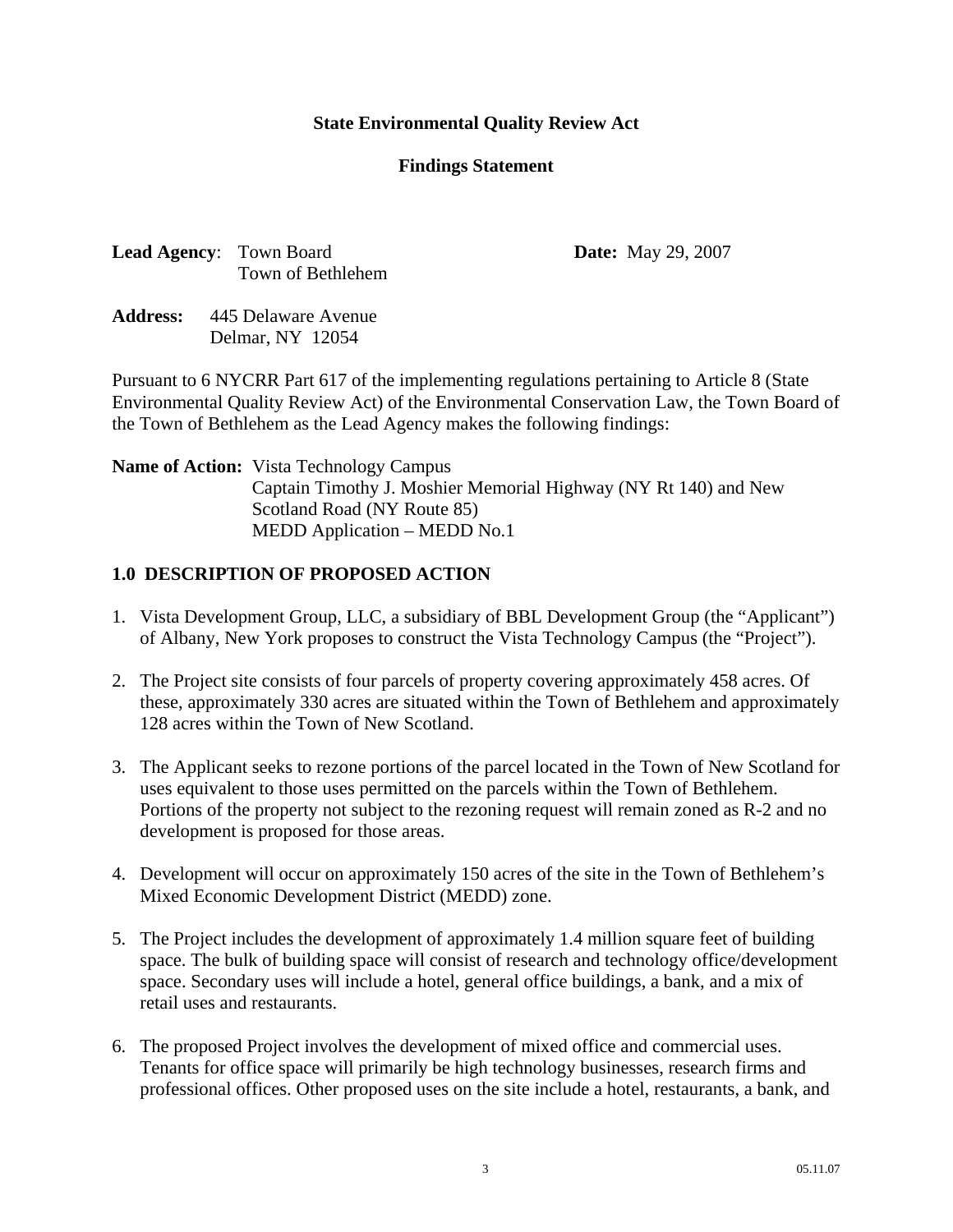### **State Environmental Quality Review Act**

#### **Findings Statement**

**Lead Agency:** Town Board **Date:** May 29, 2007 Town of Bethlehem

**Address:** 445 Delaware Avenue Delmar, NY 12054

Pursuant to 6 NYCRR Part 617 of the implementing regulations pertaining to Article 8 (State Environmental Quality Review Act) of the Environmental Conservation Law, the Town Board of the Town of Bethlehem as the Lead Agency makes the following findings:

**Name of Action:** Vista Technology Campus Captain Timothy J. Moshier Memorial Highway (NY Rt 140) and New Scotland Road (NY Route 85) MEDD Application – MEDD No.1

### **1.0 DESCRIPTION OF PROPOSED ACTION**

- 1. Vista Development Group, LLC, a subsidiary of BBL Development Group (the "Applicant") of Albany, New York proposes to construct the Vista Technology Campus (the "Project").
- 2. The Project site consists of four parcels of property covering approximately 458 acres. Of these, approximately 330 acres are situated within the Town of Bethlehem and approximately 128 acres within the Town of New Scotland.
- 3. The Applicant seeks to rezone portions of the parcel located in the Town of New Scotland for uses equivalent to those uses permitted on the parcels within the Town of Bethlehem. Portions of the property not subject to the rezoning request will remain zoned as R-2 and no development is proposed for those areas.
- 4. Development will occur on approximately 150 acres of the site in the Town of Bethlehem's Mixed Economic Development District (MEDD) zone.
- 5. The Project includes the development of approximately 1.4 million square feet of building space. The bulk of building space will consist of research and technology office/development space. Secondary uses will include a hotel, general office buildings, a bank, and a mix of retail uses and restaurants.
- 6. The proposed Project involves the development of mixed office and commercial uses. Tenants for office space will primarily be high technology businesses, research firms and professional offices. Other proposed uses on the site include a hotel, restaurants, a bank, and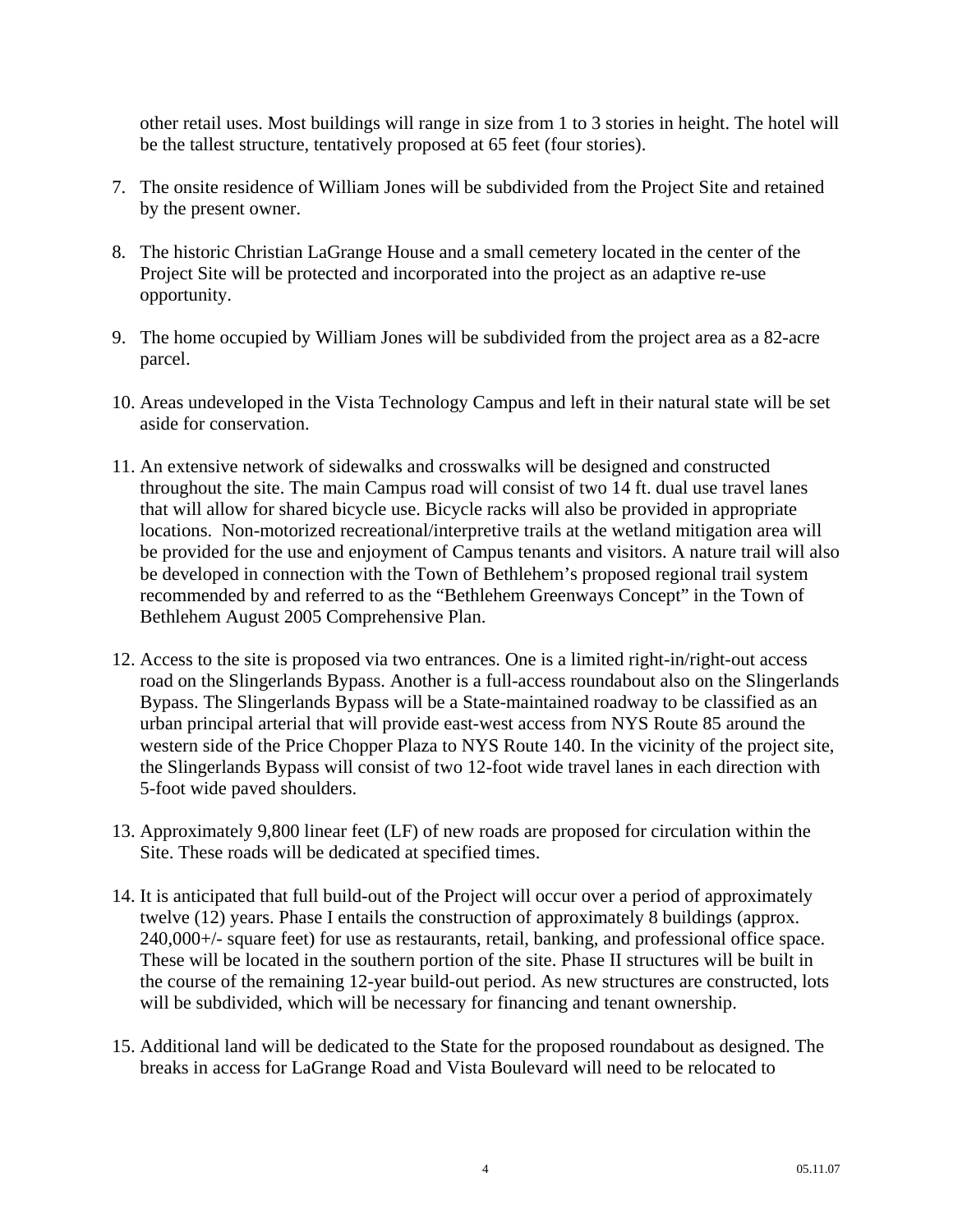other retail uses. Most buildings will range in size from 1 to 3 stories in height. The hotel will be the tallest structure, tentatively proposed at 65 feet (four stories).

- 7. The onsite residence of William Jones will be subdivided from the Project Site and retained by the present owner.
- 8. The historic Christian LaGrange House and a small cemetery located in the center of the Project Site will be protected and incorporated into the project as an adaptive re-use opportunity.
- 9. The home occupied by William Jones will be subdivided from the project area as a 82-acre parcel.
- 10. Areas undeveloped in the Vista Technology Campus and left in their natural state will be set aside for conservation.
- 11. An extensive network of sidewalks and crosswalks will be designed and constructed throughout the site. The main Campus road will consist of two 14 ft. dual use travel lanes that will allow for shared bicycle use. Bicycle racks will also be provided in appropriate locations. Non-motorized recreational/interpretive trails at the wetland mitigation area will be provided for the use and enjoyment of Campus tenants and visitors. A nature trail will also be developed in connection with the Town of Bethlehem's proposed regional trail system recommended by and referred to as the "Bethlehem Greenways Concept" in the Town of Bethlehem August 2005 Comprehensive Plan.
- 12. Access to the site is proposed via two entrances. One is a limited right-in/right-out access road on the Slingerlands Bypass. Another is a full-access roundabout also on the Slingerlands Bypass. The Slingerlands Bypass will be a State-maintained roadway to be classified as an urban principal arterial that will provide east-west access from NYS Route 85 around the western side of the Price Chopper Plaza to NYS Route 140. In the vicinity of the project site, the Slingerlands Bypass will consist of two 12-foot wide travel lanes in each direction with 5-foot wide paved shoulders.
- 13. Approximately 9,800 linear feet (LF) of new roads are proposed for circulation within the Site. These roads will be dedicated at specified times.
- 14. It is anticipated that full build-out of the Project will occur over a period of approximately twelve (12) years. Phase I entails the construction of approximately 8 buildings (approx. 240,000+/- square feet) for use as restaurants, retail, banking, and professional office space. These will be located in the southern portion of the site. Phase II structures will be built in the course of the remaining 12-year build-out period. As new structures are constructed, lots will be subdivided, which will be necessary for financing and tenant ownership.
- 15. Additional land will be dedicated to the State for the proposed roundabout as designed. The breaks in access for LaGrange Road and Vista Boulevard will need to be relocated to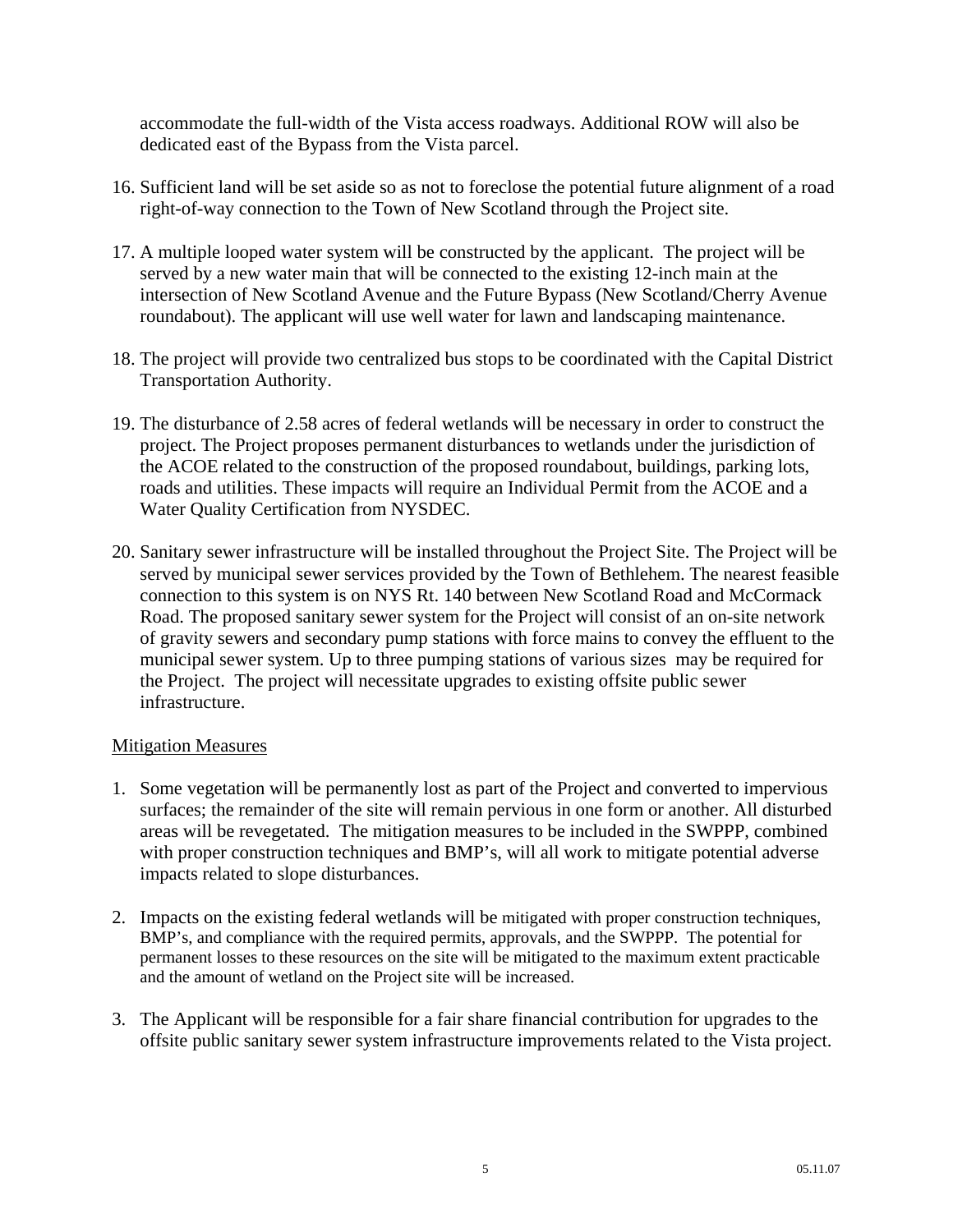accommodate the full-width of the Vista access roadways. Additional ROW will also be dedicated east of the Bypass from the Vista parcel.

- 16. Sufficient land will be set aside so as not to foreclose the potential future alignment of a road right-of-way connection to the Town of New Scotland through the Project site.
- 17. A multiple looped water system will be constructed by the applicant. The project will be served by a new water main that will be connected to the existing 12-inch main at the intersection of New Scotland Avenue and the Future Bypass (New Scotland/Cherry Avenue roundabout). The applicant will use well water for lawn and landscaping maintenance.
- 18. The project will provide two centralized bus stops to be coordinated with the Capital District Transportation Authority.
- 19. The disturbance of 2.58 acres of federal wetlands will be necessary in order to construct the project. The Project proposes permanent disturbances to wetlands under the jurisdiction of the ACOE related to the construction of the proposed roundabout, buildings, parking lots, roads and utilities. These impacts will require an Individual Permit from the ACOE and a Water Quality Certification from NYSDEC.
- 20. Sanitary sewer infrastructure will be installed throughout the Project Site. The Project will be served by municipal sewer services provided by the Town of Bethlehem. The nearest feasible connection to this system is on NYS Rt. 140 between New Scotland Road and McCormack Road. The proposed sanitary sewer system for the Project will consist of an on-site network of gravity sewers and secondary pump stations with force mains to convey the effluent to the municipal sewer system. Up to three pumping stations of various sizes may be required for the Project. The project will necessitate upgrades to existing offsite public sewer infrastructure.

- 1. Some vegetation will be permanently lost as part of the Project and converted to impervious surfaces; the remainder of the site will remain pervious in one form or another. All disturbed areas will be revegetated. The mitigation measures to be included in the SWPPP, combined with proper construction techniques and BMP's, will all work to mitigate potential adverse impacts related to slope disturbances.
- 2. Impacts on the existing federal wetlands will be mitigated with proper construction techniques, BMP's, and compliance with the required permits, approvals, and the SWPPP. The potential for permanent losses to these resources on the site will be mitigated to the maximum extent practicable and the amount of wetland on the Project site will be increased.
- 3. The Applicant will be responsible for a fair share financial contribution for upgrades to the offsite public sanitary sewer system infrastructure improvements related to the Vista project.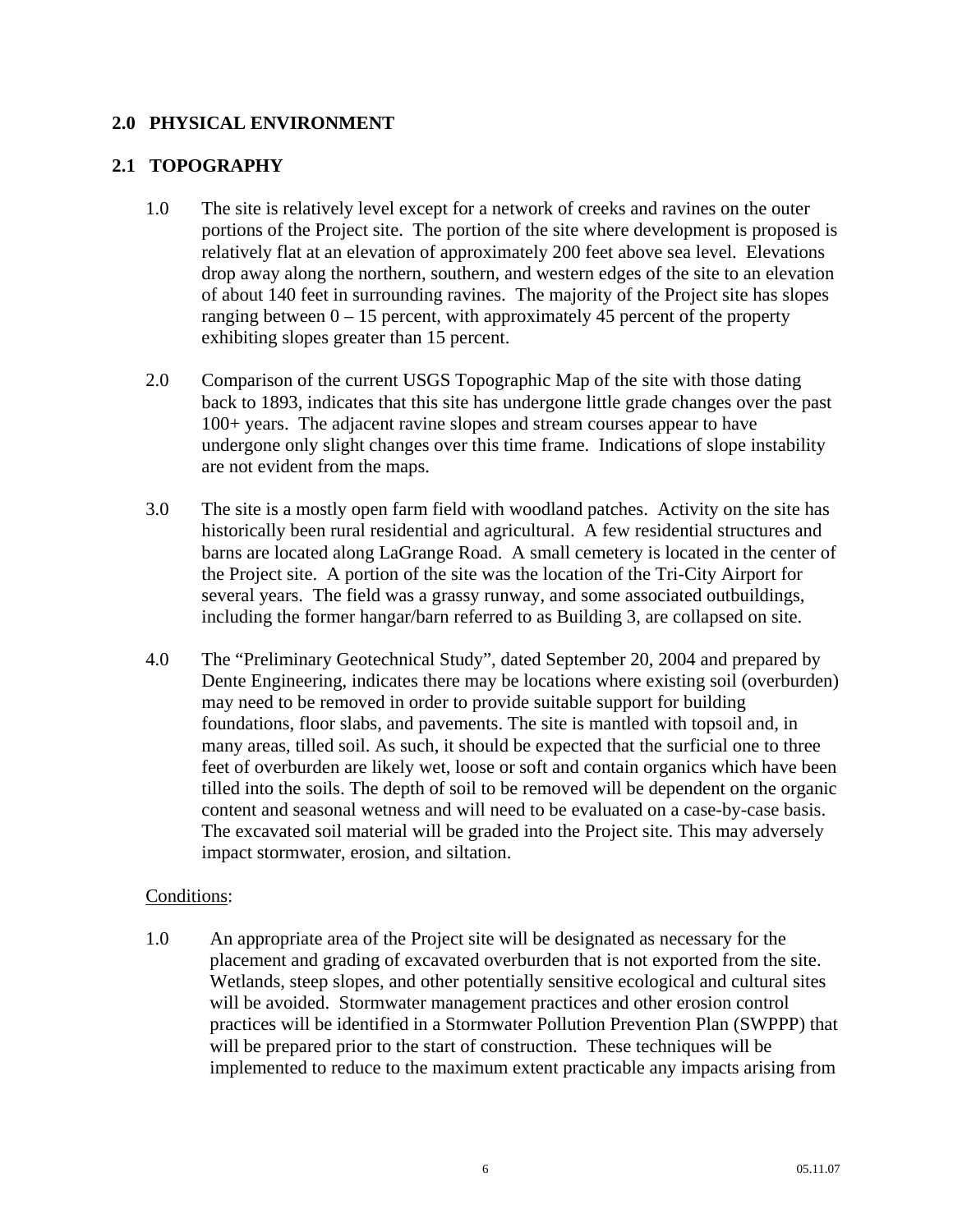## **2.0 PHYSICAL ENVIRONMENT**

### **2.1 TOPOGRAPHY**

- 1.0 The site is relatively level except for a network of creeks and ravines on the outer portions of the Project site. The portion of the site where development is proposed is relatively flat at an elevation of approximately 200 feet above sea level. Elevations drop away along the northern, southern, and western edges of the site to an elevation of about 140 feet in surrounding ravines. The majority of the Project site has slopes ranging between  $0 - 15$  percent, with approximately 45 percent of the property exhibiting slopes greater than 15 percent.
- 2.0 Comparison of the current USGS Topographic Map of the site with those dating back to 1893, indicates that this site has undergone little grade changes over the past 100+ years. The adjacent ravine slopes and stream courses appear to have undergone only slight changes over this time frame. Indications of slope instability are not evident from the maps.
- 3.0 The site is a mostly open farm field with woodland patches. Activity on the site has historically been rural residential and agricultural. A few residential structures and barns are located along LaGrange Road. A small cemetery is located in the center of the Project site. A portion of the site was the location of the Tri-City Airport for several years. The field was a grassy runway, and some associated outbuildings, including the former hangar/barn referred to as Building 3, are collapsed on site.
- 4.0 The "Preliminary Geotechnical Study", dated September 20, 2004 and prepared by Dente Engineering, indicates there may be locations where existing soil (overburden) may need to be removed in order to provide suitable support for building foundations, floor slabs, and pavements. The site is mantled with topsoil and, in many areas, tilled soil. As such, it should be expected that the surficial one to three feet of overburden are likely wet, loose or soft and contain organics which have been tilled into the soils. The depth of soil to be removed will be dependent on the organic content and seasonal wetness and will need to be evaluated on a case-by-case basis. The excavated soil material will be graded into the Project site. This may adversely impact stormwater, erosion, and siltation.

#### Conditions:

1.0 An appropriate area of the Project site will be designated as necessary for the placement and grading of excavated overburden that is not exported from the site. Wetlands, steep slopes, and other potentially sensitive ecological and cultural sites will be avoided. Stormwater management practices and other erosion control practices will be identified in a Stormwater Pollution Prevention Plan (SWPPP) that will be prepared prior to the start of construction. These techniques will be implemented to reduce to the maximum extent practicable any impacts arising from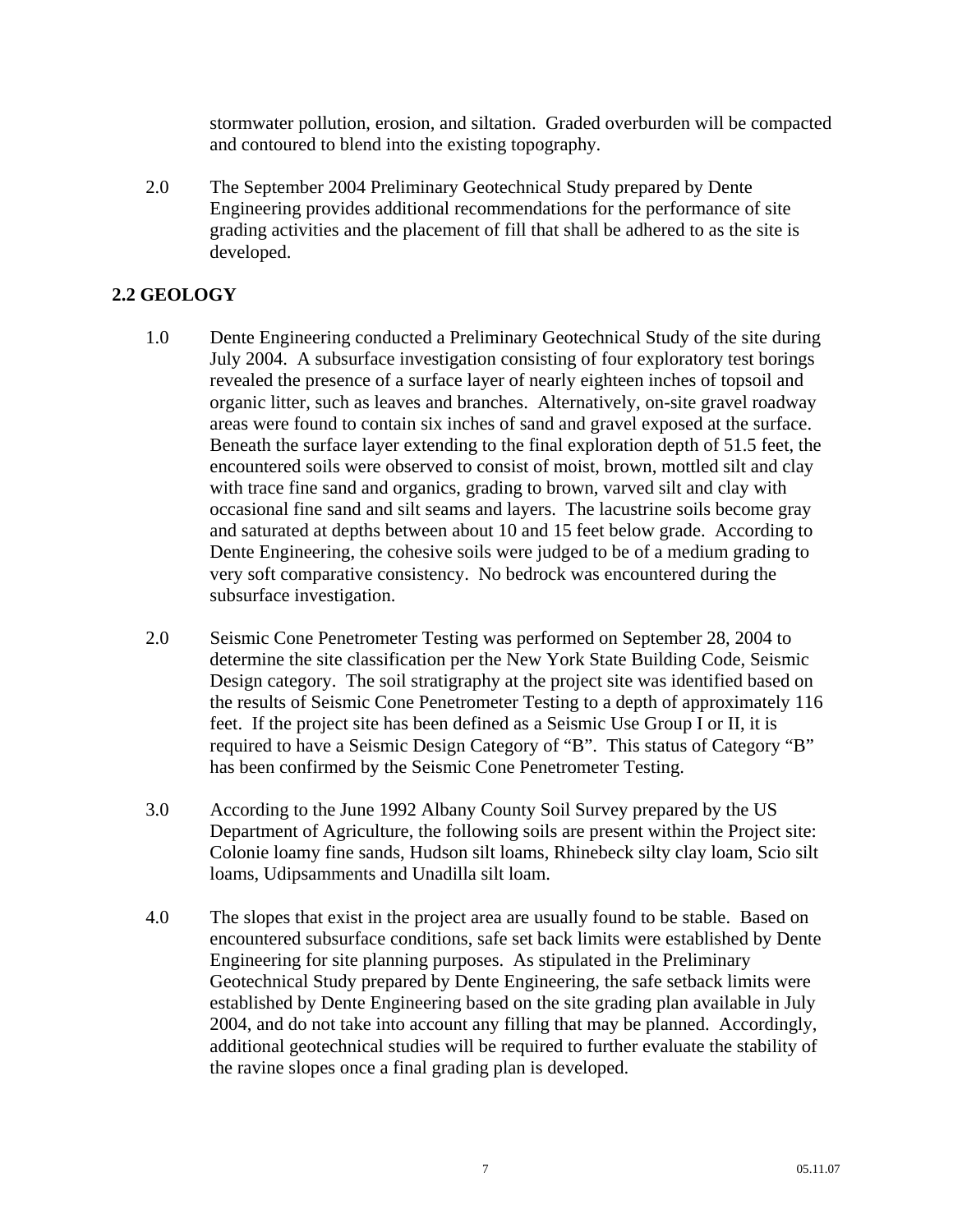stormwater pollution, erosion, and siltation. Graded overburden will be compacted and contoured to blend into the existing topography.

2.0 The September 2004 Preliminary Geotechnical Study prepared by Dente Engineering provides additional recommendations for the performance of site grading activities and the placement of fill that shall be adhered to as the site is developed.

# **2.2 GEOLOGY**

- 1.0 Dente Engineering conducted a Preliminary Geotechnical Study of the site during July 2004. A subsurface investigation consisting of four exploratory test borings revealed the presence of a surface layer of nearly eighteen inches of topsoil and organic litter, such as leaves and branches. Alternatively, on-site gravel roadway areas were found to contain six inches of sand and gravel exposed at the surface. Beneath the surface layer extending to the final exploration depth of 51.5 feet, the encountered soils were observed to consist of moist, brown, mottled silt and clay with trace fine sand and organics, grading to brown, varved silt and clay with occasional fine sand and silt seams and layers. The lacustrine soils become gray and saturated at depths between about 10 and 15 feet below grade. According to Dente Engineering, the cohesive soils were judged to be of a medium grading to very soft comparative consistency. No bedrock was encountered during the subsurface investigation.
- 2.0 Seismic Cone Penetrometer Testing was performed on September 28, 2004 to determine the site classification per the New York State Building Code, Seismic Design category. The soil stratigraphy at the project site was identified based on the results of Seismic Cone Penetrometer Testing to a depth of approximately 116 feet. If the project site has been defined as a Seismic Use Group I or II, it is required to have a Seismic Design Category of "B". This status of Category "B" has been confirmed by the Seismic Cone Penetrometer Testing.
- 3.0 According to the June 1992 Albany County Soil Survey prepared by the US Department of Agriculture, the following soils are present within the Project site: Colonie loamy fine sands, Hudson silt loams, Rhinebeck silty clay loam, Scio silt loams, Udipsamments and Unadilla silt loam.
- 4.0 The slopes that exist in the project area are usually found to be stable. Based on encountered subsurface conditions, safe set back limits were established by Dente Engineering for site planning purposes. As stipulated in the Preliminary Geotechnical Study prepared by Dente Engineering, the safe setback limits were established by Dente Engineering based on the site grading plan available in July 2004, and do not take into account any filling that may be planned. Accordingly, additional geotechnical studies will be required to further evaluate the stability of the ravine slopes once a final grading plan is developed.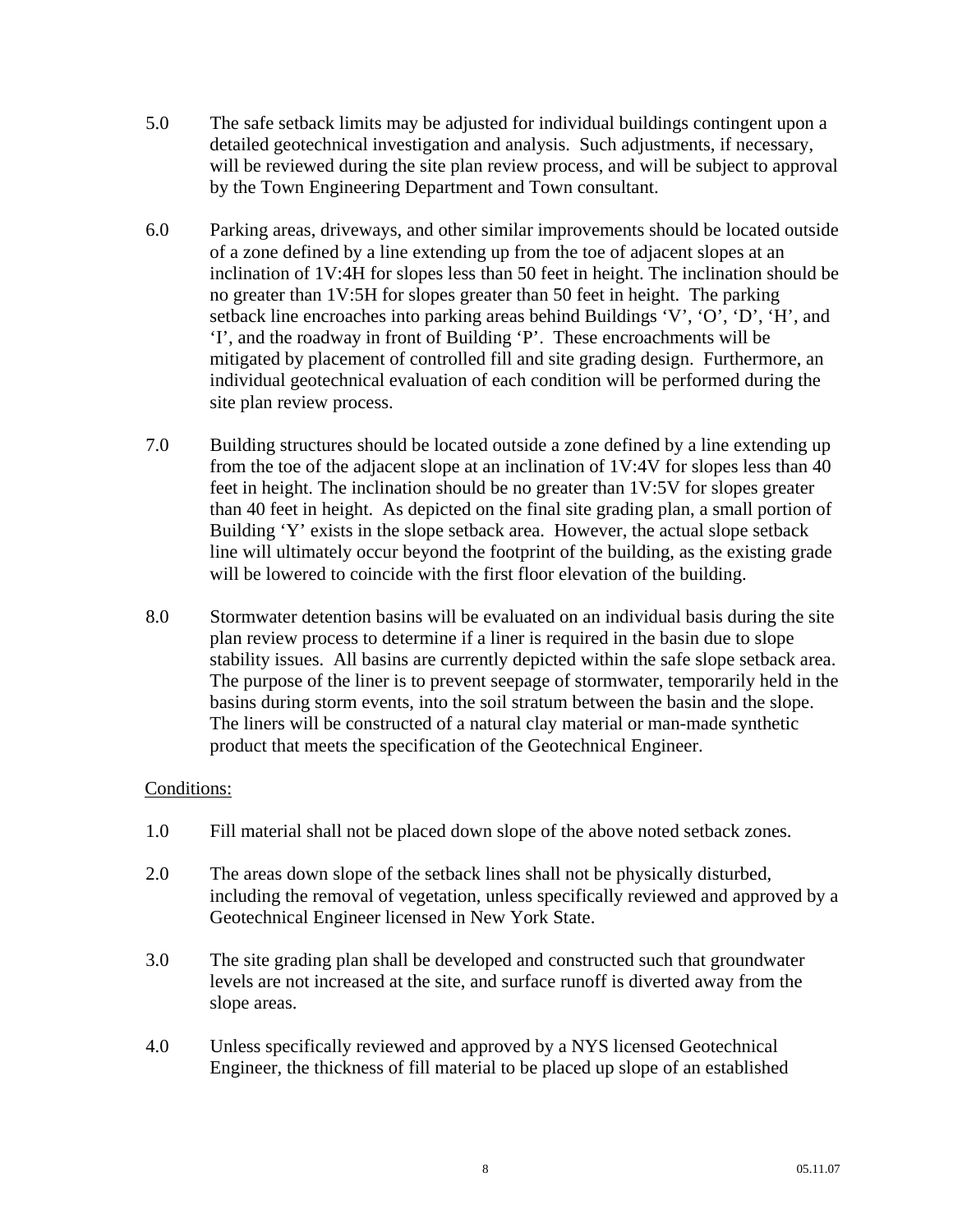- 5.0 The safe setback limits may be adjusted for individual buildings contingent upon a detailed geotechnical investigation and analysis. Such adjustments, if necessary, will be reviewed during the site plan review process, and will be subject to approval by the Town Engineering Department and Town consultant.
- 6.0 Parking areas, driveways, and other similar improvements should be located outside of a zone defined by a line extending up from the toe of adjacent slopes at an inclination of 1V:4H for slopes less than 50 feet in height. The inclination should be no greater than 1V:5H for slopes greater than 50 feet in height. The parking setback line encroaches into parking areas behind Buildings 'V', 'O', 'D', 'H', and 'I', and the roadway in front of Building 'P'. These encroachments will be mitigated by placement of controlled fill and site grading design. Furthermore, an individual geotechnical evaluation of each condition will be performed during the site plan review process.
- 7.0 Building structures should be located outside a zone defined by a line extending up from the toe of the adjacent slope at an inclination of 1V:4V for slopes less than 40 feet in height. The inclination should be no greater than 1V:5V for slopes greater than 40 feet in height. As depicted on the final site grading plan, a small portion of Building 'Y' exists in the slope setback area. However, the actual slope setback line will ultimately occur beyond the footprint of the building, as the existing grade will be lowered to coincide with the first floor elevation of the building.
- 8.0 Stormwater detention basins will be evaluated on an individual basis during the site plan review process to determine if a liner is required in the basin due to slope stability issues. All basins are currently depicted within the safe slope setback area. The purpose of the liner is to prevent seepage of stormwater, temporarily held in the basins during storm events, into the soil stratum between the basin and the slope. The liners will be constructed of a natural clay material or man-made synthetic product that meets the specification of the Geotechnical Engineer.

## Conditions:

- 1.0 Fill material shall not be placed down slope of the above noted setback zones.
- 2.0 The areas down slope of the setback lines shall not be physically disturbed, including the removal of vegetation, unless specifically reviewed and approved by a Geotechnical Engineer licensed in New York State.
- 3.0 The site grading plan shall be developed and constructed such that groundwater levels are not increased at the site, and surface runoff is diverted away from the slope areas.
- 4.0 Unless specifically reviewed and approved by a NYS licensed Geotechnical Engineer, the thickness of fill material to be placed up slope of an established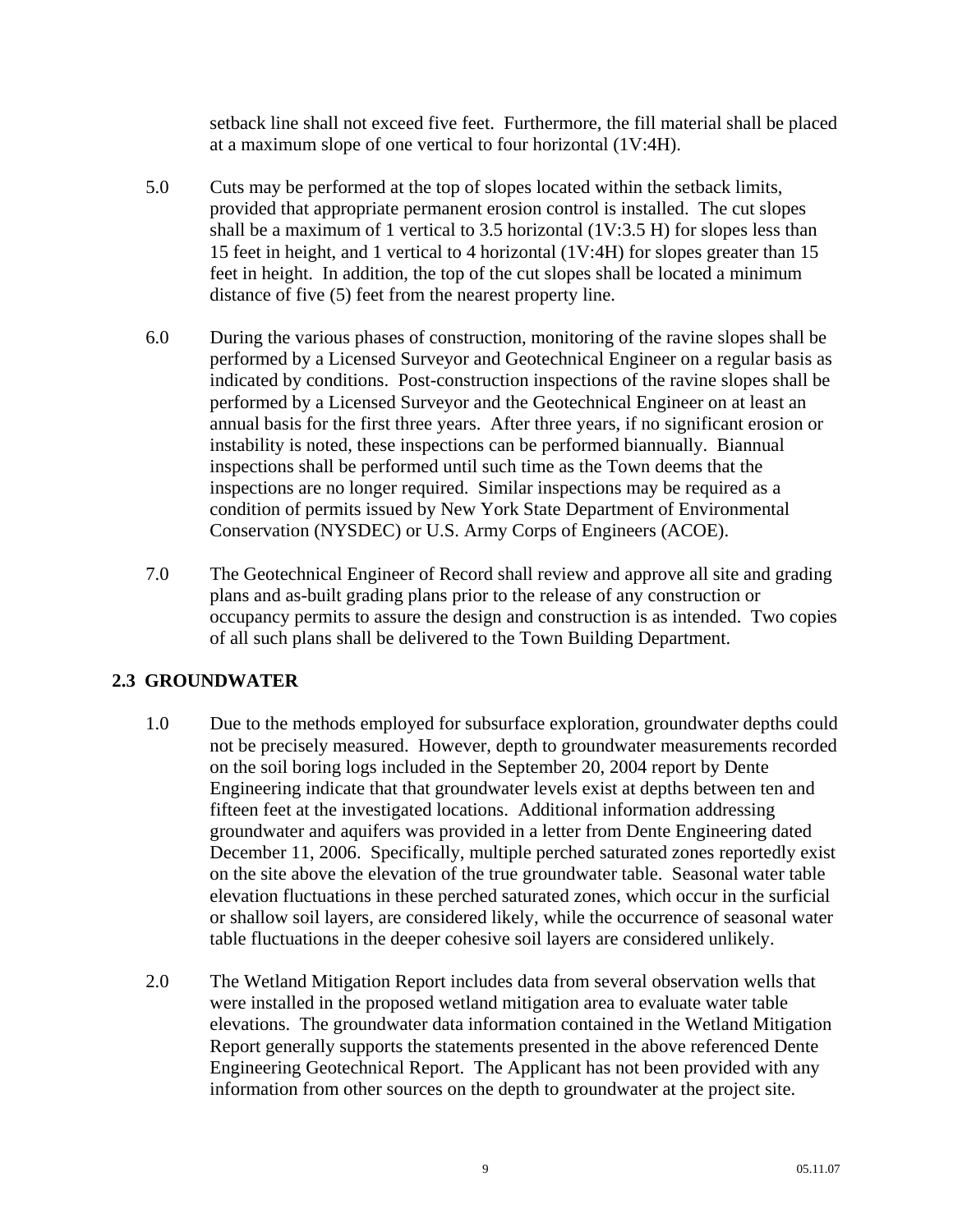setback line shall not exceed five feet. Furthermore, the fill material shall be placed at a maximum slope of one vertical to four horizontal (1V:4H).

- 5.0 Cuts may be performed at the top of slopes located within the setback limits, provided that appropriate permanent erosion control is installed. The cut slopes shall be a maximum of 1 vertical to 3.5 horizontal (1V:3.5 H) for slopes less than 15 feet in height, and 1 vertical to 4 horizontal (1V:4H) for slopes greater than 15 feet in height. In addition, the top of the cut slopes shall be located a minimum distance of five (5) feet from the nearest property line.
- 6.0 During the various phases of construction, monitoring of the ravine slopes shall be performed by a Licensed Surveyor and Geotechnical Engineer on a regular basis as indicated by conditions. Post-construction inspections of the ravine slopes shall be performed by a Licensed Surveyor and the Geotechnical Engineer on at least an annual basis for the first three years. After three years, if no significant erosion or instability is noted, these inspections can be performed biannually. Biannual inspections shall be performed until such time as the Town deems that the inspections are no longer required. Similar inspections may be required as a condition of permits issued by New York State Department of Environmental Conservation (NYSDEC) or U.S. Army Corps of Engineers (ACOE).
- 7.0 The Geotechnical Engineer of Record shall review and approve all site and grading plans and as-built grading plans prior to the release of any construction or occupancy permits to assure the design and construction is as intended. Two copies of all such plans shall be delivered to the Town Building Department.

# **2.3 GROUNDWATER**

- 1.0 Due to the methods employed for subsurface exploration, groundwater depths could not be precisely measured. However, depth to groundwater measurements recorded on the soil boring logs included in the September 20, 2004 report by Dente Engineering indicate that that groundwater levels exist at depths between ten and fifteen feet at the investigated locations. Additional information addressing groundwater and aquifers was provided in a letter from Dente Engineering dated December 11, 2006. Specifically, multiple perched saturated zones reportedly exist on the site above the elevation of the true groundwater table. Seasonal water table elevation fluctuations in these perched saturated zones, which occur in the surficial or shallow soil layers, are considered likely, while the occurrence of seasonal water table fluctuations in the deeper cohesive soil layers are considered unlikely.
- 2.0 The Wetland Mitigation Report includes data from several observation wells that were installed in the proposed wetland mitigation area to evaluate water table elevations. The groundwater data information contained in the Wetland Mitigation Report generally supports the statements presented in the above referenced Dente Engineering Geotechnical Report. The Applicant has not been provided with any information from other sources on the depth to groundwater at the project site.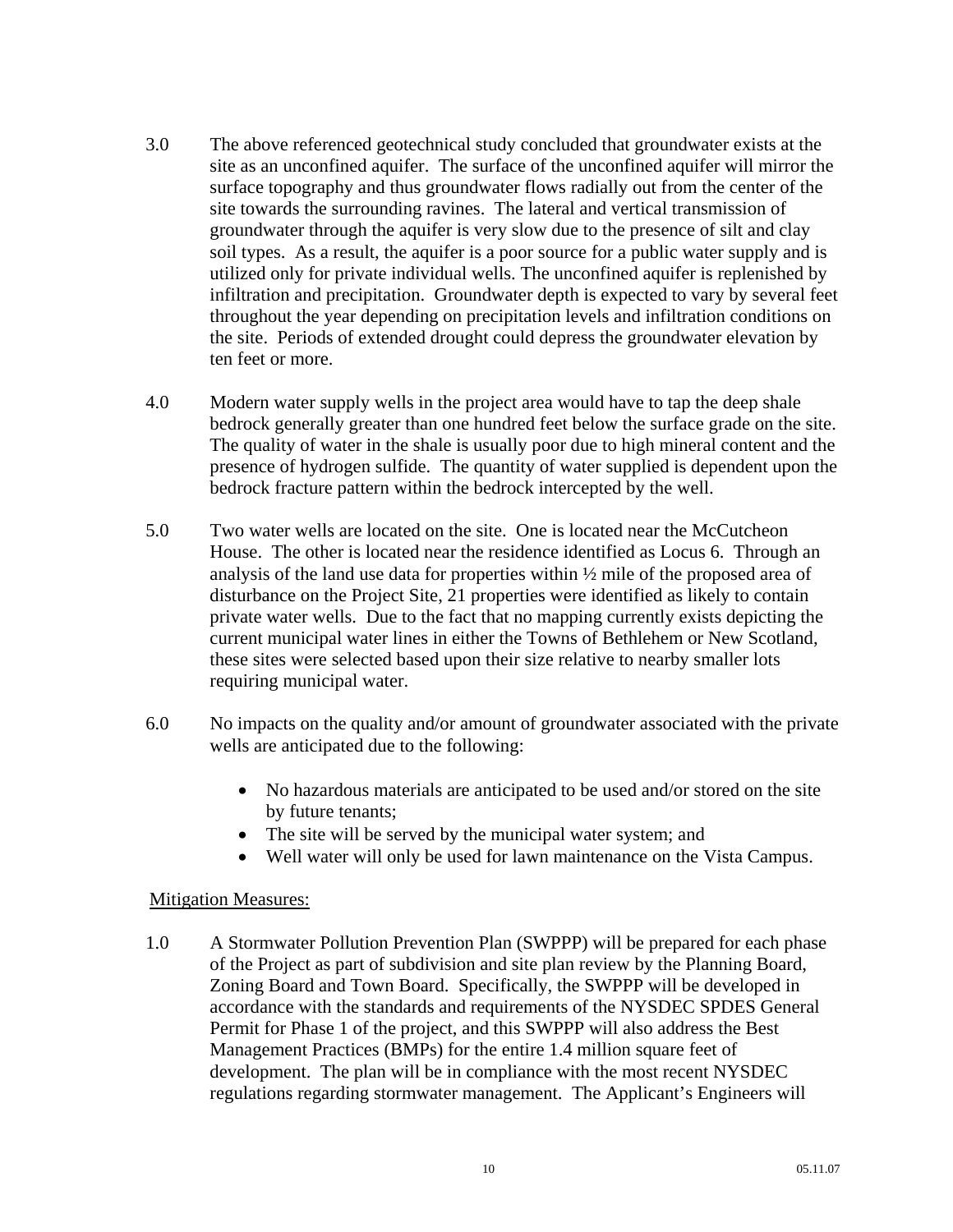- 3.0 The above referenced geotechnical study concluded that groundwater exists at the site as an unconfined aquifer. The surface of the unconfined aquifer will mirror the surface topography and thus groundwater flows radially out from the center of the site towards the surrounding ravines. The lateral and vertical transmission of groundwater through the aquifer is very slow due to the presence of silt and clay soil types. As a result, the aquifer is a poor source for a public water supply and is utilized only for private individual wells. The unconfined aquifer is replenished by infiltration and precipitation. Groundwater depth is expected to vary by several feet throughout the year depending on precipitation levels and infiltration conditions on the site. Periods of extended drought could depress the groundwater elevation by ten feet or more.
- 4.0 Modern water supply wells in the project area would have to tap the deep shale bedrock generally greater than one hundred feet below the surface grade on the site. The quality of water in the shale is usually poor due to high mineral content and the presence of hydrogen sulfide. The quantity of water supplied is dependent upon the bedrock fracture pattern within the bedrock intercepted by the well.
- 5.0 Two water wells are located on the site. One is located near the McCutcheon House. The other is located near the residence identified as Locus 6. Through an analysis of the land use data for properties within ½ mile of the proposed area of disturbance on the Project Site, 21 properties were identified as likely to contain private water wells. Due to the fact that no mapping currently exists depicting the current municipal water lines in either the Towns of Bethlehem or New Scotland, these sites were selected based upon their size relative to nearby smaller lots requiring municipal water.
- 6.0 No impacts on the quality and/or amount of groundwater associated with the private wells are anticipated due to the following:
	- No hazardous materials are anticipated to be used and/or stored on the site by future tenants;
	- The site will be served by the municipal water system; and
	- Well water will only be used for lawn maintenance on the Vista Campus.

#### Mitigation Measures:

1.0 A Stormwater Pollution Prevention Plan (SWPPP) will be prepared for each phase of the Project as part of subdivision and site plan review by the Planning Board, Zoning Board and Town Board. Specifically, the SWPPP will be developed in accordance with the standards and requirements of the NYSDEC SPDES General Permit for Phase 1 of the project, and this SWPPP will also address the Best Management Practices (BMPs) for the entire 1.4 million square feet of development. The plan will be in compliance with the most recent NYSDEC regulations regarding stormwater management. The Applicant's Engineers will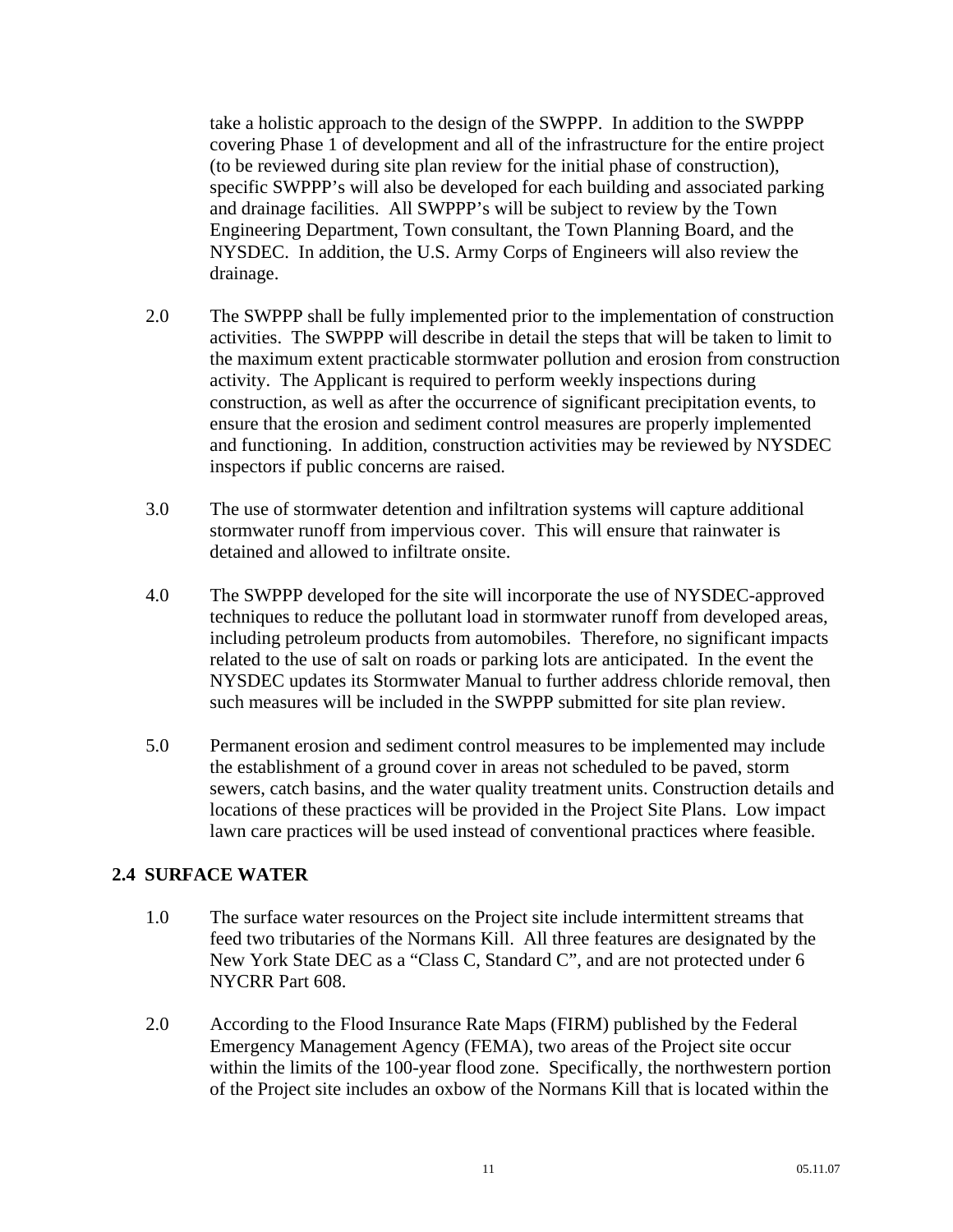take a holistic approach to the design of the SWPPP. In addition to the SWPPP covering Phase 1 of development and all of the infrastructure for the entire project (to be reviewed during site plan review for the initial phase of construction), specific SWPPP's will also be developed for each building and associated parking and drainage facilities. All SWPPP's will be subject to review by the Town Engineering Department, Town consultant, the Town Planning Board, and the NYSDEC. In addition, the U.S. Army Corps of Engineers will also review the drainage.

- 2.0 The SWPPP shall be fully implemented prior to the implementation of construction activities. The SWPPP will describe in detail the steps that will be taken to limit to the maximum extent practicable stormwater pollution and erosion from construction activity. The Applicant is required to perform weekly inspections during construction, as well as after the occurrence of significant precipitation events, to ensure that the erosion and sediment control measures are properly implemented and functioning. In addition, construction activities may be reviewed by NYSDEC inspectors if public concerns are raised.
- 3.0 The use of stormwater detention and infiltration systems will capture additional stormwater runoff from impervious cover. This will ensure that rainwater is detained and allowed to infiltrate onsite.
- 4.0 The SWPPP developed for the site will incorporate the use of NYSDEC-approved techniques to reduce the pollutant load in stormwater runoff from developed areas, including petroleum products from automobiles. Therefore, no significant impacts related to the use of salt on roads or parking lots are anticipated. In the event the NYSDEC updates its Stormwater Manual to further address chloride removal, then such measures will be included in the SWPPP submitted for site plan review.
- 5.0 Permanent erosion and sediment control measures to be implemented may include the establishment of a ground cover in areas not scheduled to be paved, storm sewers, catch basins, and the water quality treatment units. Construction details and locations of these practices will be provided in the Project Site Plans. Low impact lawn care practices will be used instead of conventional practices where feasible.

## **2.4 SURFACE WATER**

- 1.0 The surface water resources on the Project site include intermittent streams that feed two tributaries of the Normans Kill. All three features are designated by the New York State DEC as a "Class C, Standard C", and are not protected under 6 NYCRR Part 608.
- 2.0 According to the Flood Insurance Rate Maps (FIRM) published by the Federal Emergency Management Agency (FEMA), two areas of the Project site occur within the limits of the 100-year flood zone. Specifically, the northwestern portion of the Project site includes an oxbow of the Normans Kill that is located within the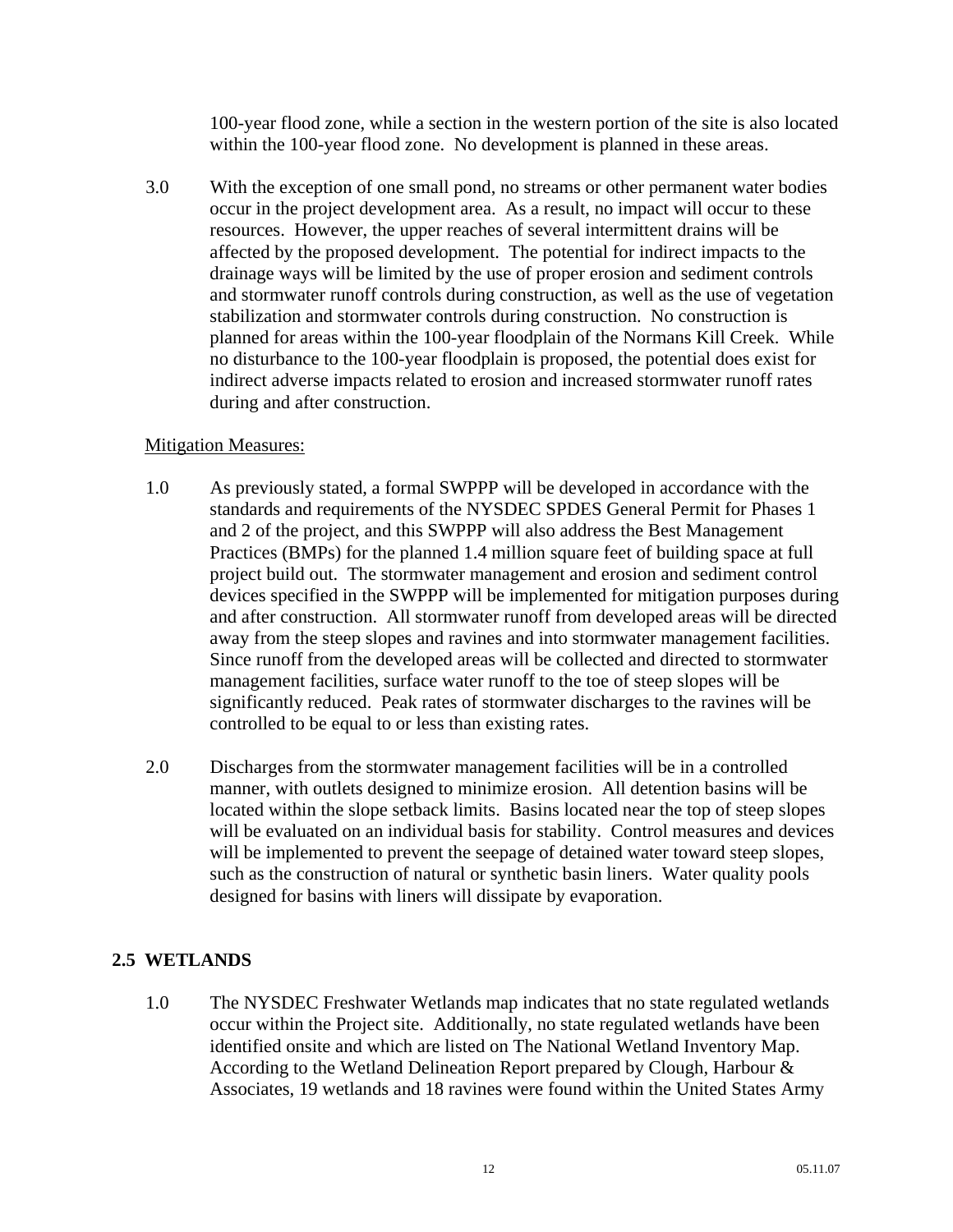100-year flood zone, while a section in the western portion of the site is also located within the 100-year flood zone. No development is planned in these areas.

3.0 With the exception of one small pond, no streams or other permanent water bodies occur in the project development area. As a result, no impact will occur to these resources. However, the upper reaches of several intermittent drains will be affected by the proposed development. The potential for indirect impacts to the drainage ways will be limited by the use of proper erosion and sediment controls and stormwater runoff controls during construction, as well as the use of vegetation stabilization and stormwater controls during construction. No construction is planned for areas within the 100-year floodplain of the Normans Kill Creek. While no disturbance to the 100-year floodplain is proposed, the potential does exist for indirect adverse impacts related to erosion and increased stormwater runoff rates during and after construction.

### Mitigation Measures:

- 1.0 As previously stated, a formal SWPPP will be developed in accordance with the standards and requirements of the NYSDEC SPDES General Permit for Phases 1 and 2 of the project, and this SWPPP will also address the Best Management Practices (BMPs) for the planned 1.4 million square feet of building space at full project build out. The stormwater management and erosion and sediment control devices specified in the SWPPP will be implemented for mitigation purposes during and after construction. All stormwater runoff from developed areas will be directed away from the steep slopes and ravines and into stormwater management facilities. Since runoff from the developed areas will be collected and directed to stormwater management facilities, surface water runoff to the toe of steep slopes will be significantly reduced. Peak rates of stormwater discharges to the ravines will be controlled to be equal to or less than existing rates.
- 2.0 Discharges from the stormwater management facilities will be in a controlled manner, with outlets designed to minimize erosion. All detention basins will be located within the slope setback limits. Basins located near the top of steep slopes will be evaluated on an individual basis for stability. Control measures and devices will be implemented to prevent the seepage of detained water toward steep slopes, such as the construction of natural or synthetic basin liners. Water quality pools designed for basins with liners will dissipate by evaporation.

## **2.5 WETLANDS**

1.0 The NYSDEC Freshwater Wetlands map indicates that no state regulated wetlands occur within the Project site. Additionally, no state regulated wetlands have been identified onsite and which are listed on The National Wetland Inventory Map. According to the Wetland Delineation Report prepared by Clough, Harbour & Associates, 19 wetlands and 18 ravines were found within the United States Army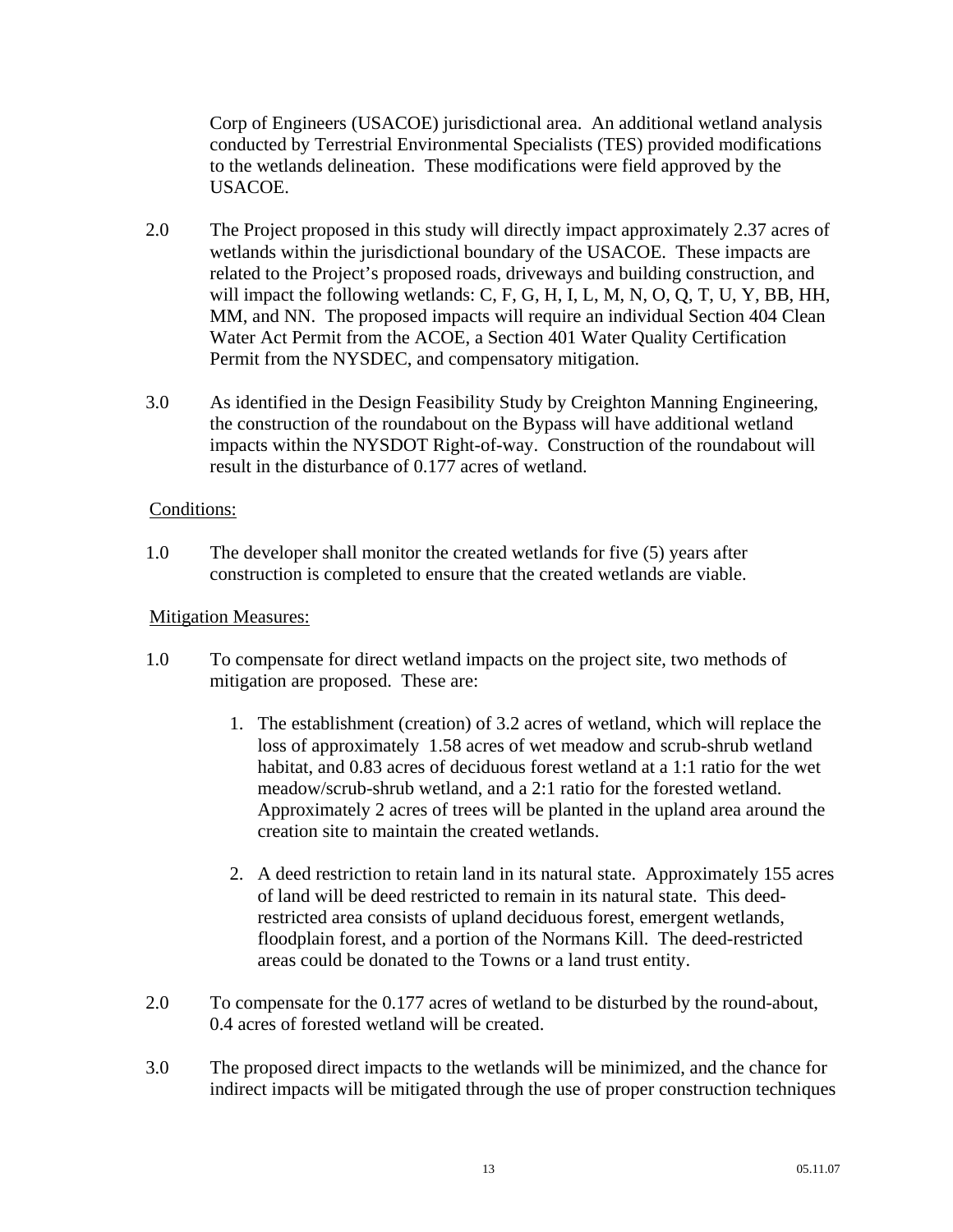Corp of Engineers (USACOE) jurisdictional area. An additional wetland analysis conducted by Terrestrial Environmental Specialists (TES) provided modifications to the wetlands delineation. These modifications were field approved by the USACOE.

- 2.0 The Project proposed in this study will directly impact approximately 2.37 acres of wetlands within the jurisdictional boundary of the USACOE. These impacts are related to the Project's proposed roads, driveways and building construction, and will impact the following wetlands: C, F, G, H, I, L, M, N, O, Q, T, U, Y, BB, HH, MM, and NN. The proposed impacts will require an individual Section 404 Clean Water Act Permit from the ACOE, a Section 401 Water Quality Certification Permit from the NYSDEC, and compensatory mitigation.
- 3.0 As identified in the Design Feasibility Study by Creighton Manning Engineering, the construction of the roundabout on the Bypass will have additional wetland impacts within the NYSDOT Right-of-way. Construction of the roundabout will result in the disturbance of 0.177 acres of wetland.

## Conditions:

1.0 The developer shall monitor the created wetlands for five (5) years after construction is completed to ensure that the created wetlands are viable.

- 1.0 To compensate for direct wetland impacts on the project site, two methods of mitigation are proposed. These are:
	- 1. The establishment (creation) of 3.2 acres of wetland, which will replace the loss of approximately 1.58 acres of wet meadow and scrub-shrub wetland habitat, and 0.83 acres of deciduous forest wetland at a 1:1 ratio for the wet meadow/scrub-shrub wetland, and a 2:1 ratio for the forested wetland. Approximately 2 acres of trees will be planted in the upland area around the creation site to maintain the created wetlands.
	- 2. A deed restriction to retain land in its natural state. Approximately 155 acres of land will be deed restricted to remain in its natural state. This deedrestricted area consists of upland deciduous forest, emergent wetlands, floodplain forest, and a portion of the Normans Kill. The deed-restricted areas could be donated to the Towns or a land trust entity.
- 2.0 To compensate for the 0.177 acres of wetland to be disturbed by the round-about, 0.4 acres of forested wetland will be created.
- 3.0 The proposed direct impacts to the wetlands will be minimized, and the chance for indirect impacts will be mitigated through the use of proper construction techniques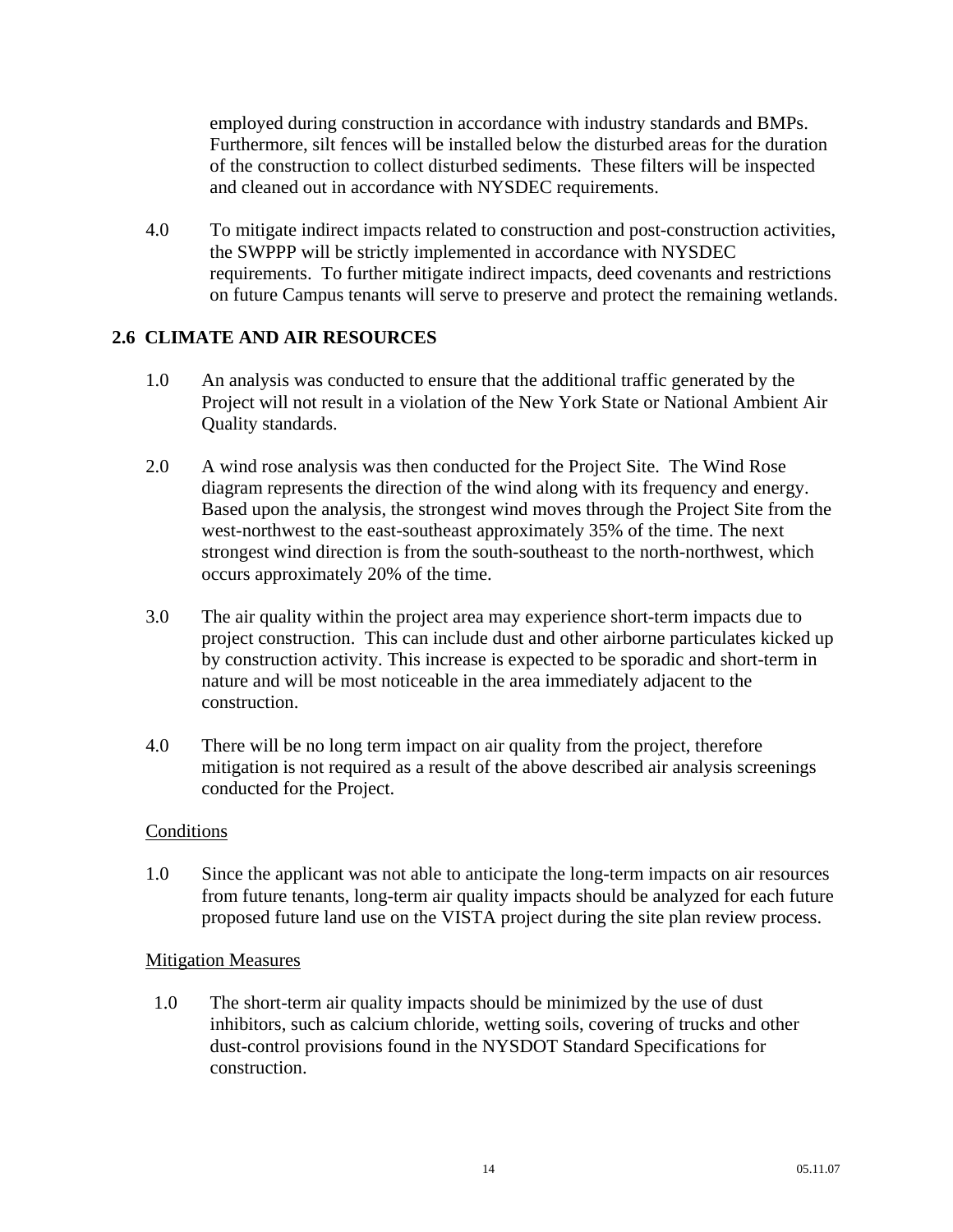employed during construction in accordance with industry standards and BMPs. Furthermore, silt fences will be installed below the disturbed areas for the duration of the construction to collect disturbed sediments. These filters will be inspected and cleaned out in accordance with NYSDEC requirements.

4.0 To mitigate indirect impacts related to construction and post-construction activities, the SWPPP will be strictly implemented in accordance with NYSDEC requirements. To further mitigate indirect impacts, deed covenants and restrictions on future Campus tenants will serve to preserve and protect the remaining wetlands.

## **2.6 CLIMATE AND AIR RESOURCES**

- 1.0 An analysis was conducted to ensure that the additional traffic generated by the Project will not result in a violation of the New York State or National Ambient Air Quality standards.
- 2.0 A wind rose analysis was then conducted for the Project Site. The Wind Rose diagram represents the direction of the wind along with its frequency and energy. Based upon the analysis, the strongest wind moves through the Project Site from the west-northwest to the east-southeast approximately 35% of the time. The next strongest wind direction is from the south-southeast to the north-northwest, which occurs approximately 20% of the time.
- 3.0 The air quality within the project area may experience short-term impacts due to project construction. This can include dust and other airborne particulates kicked up by construction activity. This increase is expected to be sporadic and short-term in nature and will be most noticeable in the area immediately adjacent to the construction.
- 4.0 There will be no long term impact on air quality from the project, therefore mitigation is not required as a result of the above described air analysis screenings conducted for the Project.

#### **Conditions**

1.0 Since the applicant was not able to anticipate the long-term impacts on air resources from future tenants, long-term air quality impacts should be analyzed for each future proposed future land use on the VISTA project during the site plan review process.

#### Mitigation Measures

1.0 The short-term air quality impacts should be minimized by the use of dust inhibitors, such as calcium chloride, wetting soils, covering of trucks and other dust-control provisions found in the NYSDOT Standard Specifications for construction.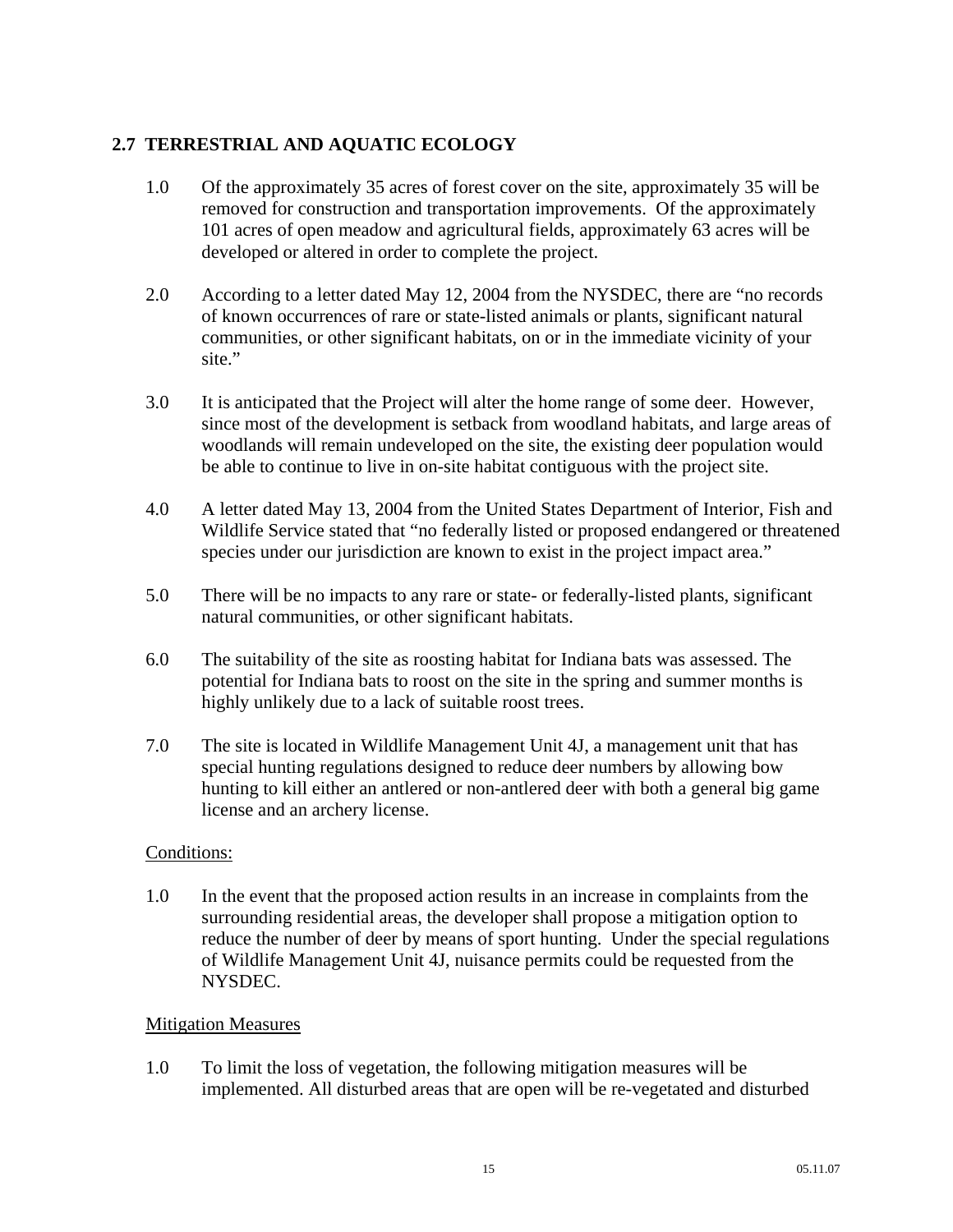# **2.7 TERRESTRIAL AND AQUATIC ECOLOGY**

- 1.0 Of the approximately 35 acres of forest cover on the site, approximately 35 will be removed for construction and transportation improvements. Of the approximately 101 acres of open meadow and agricultural fields, approximately 63 acres will be developed or altered in order to complete the project.
- 2.0 According to a letter dated May 12, 2004 from the NYSDEC, there are "no records of known occurrences of rare or state-listed animals or plants, significant natural communities, or other significant habitats, on or in the immediate vicinity of your site."
- 3.0 It is anticipated that the Project will alter the home range of some deer. However, since most of the development is setback from woodland habitats, and large areas of woodlands will remain undeveloped on the site, the existing deer population would be able to continue to live in on-site habitat contiguous with the project site.
- 4.0 A letter dated May 13, 2004 from the United States Department of Interior, Fish and Wildlife Service stated that "no federally listed or proposed endangered or threatened species under our jurisdiction are known to exist in the project impact area."
- 5.0 There will be no impacts to any rare or state- or federally-listed plants, significant natural communities, or other significant habitats.
- 6.0 The suitability of the site as roosting habitat for Indiana bats was assessed. The potential for Indiana bats to roost on the site in the spring and summer months is highly unlikely due to a lack of suitable roost trees.
- 7.0 The site is located in Wildlife Management Unit 4J, a management unit that has special hunting regulations designed to reduce deer numbers by allowing bow hunting to kill either an antlered or non-antlered deer with both a general big game license and an archery license.

#### Conditions:

1.0 In the event that the proposed action results in an increase in complaints from the surrounding residential areas, the developer shall propose a mitigation option to reduce the number of deer by means of sport hunting. Under the special regulations of Wildlife Management Unit 4J, nuisance permits could be requested from the NYSDEC.

#### Mitigation Measures

1.0 To limit the loss of vegetation, the following mitigation measures will be implemented. All disturbed areas that are open will be re-vegetated and disturbed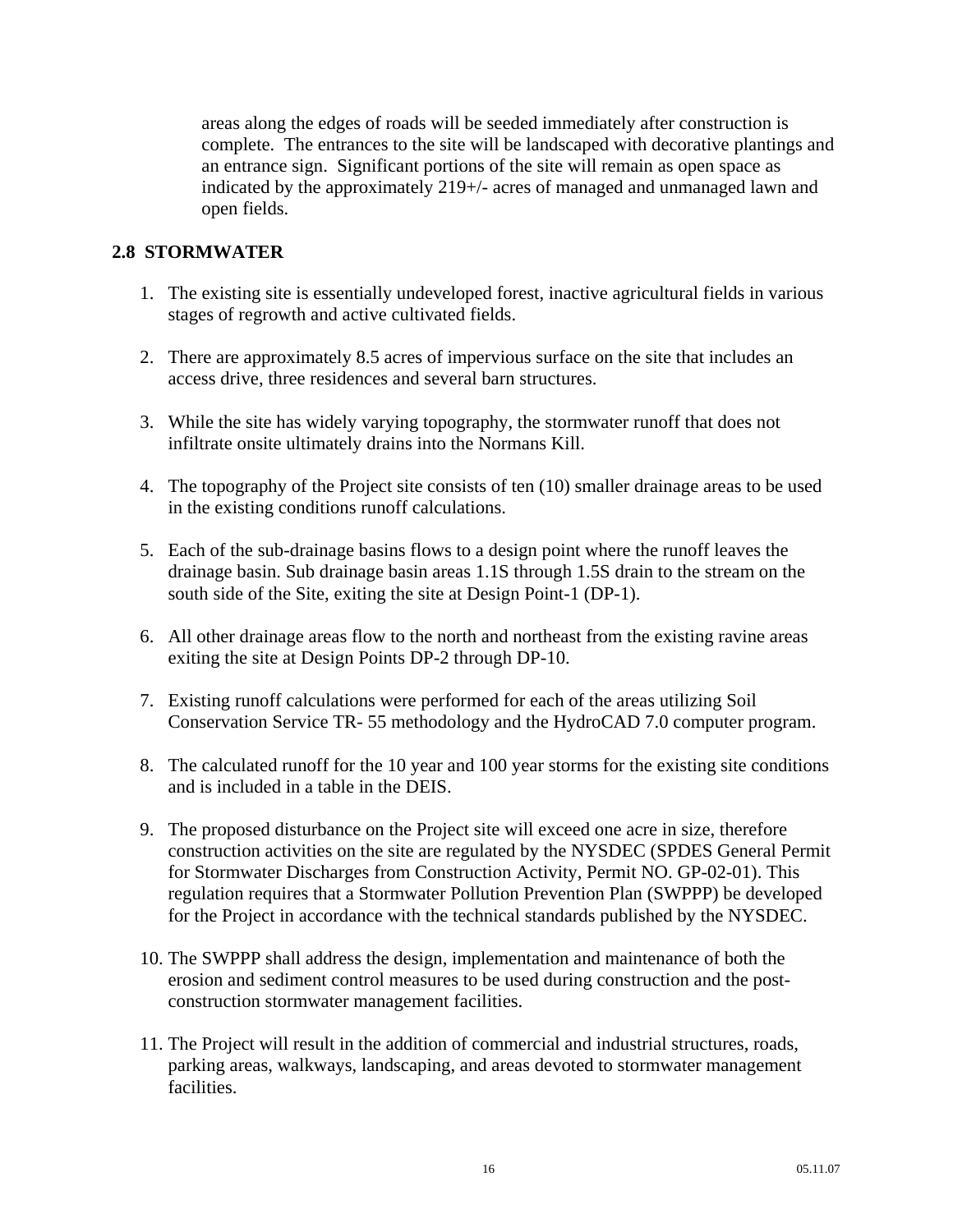areas along the edges of roads will be seeded immediately after construction is complete. The entrances to the site will be landscaped with decorative plantings and an entrance sign. Significant portions of the site will remain as open space as indicated by the approximately 219+/- acres of managed and unmanaged lawn and open fields.

### **2.8 STORMWATER**

- 1. The existing site is essentially undeveloped forest, inactive agricultural fields in various stages of regrowth and active cultivated fields.
- 2. There are approximately 8.5 acres of impervious surface on the site that includes an access drive, three residences and several barn structures.
- 3. While the site has widely varying topography, the stormwater runoff that does not infiltrate onsite ultimately drains into the Normans Kill.
- 4. The topography of the Project site consists of ten (10) smaller drainage areas to be used in the existing conditions runoff calculations.
- 5. Each of the sub-drainage basins flows to a design point where the runoff leaves the drainage basin. Sub drainage basin areas 1.1S through 1.5S drain to the stream on the south side of the Site, exiting the site at Design Point-1 (DP-1).
- 6. All other drainage areas flow to the north and northeast from the existing ravine areas exiting the site at Design Points DP-2 through DP-10.
- 7. Existing runoff calculations were performed for each of the areas utilizing Soil Conservation Service TR- 55 methodology and the HydroCAD 7.0 computer program.
- 8. The calculated runoff for the 10 year and 100 year storms for the existing site conditions and is included in a table in the DEIS.
- 9. The proposed disturbance on the Project site will exceed one acre in size, therefore construction activities on the site are regulated by the NYSDEC (SPDES General Permit for Stormwater Discharges from Construction Activity, Permit NO. GP-02-01). This regulation requires that a Stormwater Pollution Prevention Plan (SWPPP) be developed for the Project in accordance with the technical standards published by the NYSDEC.
- 10. The SWPPP shall address the design, implementation and maintenance of both the erosion and sediment control measures to be used during construction and the postconstruction stormwater management facilities.
- 11. The Project will result in the addition of commercial and industrial structures, roads, parking areas, walkways, landscaping, and areas devoted to stormwater management facilities.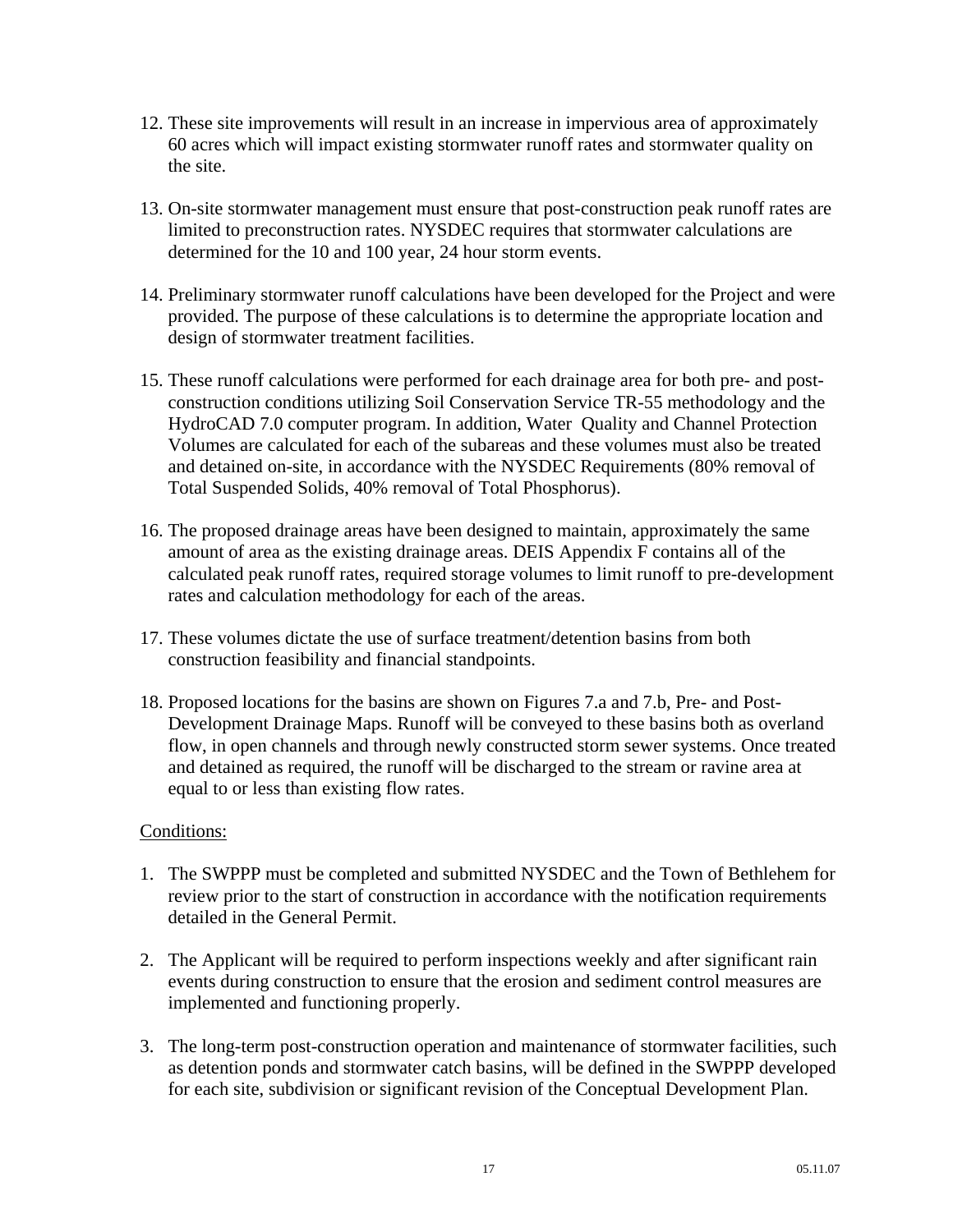- 12. These site improvements will result in an increase in impervious area of approximately 60 acres which will impact existing stormwater runoff rates and stormwater quality on the site.
- 13. On-site stormwater management must ensure that post-construction peak runoff rates are limited to preconstruction rates. NYSDEC requires that stormwater calculations are determined for the 10 and 100 year, 24 hour storm events.
- 14. Preliminary stormwater runoff calculations have been developed for the Project and were provided. The purpose of these calculations is to determine the appropriate location and design of stormwater treatment facilities.
- 15. These runoff calculations were performed for each drainage area for both pre- and postconstruction conditions utilizing Soil Conservation Service TR-55 methodology and the HydroCAD 7.0 computer program. In addition, Water Quality and Channel Protection Volumes are calculated for each of the subareas and these volumes must also be treated and detained on-site, in accordance with the NYSDEC Requirements (80% removal of Total Suspended Solids, 40% removal of Total Phosphorus).
- 16. The proposed drainage areas have been designed to maintain, approximately the same amount of area as the existing drainage areas. DEIS Appendix F contains all of the calculated peak runoff rates, required storage volumes to limit runoff to pre-development rates and calculation methodology for each of the areas.
- 17. These volumes dictate the use of surface treatment/detention basins from both construction feasibility and financial standpoints.
- 18. Proposed locations for the basins are shown on Figures 7.a and 7.b, Pre- and Post-Development Drainage Maps. Runoff will be conveyed to these basins both as overland flow, in open channels and through newly constructed storm sewer systems. Once treated and detained as required, the runoff will be discharged to the stream or ravine area at equal to or less than existing flow rates.

#### Conditions:

- 1. The SWPPP must be completed and submitted NYSDEC and the Town of Bethlehem for review prior to the start of construction in accordance with the notification requirements detailed in the General Permit.
- 2. The Applicant will be required to perform inspections weekly and after significant rain events during construction to ensure that the erosion and sediment control measures are implemented and functioning properly.
- 3. The long-term post-construction operation and maintenance of stormwater facilities, such as detention ponds and stormwater catch basins, will be defined in the SWPPP developed for each site, subdivision or significant revision of the Conceptual Development Plan.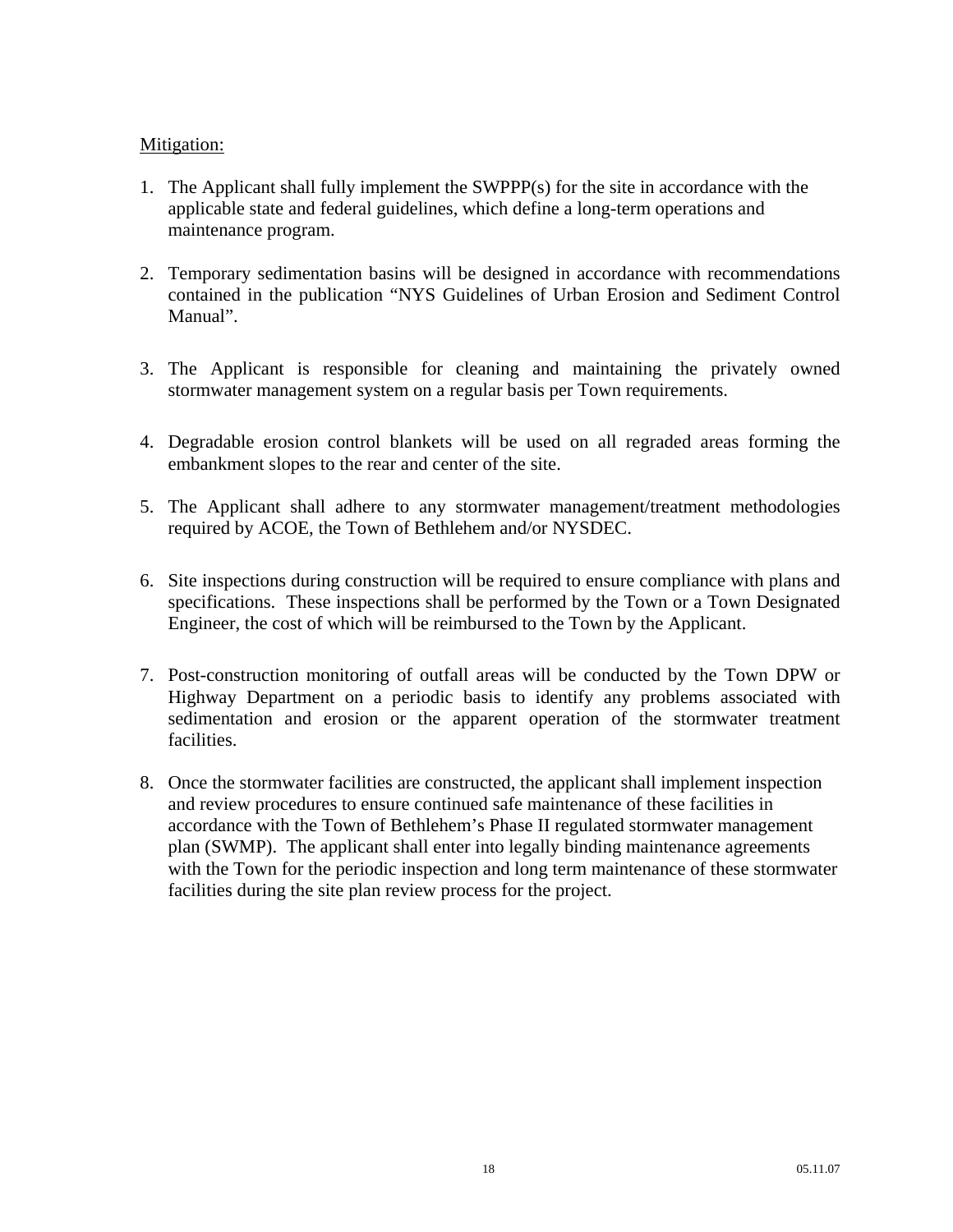### Mitigation:

- 1. The Applicant shall fully implement the SWPPP(s) for the site in accordance with the applicable state and federal guidelines, which define a long-term operations and maintenance program.
- 2. Temporary sedimentation basins will be designed in accordance with recommendations contained in the publication "NYS Guidelines of Urban Erosion and Sediment Control Manual".
- 3. The Applicant is responsible for cleaning and maintaining the privately owned stormwater management system on a regular basis per Town requirements.
- 4. Degradable erosion control blankets will be used on all regraded areas forming the embankment slopes to the rear and center of the site.
- 5. The Applicant shall adhere to any stormwater management/treatment methodologies required by ACOE, the Town of Bethlehem and/or NYSDEC.
- 6. Site inspections during construction will be required to ensure compliance with plans and specifications. These inspections shall be performed by the Town or a Town Designated Engineer, the cost of which will be reimbursed to the Town by the Applicant.
- 7. Post-construction monitoring of outfall areas will be conducted by the Town DPW or Highway Department on a periodic basis to identify any problems associated with sedimentation and erosion or the apparent operation of the stormwater treatment facilities.
- 8. Once the stormwater facilities are constructed, the applicant shall implement inspection and review procedures to ensure continued safe maintenance of these facilities in accordance with the Town of Bethlehem's Phase II regulated stormwater management plan (SWMP). The applicant shall enter into legally binding maintenance agreements with the Town for the periodic inspection and long term maintenance of these stormwater facilities during the site plan review process for the project.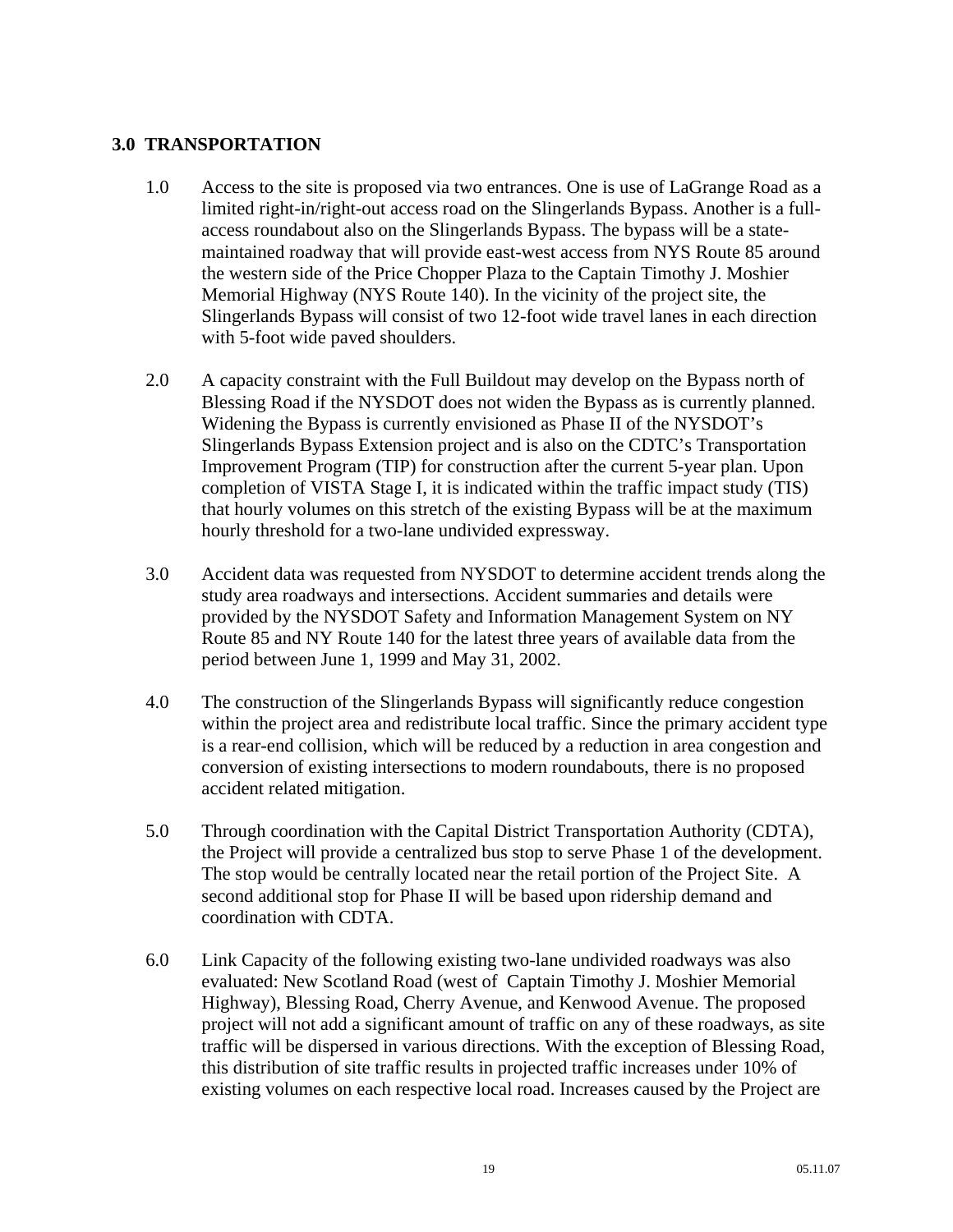## **3.0 TRANSPORTATION**

- 1.0 Access to the site is proposed via two entrances. One is use of LaGrange Road as a limited right-in/right-out access road on the Slingerlands Bypass. Another is a fullaccess roundabout also on the Slingerlands Bypass. The bypass will be a statemaintained roadway that will provide east-west access from NYS Route 85 around the western side of the Price Chopper Plaza to the Captain Timothy J. Moshier Memorial Highway (NYS Route 140). In the vicinity of the project site, the Slingerlands Bypass will consist of two 12-foot wide travel lanes in each direction with 5-foot wide paved shoulders.
- 2.0 A capacity constraint with the Full Buildout may develop on the Bypass north of Blessing Road if the NYSDOT does not widen the Bypass as is currently planned. Widening the Bypass is currently envisioned as Phase II of the NYSDOT's Slingerlands Bypass Extension project and is also on the CDTC's Transportation Improvement Program (TIP) for construction after the current 5-year plan. Upon completion of VISTA Stage I, it is indicated within the traffic impact study (TIS) that hourly volumes on this stretch of the existing Bypass will be at the maximum hourly threshold for a two-lane undivided expressway.
- 3.0 Accident data was requested from NYSDOT to determine accident trends along the study area roadways and intersections. Accident summaries and details were provided by the NYSDOT Safety and Information Management System on NY Route 85 and NY Route 140 for the latest three years of available data from the period between June 1, 1999 and May 31, 2002.
- 4.0 The construction of the Slingerlands Bypass will significantly reduce congestion within the project area and redistribute local traffic. Since the primary accident type is a rear-end collision, which will be reduced by a reduction in area congestion and conversion of existing intersections to modern roundabouts, there is no proposed accident related mitigation.
- 5.0 Through coordination with the Capital District Transportation Authority (CDTA), the Project will provide a centralized bus stop to serve Phase 1 of the development. The stop would be centrally located near the retail portion of the Project Site. A second additional stop for Phase II will be based upon ridership demand and coordination with CDTA.
- 6.0 Link Capacity of the following existing two-lane undivided roadways was also evaluated: New Scotland Road (west of Captain Timothy J. Moshier Memorial Highway), Blessing Road, Cherry Avenue, and Kenwood Avenue. The proposed project will not add a significant amount of traffic on any of these roadways, as site traffic will be dispersed in various directions. With the exception of Blessing Road, this distribution of site traffic results in projected traffic increases under 10% of existing volumes on each respective local road. Increases caused by the Project are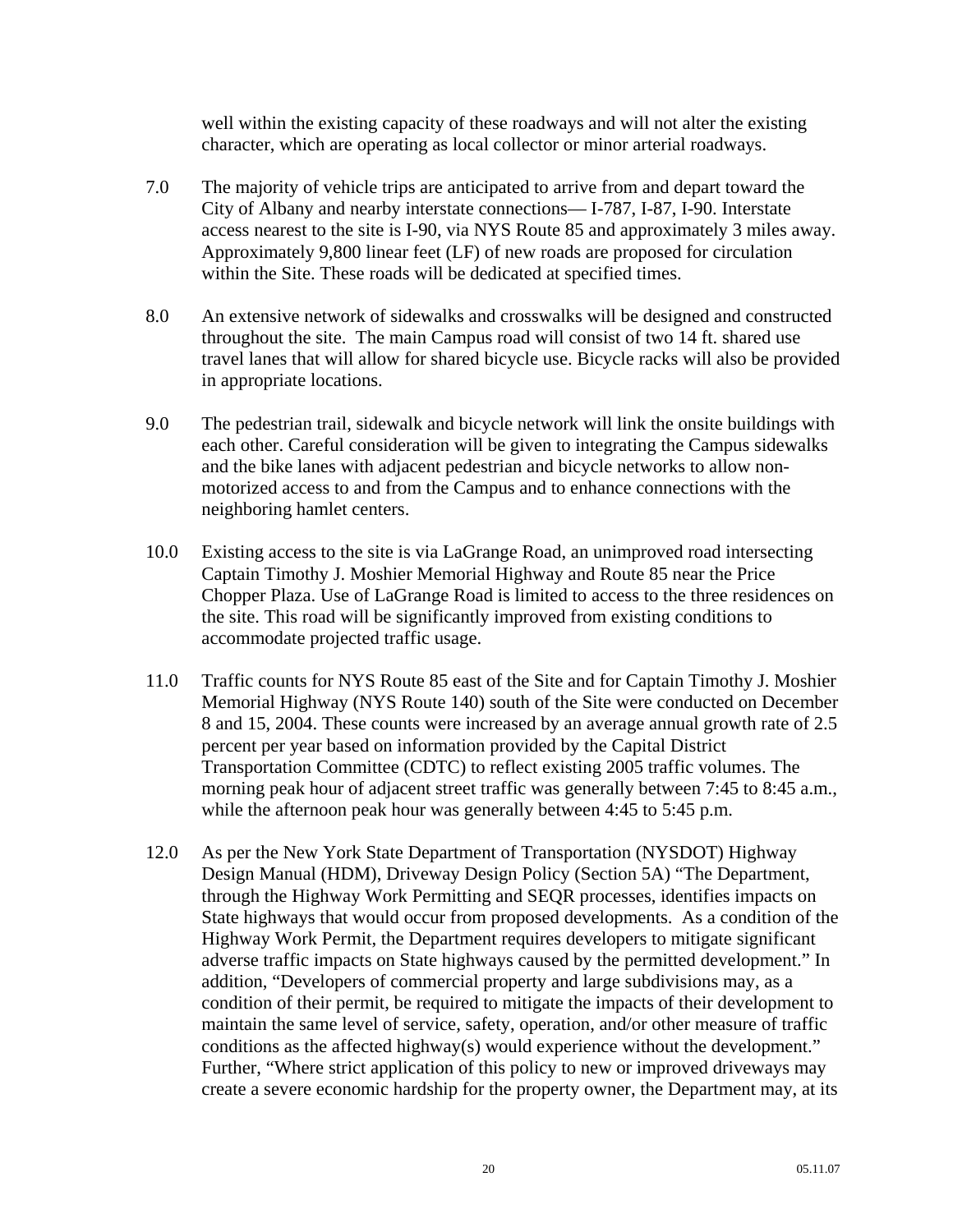well within the existing capacity of these roadways and will not alter the existing character, which are operating as local collector or minor arterial roadways.

- 7.0 The majority of vehicle trips are anticipated to arrive from and depart toward the City of Albany and nearby interstate connections— I-787, I-87, I-90. Interstate access nearest to the site is I-90, via NYS Route 85 and approximately 3 miles away. Approximately 9,800 linear feet (LF) of new roads are proposed for circulation within the Site. These roads will be dedicated at specified times.
- 8.0 An extensive network of sidewalks and crosswalks will be designed and constructed throughout the site. The main Campus road will consist of two 14 ft. shared use travel lanes that will allow for shared bicycle use. Bicycle racks will also be provided in appropriate locations.
- 9.0 The pedestrian trail, sidewalk and bicycle network will link the onsite buildings with each other. Careful consideration will be given to integrating the Campus sidewalks and the bike lanes with adjacent pedestrian and bicycle networks to allow nonmotorized access to and from the Campus and to enhance connections with the neighboring hamlet centers.
- 10.0 Existing access to the site is via LaGrange Road, an unimproved road intersecting Captain Timothy J. Moshier Memorial Highway and Route 85 near the Price Chopper Plaza. Use of LaGrange Road is limited to access to the three residences on the site. This road will be significantly improved from existing conditions to accommodate projected traffic usage.
- 11.0 Traffic counts for NYS Route 85 east of the Site and for Captain Timothy J. Moshier Memorial Highway (NYS Route 140) south of the Site were conducted on December 8 and 15, 2004. These counts were increased by an average annual growth rate of 2.5 percent per year based on information provided by the Capital District Transportation Committee (CDTC) to reflect existing 2005 traffic volumes. The morning peak hour of adjacent street traffic was generally between 7:45 to 8:45 a.m., while the afternoon peak hour was generally between 4:45 to 5:45 p.m.
- 12.0 As per the New York State Department of Transportation (NYSDOT) Highway Design Manual (HDM), Driveway Design Policy (Section 5A) "The Department, through the Highway Work Permitting and SEQR processes, identifies impacts on State highways that would occur from proposed developments. As a condition of the Highway Work Permit, the Department requires developers to mitigate significant adverse traffic impacts on State highways caused by the permitted development." In addition, "Developers of commercial property and large subdivisions may, as a condition of their permit, be required to mitigate the impacts of their development to maintain the same level of service, safety, operation, and/or other measure of traffic conditions as the affected highway(s) would experience without the development." Further, "Where strict application of this policy to new or improved driveways may create a severe economic hardship for the property owner, the Department may, at its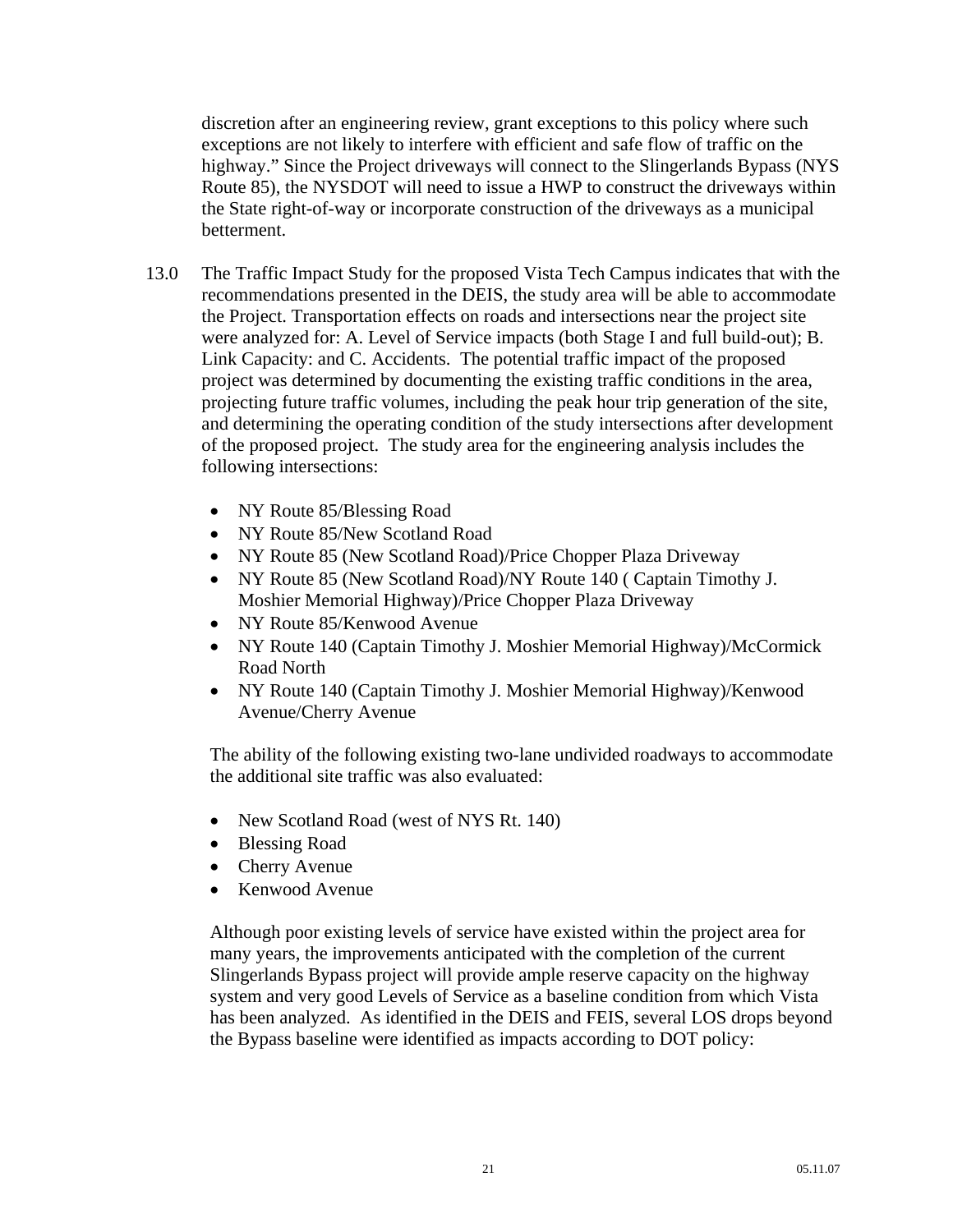discretion after an engineering review, grant exceptions to this policy where such exceptions are not likely to interfere with efficient and safe flow of traffic on the highway." Since the Project driveways will connect to the Slingerlands Bypass (NYS Route 85), the NYSDOT will need to issue a HWP to construct the driveways within the State right-of-way or incorporate construction of the driveways as a municipal betterment.

- 13.0 The Traffic Impact Study for the proposed Vista Tech Campus indicates that with the recommendations presented in the DEIS, the study area will be able to accommodate the Project. Transportation effects on roads and intersections near the project site were analyzed for: A. Level of Service impacts (both Stage I and full build-out); B. Link Capacity: and C. Accidents. The potential traffic impact of the proposed project was determined by documenting the existing traffic conditions in the area, projecting future traffic volumes, including the peak hour trip generation of the site, and determining the operating condition of the study intersections after development of the proposed project. The study area for the engineering analysis includes the following intersections:
	- NY Route 85/Blessing Road
	- NY Route 85/New Scotland Road
	- NY Route 85 (New Scotland Road)/Price Chopper Plaza Driveway
	- NY Route 85 (New Scotland Road)/NY Route 140 (Captain Timothy J. Moshier Memorial Highway)/Price Chopper Plaza Driveway
	- NY Route 85/Kenwood Avenue
	- NY Route 140 (Captain Timothy J. Moshier Memorial Highway)/McCormick Road North
	- NY Route 140 (Captain Timothy J. Moshier Memorial Highway)/Kenwood Avenue/Cherry Avenue

The ability of the following existing two-lane undivided roadways to accommodate the additional site traffic was also evaluated:

- New Scotland Road (west of NYS Rt. 140)
- Blessing Road
- Cherry Avenue
- Kenwood Avenue

Although poor existing levels of service have existed within the project area for many years, the improvements anticipated with the completion of the current Slingerlands Bypass project will provide ample reserve capacity on the highway system and very good Levels of Service as a baseline condition from which Vista has been analyzed. As identified in the DEIS and FEIS, several LOS drops beyond the Bypass baseline were identified as impacts according to DOT policy: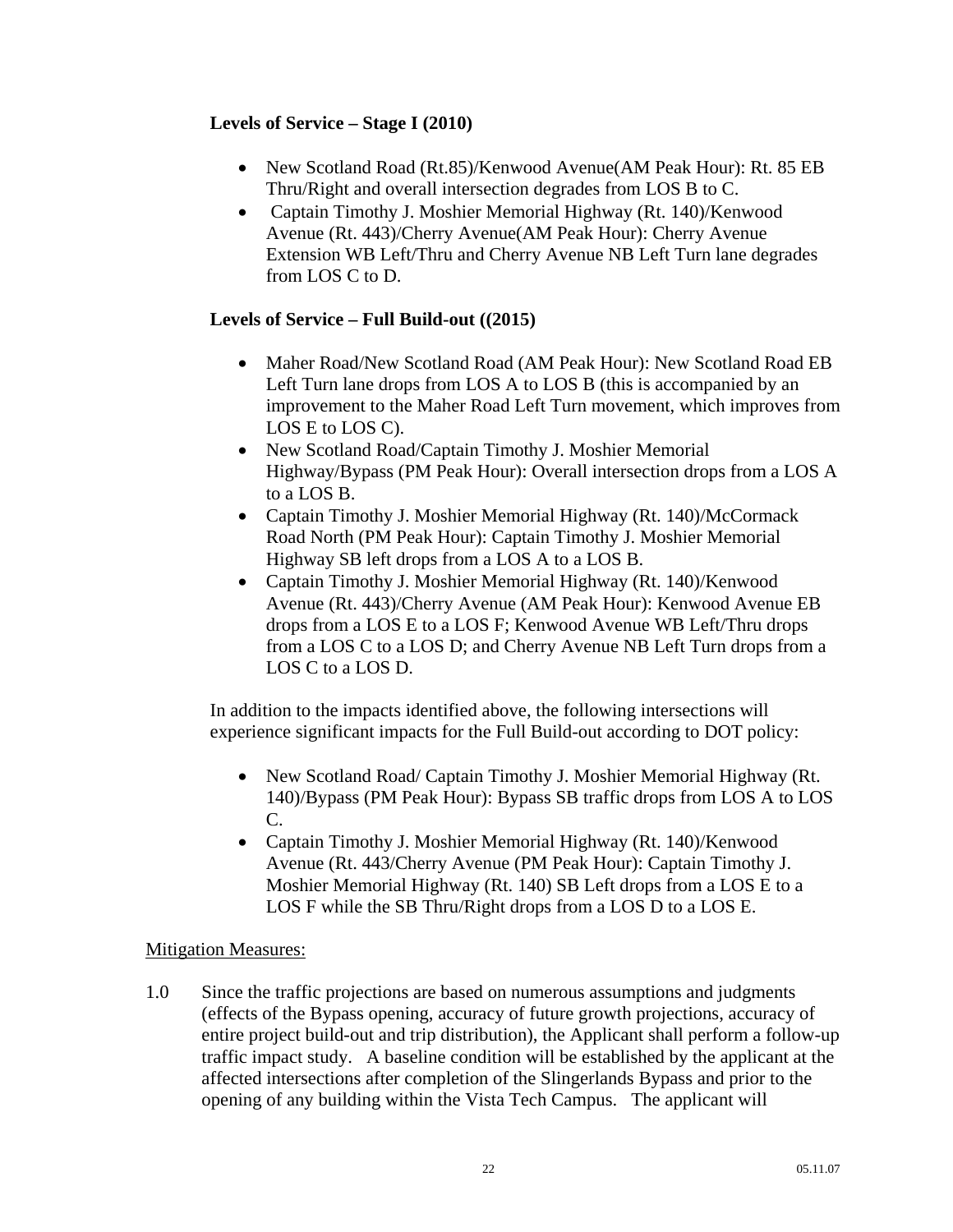# **Levels of Service – Stage I (2010)**

- New Scotland Road (Rt.85)/Kenwood Avenue(AM Peak Hour): Rt. 85 EB Thru/Right and overall intersection degrades from LOS B to C.
- Captain Timothy J. Moshier Memorial Highway (Rt. 140)/Kenwood Avenue (Rt. 443)/Cherry Avenue(AM Peak Hour): Cherry Avenue Extension WB Left/Thru and Cherry Avenue NB Left Turn lane degrades from LOS C to D.

## **Levels of Service – Full Build-out ((2015)**

- Maher Road/New Scotland Road (AM Peak Hour): New Scotland Road EB Left Turn lane drops from LOS A to LOS B (this is accompanied by an improvement to the Maher Road Left Turn movement, which improves from LOS E to LOS C).
- New Scotland Road/Captain Timothy J. Moshier Memorial Highway/Bypass (PM Peak Hour): Overall intersection drops from a LOS A to a LOS B.
- Captain Timothy J. Moshier Memorial Highway (Rt. 140)/McCormack Road North (PM Peak Hour): Captain Timothy J. Moshier Memorial Highway SB left drops from a LOS A to a LOS B.
- Captain Timothy J. Moshier Memorial Highway (Rt. 140)/Kenwood Avenue (Rt. 443)/Cherry Avenue (AM Peak Hour): Kenwood Avenue EB drops from a LOS E to a LOS F; Kenwood Avenue WB Left/Thru drops from a LOS C to a LOS D; and Cherry Avenue NB Left Turn drops from a LOS C to a LOS D.

In addition to the impacts identified above, the following intersections will experience significant impacts for the Full Build-out according to DOT policy:

- New Scotland Road/ Captain Timothy J. Moshier Memorial Highway (Rt. 140)/Bypass (PM Peak Hour): Bypass SB traffic drops from LOS A to LOS C.
- Captain Timothy J. Moshier Memorial Highway (Rt. 140)/Kenwood Avenue (Rt. 443/Cherry Avenue (PM Peak Hour): Captain Timothy J. Moshier Memorial Highway (Rt. 140) SB Left drops from a LOS E to a LOS F while the SB Thru/Right drops from a LOS D to a LOS E.

## Mitigation Measures:

1.0 Since the traffic projections are based on numerous assumptions and judgments (effects of the Bypass opening, accuracy of future growth projections, accuracy of entire project build-out and trip distribution), the Applicant shall perform a follow-up traffic impact study. A baseline condition will be established by the applicant at the affected intersections after completion of the Slingerlands Bypass and prior to the opening of any building within the Vista Tech Campus. The applicant will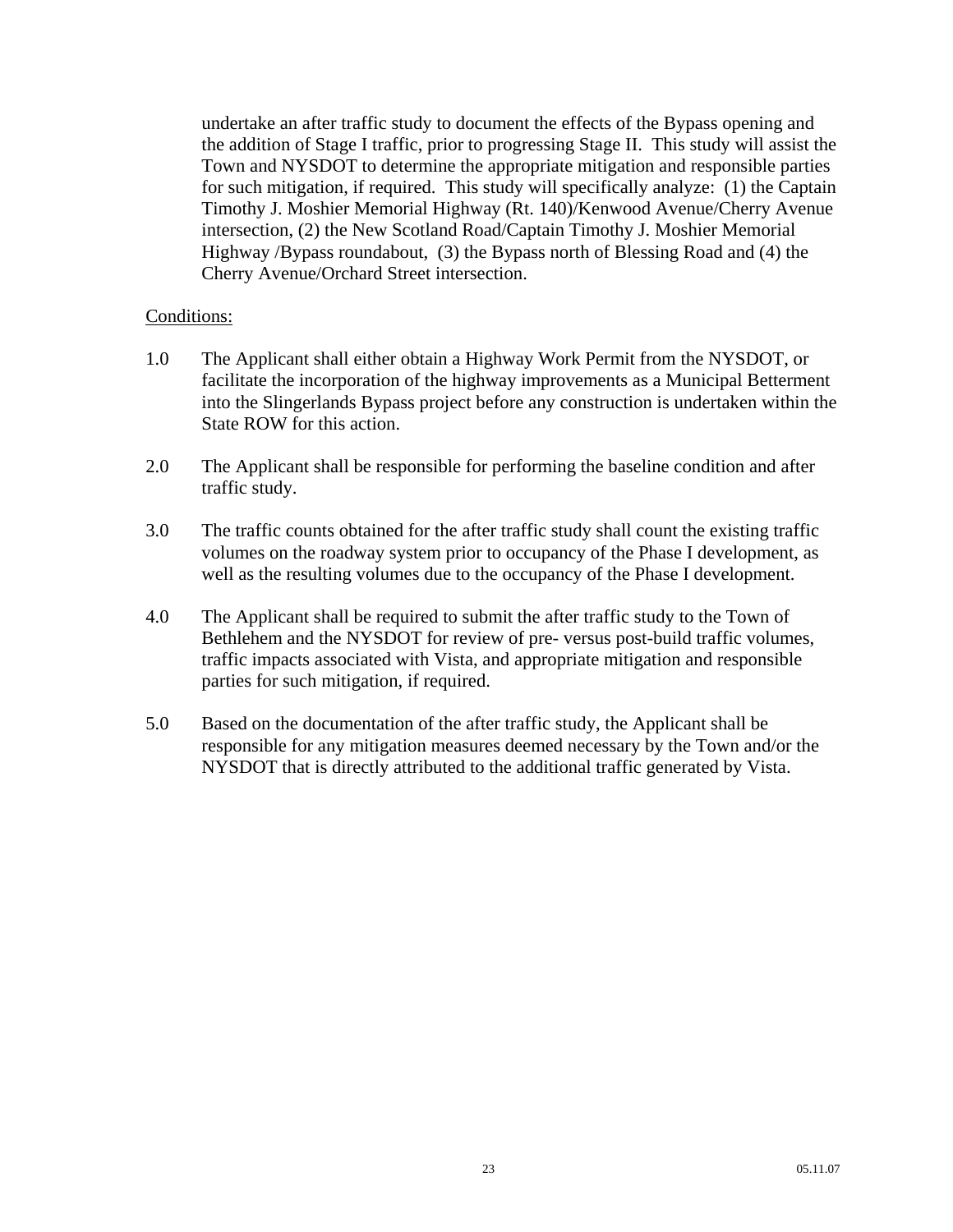undertake an after traffic study to document the effects of the Bypass opening and the addition of Stage I traffic, prior to progressing Stage II. This study will assist the Town and NYSDOT to determine the appropriate mitigation and responsible parties for such mitigation, if required. This study will specifically analyze: (1) the Captain Timothy J. Moshier Memorial Highway (Rt. 140)/Kenwood Avenue/Cherry Avenue intersection, (2) the New Scotland Road/Captain Timothy J. Moshier Memorial Highway /Bypass roundabout, (3) the Bypass north of Blessing Road and (4) the Cherry Avenue/Orchard Street intersection.

#### Conditions:

- 1.0 The Applicant shall either obtain a Highway Work Permit from the NYSDOT, or facilitate the incorporation of the highway improvements as a Municipal Betterment into the Slingerlands Bypass project before any construction is undertaken within the State ROW for this action.
- 2.0 The Applicant shall be responsible for performing the baseline condition and after traffic study.
- 3.0 The traffic counts obtained for the after traffic study shall count the existing traffic volumes on the roadway system prior to occupancy of the Phase I development, as well as the resulting volumes due to the occupancy of the Phase I development.
- 4.0 The Applicant shall be required to submit the after traffic study to the Town of Bethlehem and the NYSDOT for review of pre- versus post-build traffic volumes, traffic impacts associated with Vista, and appropriate mitigation and responsible parties for such mitigation, if required.
- 5.0 Based on the documentation of the after traffic study, the Applicant shall be responsible for any mitigation measures deemed necessary by the Town and/or the NYSDOT that is directly attributed to the additional traffic generated by Vista.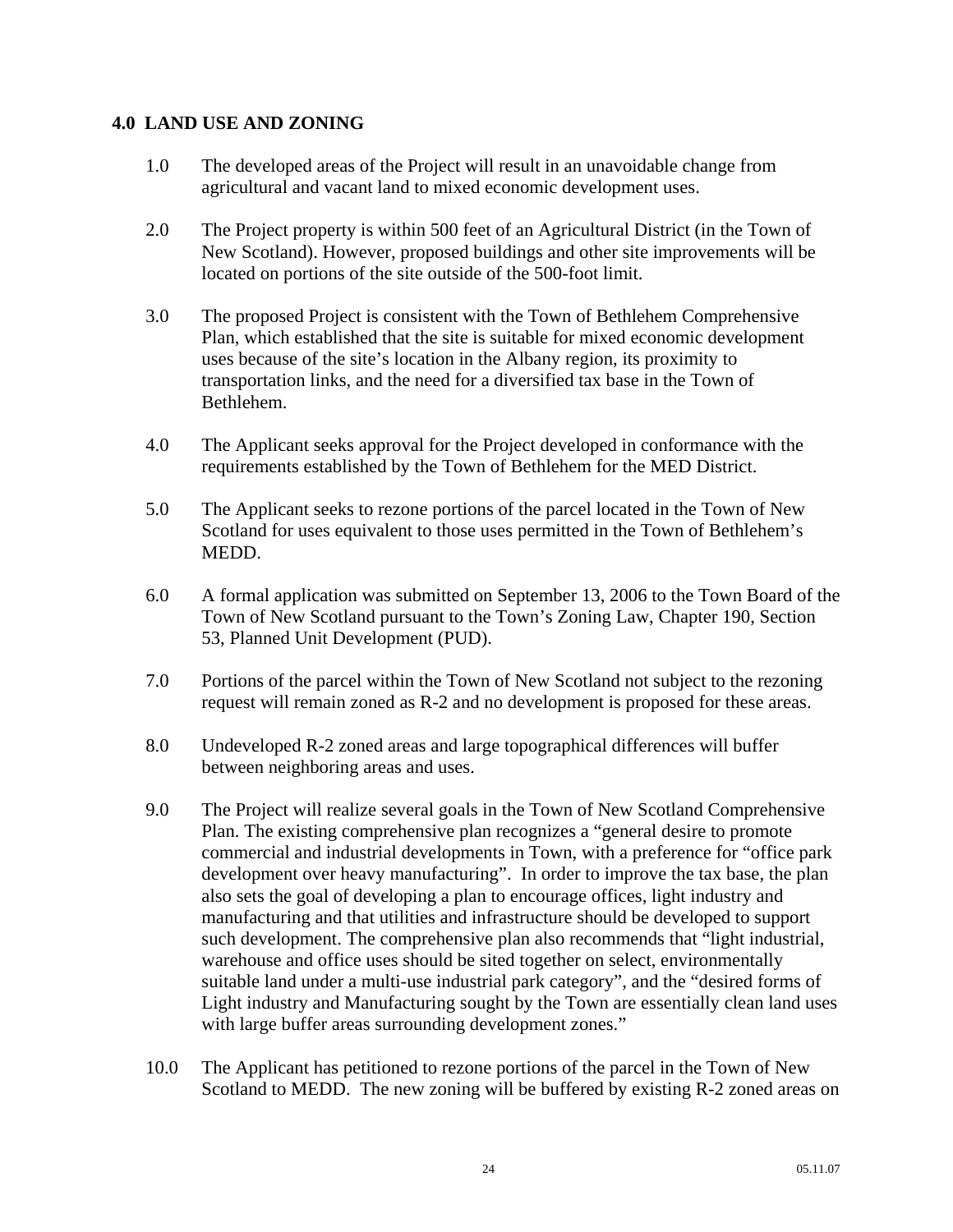### **4.0 LAND USE AND ZONING**

- 1.0 The developed areas of the Project will result in an unavoidable change from agricultural and vacant land to mixed economic development uses.
- 2.0 The Project property is within 500 feet of an Agricultural District (in the Town of New Scotland). However, proposed buildings and other site improvements will be located on portions of the site outside of the 500-foot limit.
- 3.0 The proposed Project is consistent with the Town of Bethlehem Comprehensive Plan, which established that the site is suitable for mixed economic development uses because of the site's location in the Albany region, its proximity to transportation links, and the need for a diversified tax base in the Town of Bethlehem.
- 4.0 The Applicant seeks approval for the Project developed in conformance with the requirements established by the Town of Bethlehem for the MED District.
- 5.0 The Applicant seeks to rezone portions of the parcel located in the Town of New Scotland for uses equivalent to those uses permitted in the Town of Bethlehem's MEDD.
- 6.0 A formal application was submitted on September 13, 2006 to the Town Board of the Town of New Scotland pursuant to the Town's Zoning Law, Chapter 190, Section 53, Planned Unit Development (PUD).
- 7.0 Portions of the parcel within the Town of New Scotland not subject to the rezoning request will remain zoned as R-2 and no development is proposed for these areas.
- 8.0 Undeveloped R-2 zoned areas and large topographical differences will buffer between neighboring areas and uses.
- 9.0 The Project will realize several goals in the Town of New Scotland Comprehensive Plan. The existing comprehensive plan recognizes a "general desire to promote commercial and industrial developments in Town, with a preference for "office park development over heavy manufacturing". In order to improve the tax base, the plan also sets the goal of developing a plan to encourage offices, light industry and manufacturing and that utilities and infrastructure should be developed to support such development. The comprehensive plan also recommends that "light industrial, warehouse and office uses should be sited together on select, environmentally suitable land under a multi-use industrial park category", and the "desired forms of Light industry and Manufacturing sought by the Town are essentially clean land uses with large buffer areas surrounding development zones."
- 10.0 The Applicant has petitioned to rezone portions of the parcel in the Town of New Scotland to MEDD. The new zoning will be buffered by existing R-2 zoned areas on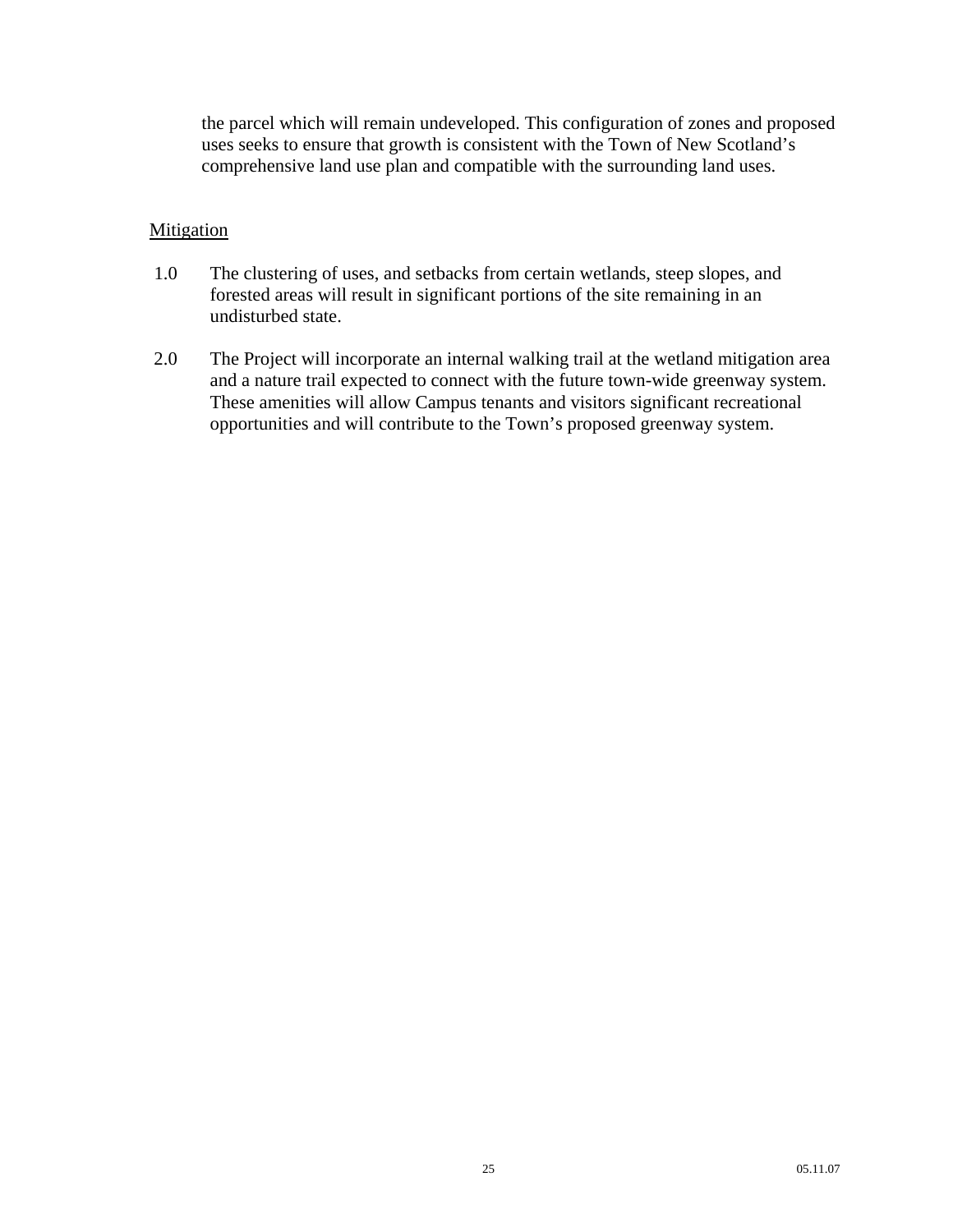the parcel which will remain undeveloped. This configuration of zones and proposed uses seeks to ensure that growth is consistent with the Town of New Scotland's comprehensive land use plan and compatible with the surrounding land uses.

### **Mitigation**

- 1.0 The clustering of uses, and setbacks from certain wetlands, steep slopes, and forested areas will result in significant portions of the site remaining in an undisturbed state.
- 2.0 The Project will incorporate an internal walking trail at the wetland mitigation area and a nature trail expected to connect with the future town-wide greenway system. These amenities will allow Campus tenants and visitors significant recreational opportunities and will contribute to the Town's proposed greenway system.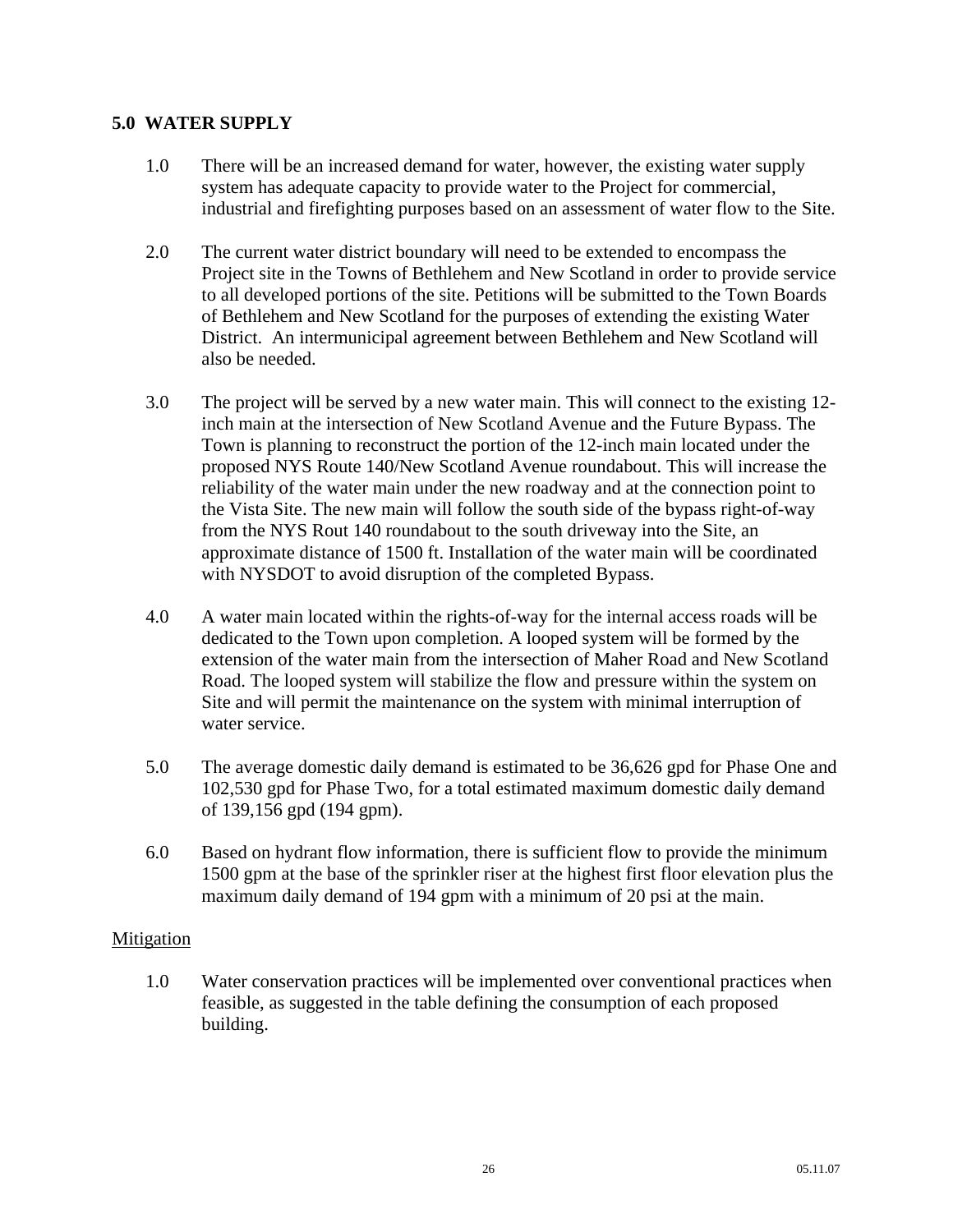## **5.0 WATER SUPPLY**

- 1.0 There will be an increased demand for water, however, the existing water supply system has adequate capacity to provide water to the Project for commercial, industrial and firefighting purposes based on an assessment of water flow to the Site.
- 2.0 The current water district boundary will need to be extended to encompass the Project site in the Towns of Bethlehem and New Scotland in order to provide service to all developed portions of the site. Petitions will be submitted to the Town Boards of Bethlehem and New Scotland for the purposes of extending the existing Water District. An intermunicipal agreement between Bethlehem and New Scotland will also be needed.
- 3.0 The project will be served by a new water main. This will connect to the existing 12 inch main at the intersection of New Scotland Avenue and the Future Bypass. The Town is planning to reconstruct the portion of the 12-inch main located under the proposed NYS Route 140/New Scotland Avenue roundabout. This will increase the reliability of the water main under the new roadway and at the connection point to the Vista Site. The new main will follow the south side of the bypass right-of-way from the NYS Rout 140 roundabout to the south driveway into the Site, an approximate distance of 1500 ft. Installation of the water main will be coordinated with NYSDOT to avoid disruption of the completed Bypass.
- 4.0 A water main located within the rights-of-way for the internal access roads will be dedicated to the Town upon completion. A looped system will be formed by the extension of the water main from the intersection of Maher Road and New Scotland Road. The looped system will stabilize the flow and pressure within the system on Site and will permit the maintenance on the system with minimal interruption of water service.
- 5.0 The average domestic daily demand is estimated to be 36,626 gpd for Phase One and 102,530 gpd for Phase Two, for a total estimated maximum domestic daily demand of 139,156 gpd (194 gpm).
- 6.0 Based on hydrant flow information, there is sufficient flow to provide the minimum 1500 gpm at the base of the sprinkler riser at the highest first floor elevation plus the maximum daily demand of 194 gpm with a minimum of 20 psi at the main.

#### **Mitigation**

1.0 Water conservation practices will be implemented over conventional practices when feasible, as suggested in the table defining the consumption of each proposed building.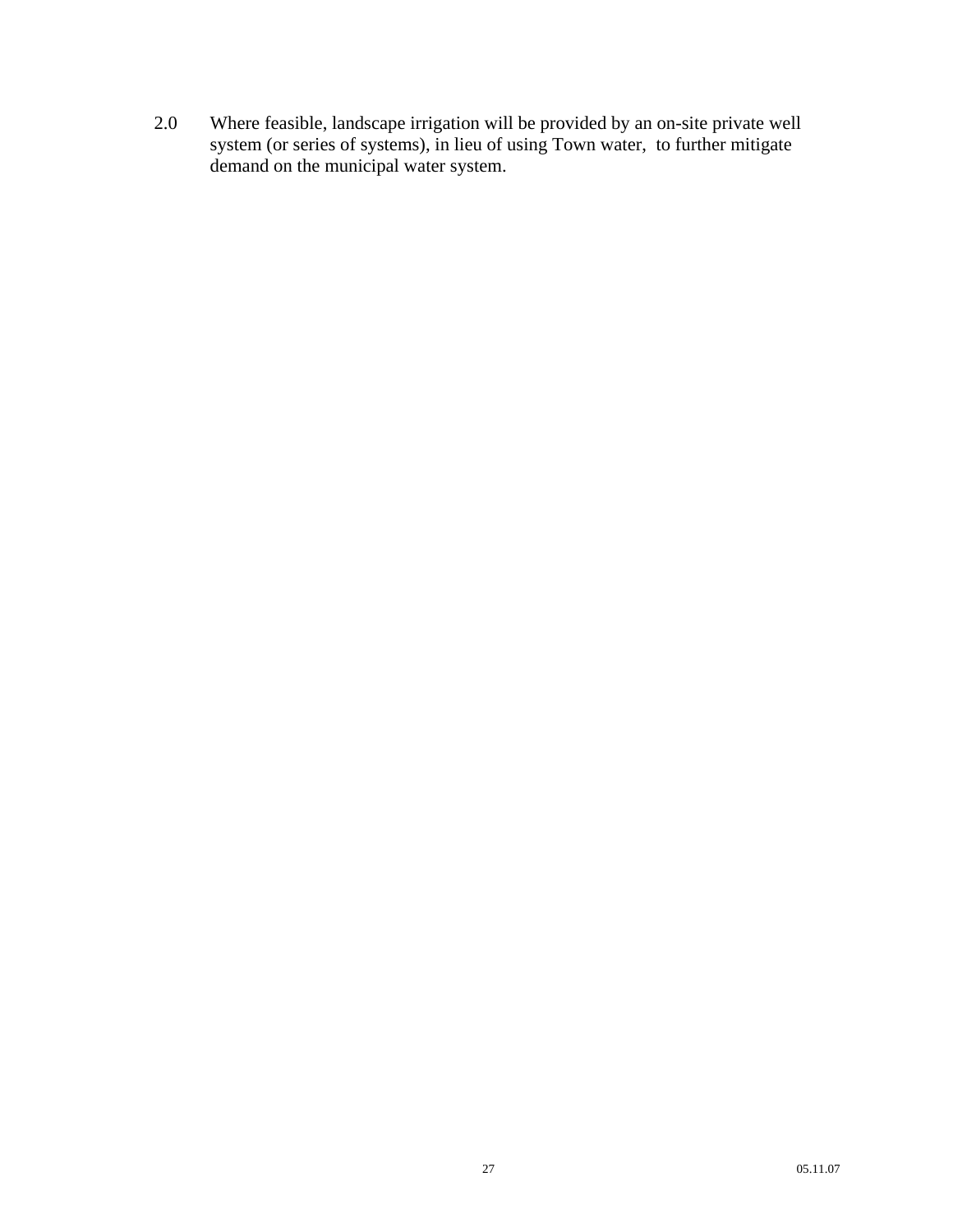2.0 Where feasible, landscape irrigation will be provided by an on-site private well system (or series of systems), in lieu of using Town water, to further mitigate demand on the municipal water system.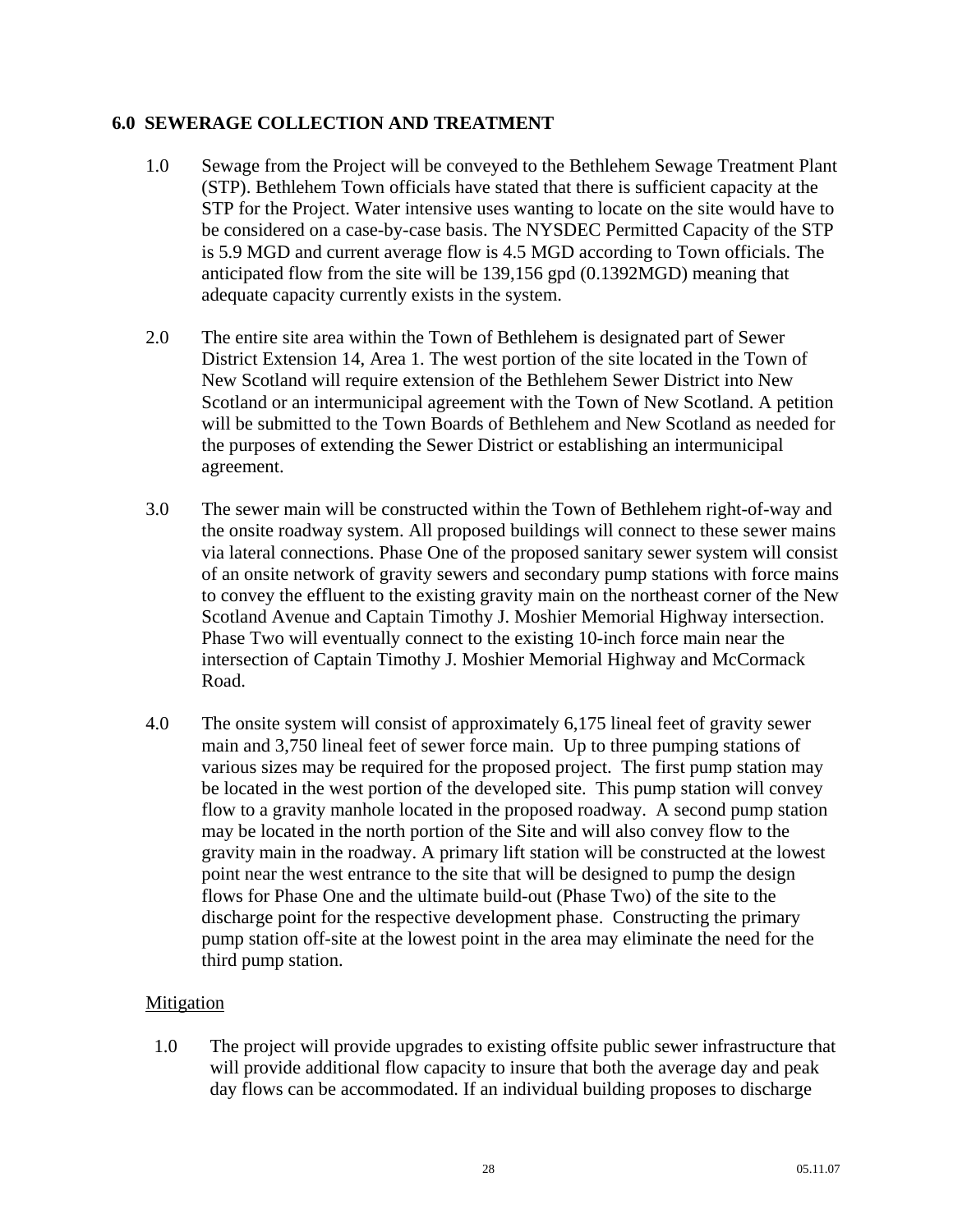### **6.0 SEWERAGE COLLECTION AND TREATMENT**

- 1.0 Sewage from the Project will be conveyed to the Bethlehem Sewage Treatment Plant (STP). Bethlehem Town officials have stated that there is sufficient capacity at the STP for the Project. Water intensive uses wanting to locate on the site would have to be considered on a case-by-case basis. The NYSDEC Permitted Capacity of the STP is 5.9 MGD and current average flow is 4.5 MGD according to Town officials. The anticipated flow from the site will be 139,156 gpd (0.1392MGD) meaning that adequate capacity currently exists in the system.
- 2.0 The entire site area within the Town of Bethlehem is designated part of Sewer District Extension 14, Area 1. The west portion of the site located in the Town of New Scotland will require extension of the Bethlehem Sewer District into New Scotland or an intermunicipal agreement with the Town of New Scotland. A petition will be submitted to the Town Boards of Bethlehem and New Scotland as needed for the purposes of extending the Sewer District or establishing an intermunicipal agreement.
- 3.0 The sewer main will be constructed within the Town of Bethlehem right-of-way and the onsite roadway system. All proposed buildings will connect to these sewer mains via lateral connections. Phase One of the proposed sanitary sewer system will consist of an onsite network of gravity sewers and secondary pump stations with force mains to convey the effluent to the existing gravity main on the northeast corner of the New Scotland Avenue and Captain Timothy J. Moshier Memorial Highway intersection. Phase Two will eventually connect to the existing 10-inch force main near the intersection of Captain Timothy J. Moshier Memorial Highway and McCormack Road.
- 4.0 The onsite system will consist of approximately 6,175 lineal feet of gravity sewer main and 3,750 lineal feet of sewer force main. Up to three pumping stations of various sizes may be required for the proposed project. The first pump station may be located in the west portion of the developed site. This pump station will convey flow to a gravity manhole located in the proposed roadway. A second pump station may be located in the north portion of the Site and will also convey flow to the gravity main in the roadway. A primary lift station will be constructed at the lowest point near the west entrance to the site that will be designed to pump the design flows for Phase One and the ultimate build-out (Phase Two) of the site to the discharge point for the respective development phase. Constructing the primary pump station off-site at the lowest point in the area may eliminate the need for the third pump station.

## Mitigation

1.0 The project will provide upgrades to existing offsite public sewer infrastructure that will provide additional flow capacity to insure that both the average day and peak day flows can be accommodated. If an individual building proposes to discharge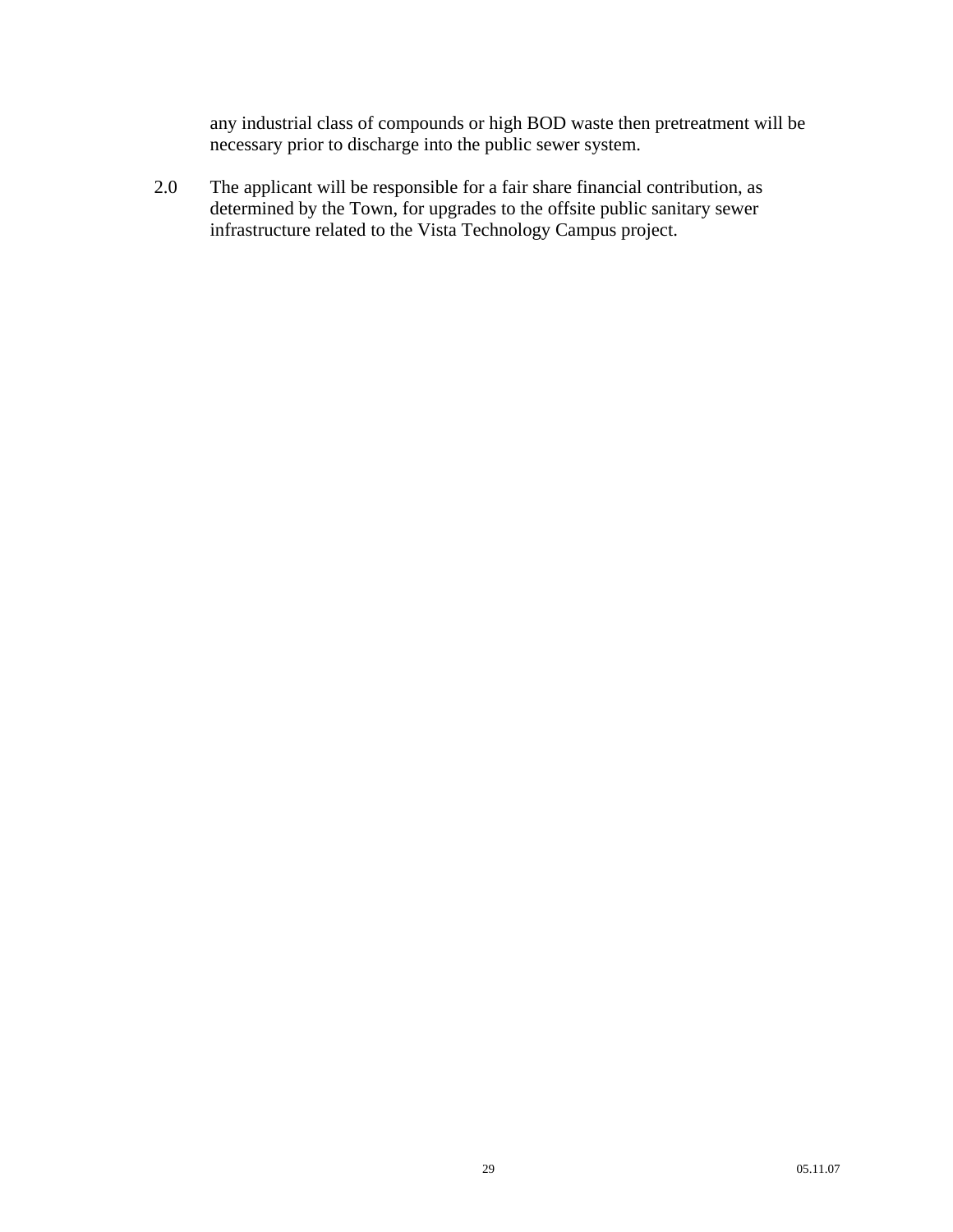any industrial class of compounds or high BOD waste then pretreatment will be necessary prior to discharge into the public sewer system.

2.0 The applicant will be responsible for a fair share financial contribution, as determined by the Town, for upgrades to the offsite public sanitary sewer infrastructure related to the Vista Technology Campus project.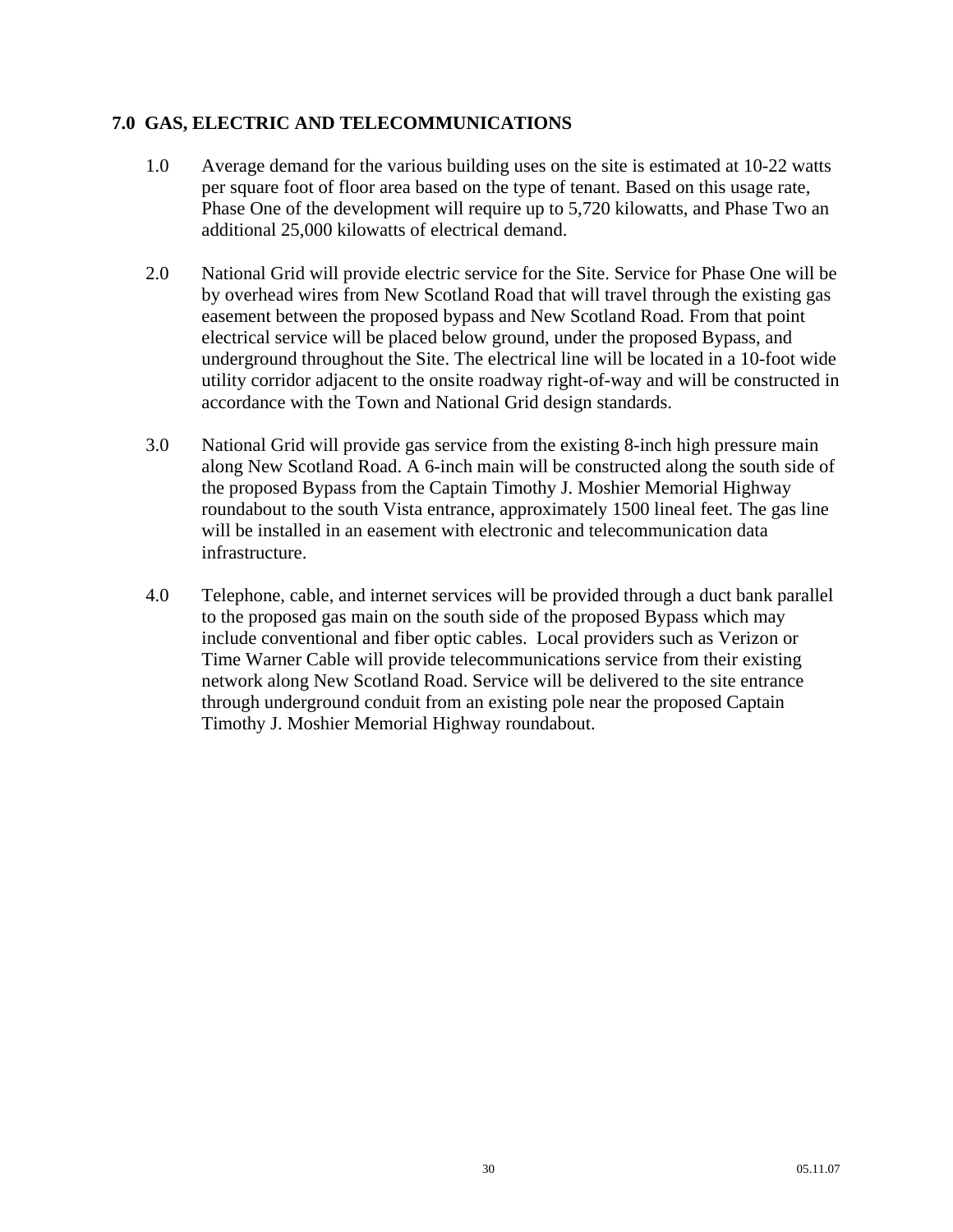### **7.0 GAS, ELECTRIC AND TELECOMMUNICATIONS**

- 1.0 Average demand for the various building uses on the site is estimated at 10-22 watts per square foot of floor area based on the type of tenant. Based on this usage rate, Phase One of the development will require up to 5,720 kilowatts, and Phase Two an additional 25,000 kilowatts of electrical demand.
- 2.0 National Grid will provide electric service for the Site. Service for Phase One will be by overhead wires from New Scotland Road that will travel through the existing gas easement between the proposed bypass and New Scotland Road. From that point electrical service will be placed below ground, under the proposed Bypass, and underground throughout the Site. The electrical line will be located in a 10-foot wide utility corridor adjacent to the onsite roadway right-of-way and will be constructed in accordance with the Town and National Grid design standards.
- 3.0 National Grid will provide gas service from the existing 8-inch high pressure main along New Scotland Road. A 6-inch main will be constructed along the south side of the proposed Bypass from the Captain Timothy J. Moshier Memorial Highway roundabout to the south Vista entrance, approximately 1500 lineal feet. The gas line will be installed in an easement with electronic and telecommunication data infrastructure.
- 4.0 Telephone, cable, and internet services will be provided through a duct bank parallel to the proposed gas main on the south side of the proposed Bypass which may include conventional and fiber optic cables. Local providers such as Verizon or Time Warner Cable will provide telecommunications service from their existing network along New Scotland Road. Service will be delivered to the site entrance through underground conduit from an existing pole near the proposed Captain Timothy J. Moshier Memorial Highway roundabout.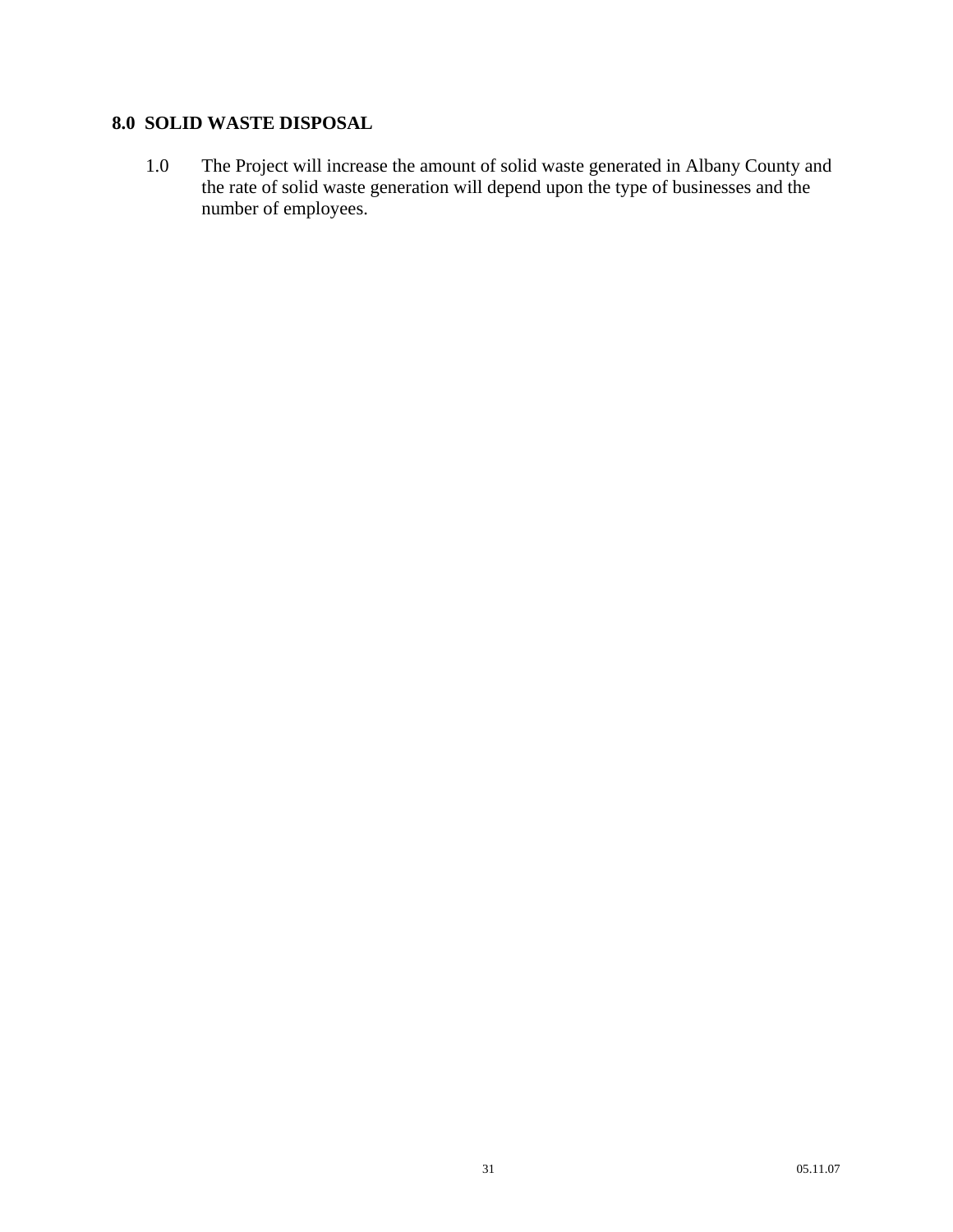# **8.0 SOLID WASTE DISPOSAL**

1.0 The Project will increase the amount of solid waste generated in Albany County and the rate of solid waste generation will depend upon the type of businesses and the number of employees.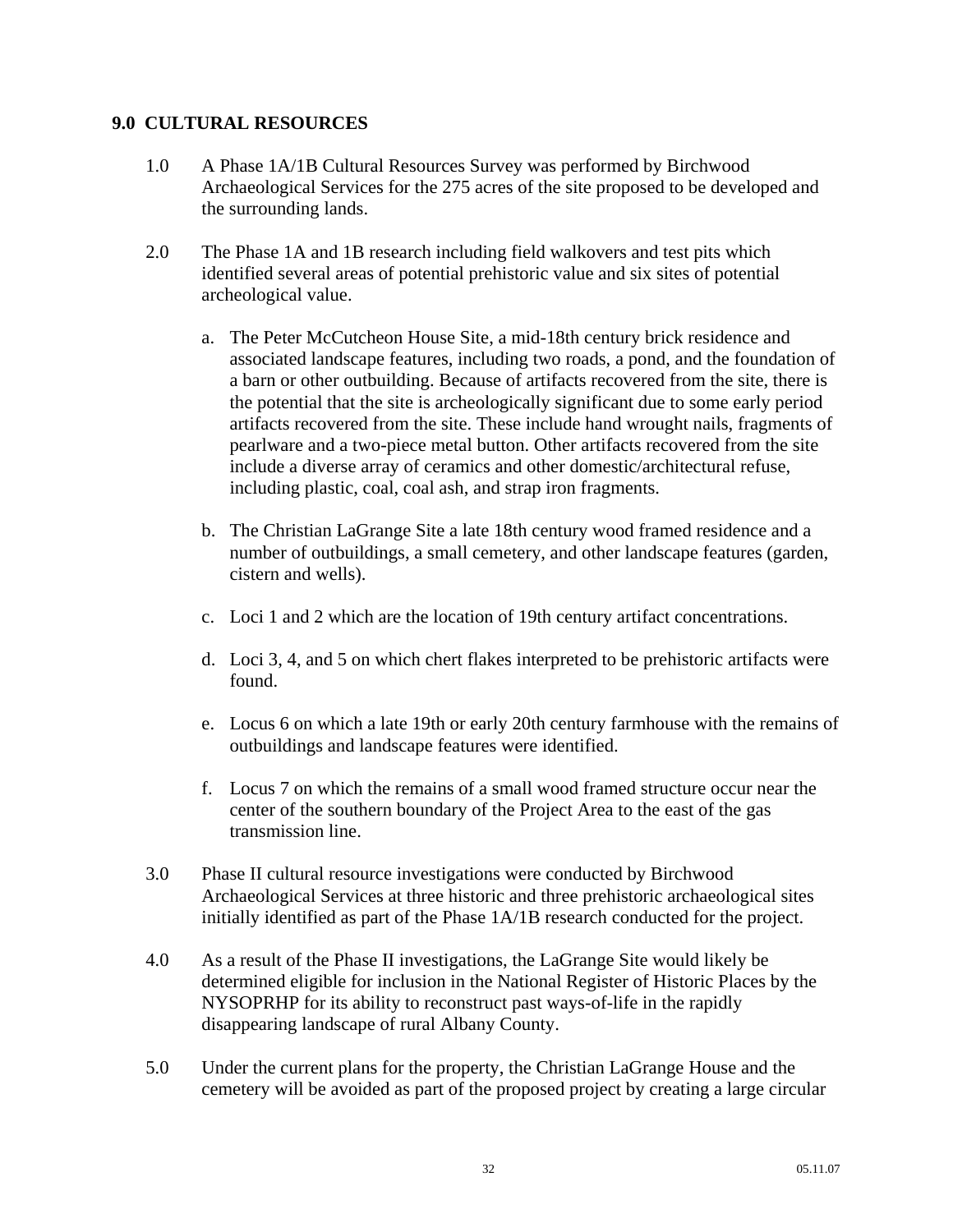### **9.0 CULTURAL RESOURCES**

- 1.0 A Phase 1A/1B Cultural Resources Survey was performed by Birchwood Archaeological Services for the 275 acres of the site proposed to be developed and the surrounding lands.
- 2.0 The Phase 1A and 1B research including field walkovers and test pits which identified several areas of potential prehistoric value and six sites of potential archeological value.
	- a. The Peter McCutcheon House Site, a mid-18th century brick residence and associated landscape features, including two roads, a pond, and the foundation of a barn or other outbuilding. Because of artifacts recovered from the site, there is the potential that the site is archeologically significant due to some early period artifacts recovered from the site. These include hand wrought nails, fragments of pearlware and a two-piece metal button. Other artifacts recovered from the site include a diverse array of ceramics and other domestic/architectural refuse, including plastic, coal, coal ash, and strap iron fragments.
	- b. The Christian LaGrange Site a late 18th century wood framed residence and a number of outbuildings, a small cemetery, and other landscape features (garden, cistern and wells).
	- c. Loci 1 and 2 which are the location of 19th century artifact concentrations.
	- d. Loci 3, 4, and 5 on which chert flakes interpreted to be prehistoric artifacts were found.
	- e. Locus 6 on which a late 19th or early 20th century farmhouse with the remains of outbuildings and landscape features were identified.
	- f. Locus 7 on which the remains of a small wood framed structure occur near the center of the southern boundary of the Project Area to the east of the gas transmission line.
- 3.0 Phase II cultural resource investigations were conducted by Birchwood Archaeological Services at three historic and three prehistoric archaeological sites initially identified as part of the Phase 1A/1B research conducted for the project.
- 4.0 As a result of the Phase II investigations, the LaGrange Site would likely be determined eligible for inclusion in the National Register of Historic Places by the NYSOPRHP for its ability to reconstruct past ways-of-life in the rapidly disappearing landscape of rural Albany County.
- 5.0 Under the current plans for the property, the Christian LaGrange House and the cemetery will be avoided as part of the proposed project by creating a large circular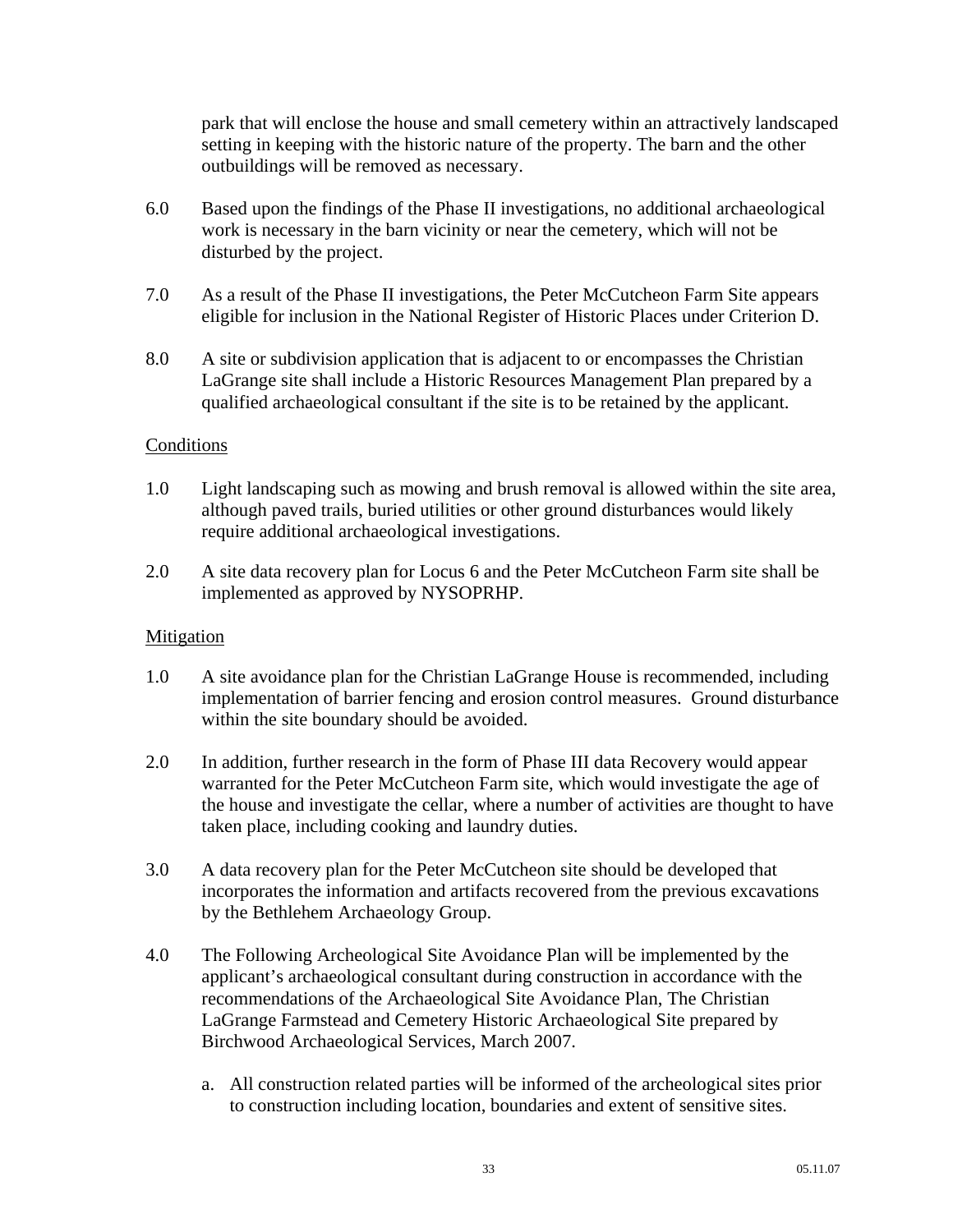park that will enclose the house and small cemetery within an attractively landscaped setting in keeping with the historic nature of the property. The barn and the other outbuildings will be removed as necessary.

- 6.0 Based upon the findings of the Phase II investigations, no additional archaeological work is necessary in the barn vicinity or near the cemetery, which will not be disturbed by the project.
- 7.0 As a result of the Phase II investigations, the Peter McCutcheon Farm Site appears eligible for inclusion in the National Register of Historic Places under Criterion D.
- 8.0 A site or subdivision application that is adjacent to or encompasses the Christian LaGrange site shall include a Historic Resources Management Plan prepared by a qualified archaeological consultant if the site is to be retained by the applicant.

### **Conditions**

- 1.0 Light landscaping such as mowing and brush removal is allowed within the site area, although paved trails, buried utilities or other ground disturbances would likely require additional archaeological investigations.
- 2.0 A site data recovery plan for Locus 6 and the Peter McCutcheon Farm site shall be implemented as approved by NYSOPRHP.

#### Mitigation

- 1.0 A site avoidance plan for the Christian LaGrange House is recommended, including implementation of barrier fencing and erosion control measures. Ground disturbance within the site boundary should be avoided.
- 2.0 In addition, further research in the form of Phase III data Recovery would appear warranted for the Peter McCutcheon Farm site, which would investigate the age of the house and investigate the cellar, where a number of activities are thought to have taken place, including cooking and laundry duties.
- 3.0 A data recovery plan for the Peter McCutcheon site should be developed that incorporates the information and artifacts recovered from the previous excavations by the Bethlehem Archaeology Group.
- 4.0 The Following Archeological Site Avoidance Plan will be implemented by the applicant's archaeological consultant during construction in accordance with the recommendations of the Archaeological Site Avoidance Plan, The Christian LaGrange Farmstead and Cemetery Historic Archaeological Site prepared by Birchwood Archaeological Services, March 2007.
	- a. All construction related parties will be informed of the archeological sites prior to construction including location, boundaries and extent of sensitive sites.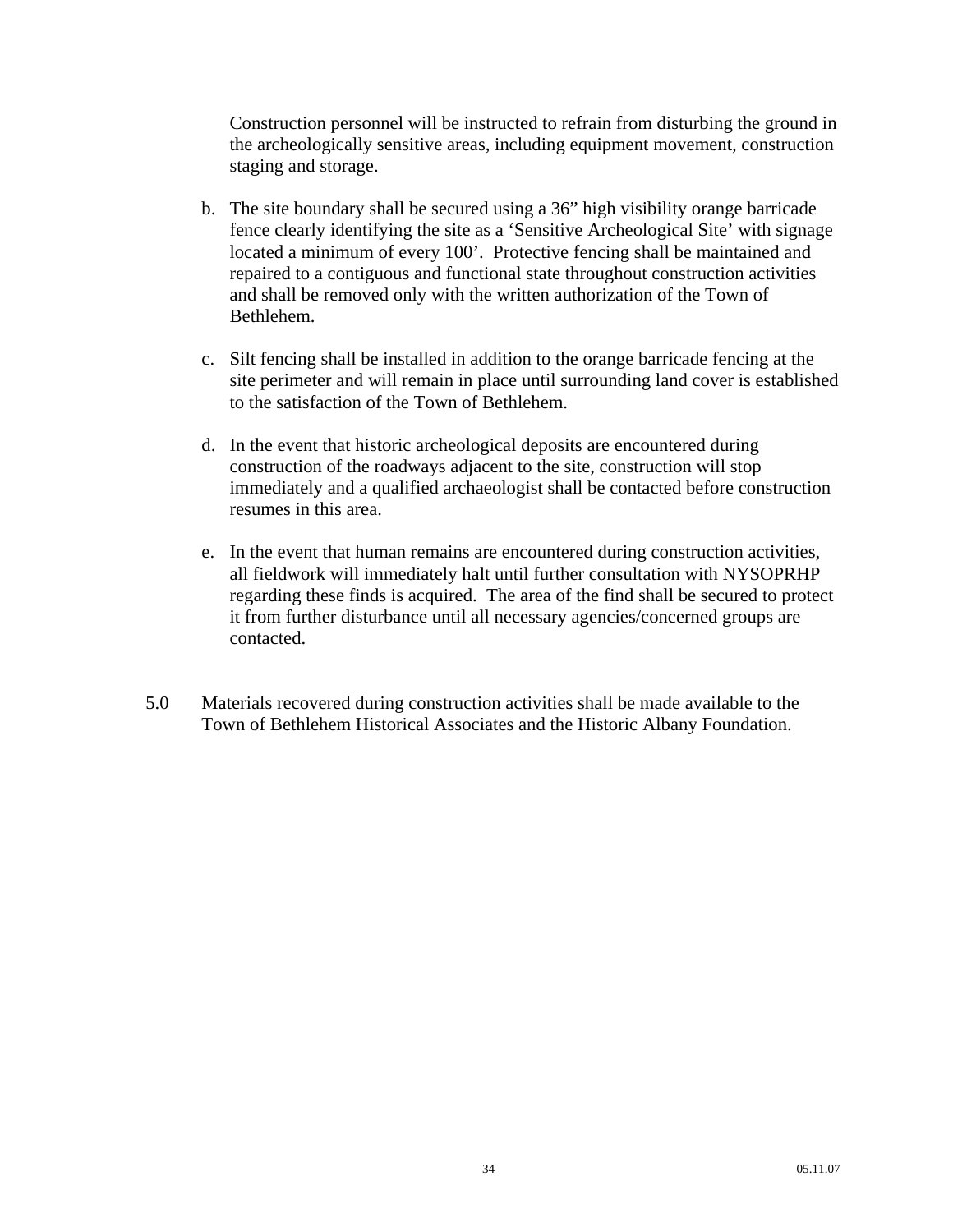Construction personnel will be instructed to refrain from disturbing the ground in the archeologically sensitive areas, including equipment movement, construction staging and storage.

- b. The site boundary shall be secured using a 36" high visibility orange barricade fence clearly identifying the site as a 'Sensitive Archeological Site' with signage located a minimum of every 100'. Protective fencing shall be maintained and repaired to a contiguous and functional state throughout construction activities and shall be removed only with the written authorization of the Town of Bethlehem.
- c. Silt fencing shall be installed in addition to the orange barricade fencing at the site perimeter and will remain in place until surrounding land cover is established to the satisfaction of the Town of Bethlehem.
- d. In the event that historic archeological deposits are encountered during construction of the roadways adjacent to the site, construction will stop immediately and a qualified archaeologist shall be contacted before construction resumes in this area.
- e. In the event that human remains are encountered during construction activities, all fieldwork will immediately halt until further consultation with NYSOPRHP regarding these finds is acquired. The area of the find shall be secured to protect it from further disturbance until all necessary agencies/concerned groups are contacted.
- 5.0 Materials recovered during construction activities shall be made available to the Town of Bethlehem Historical Associates and the Historic Albany Foundation.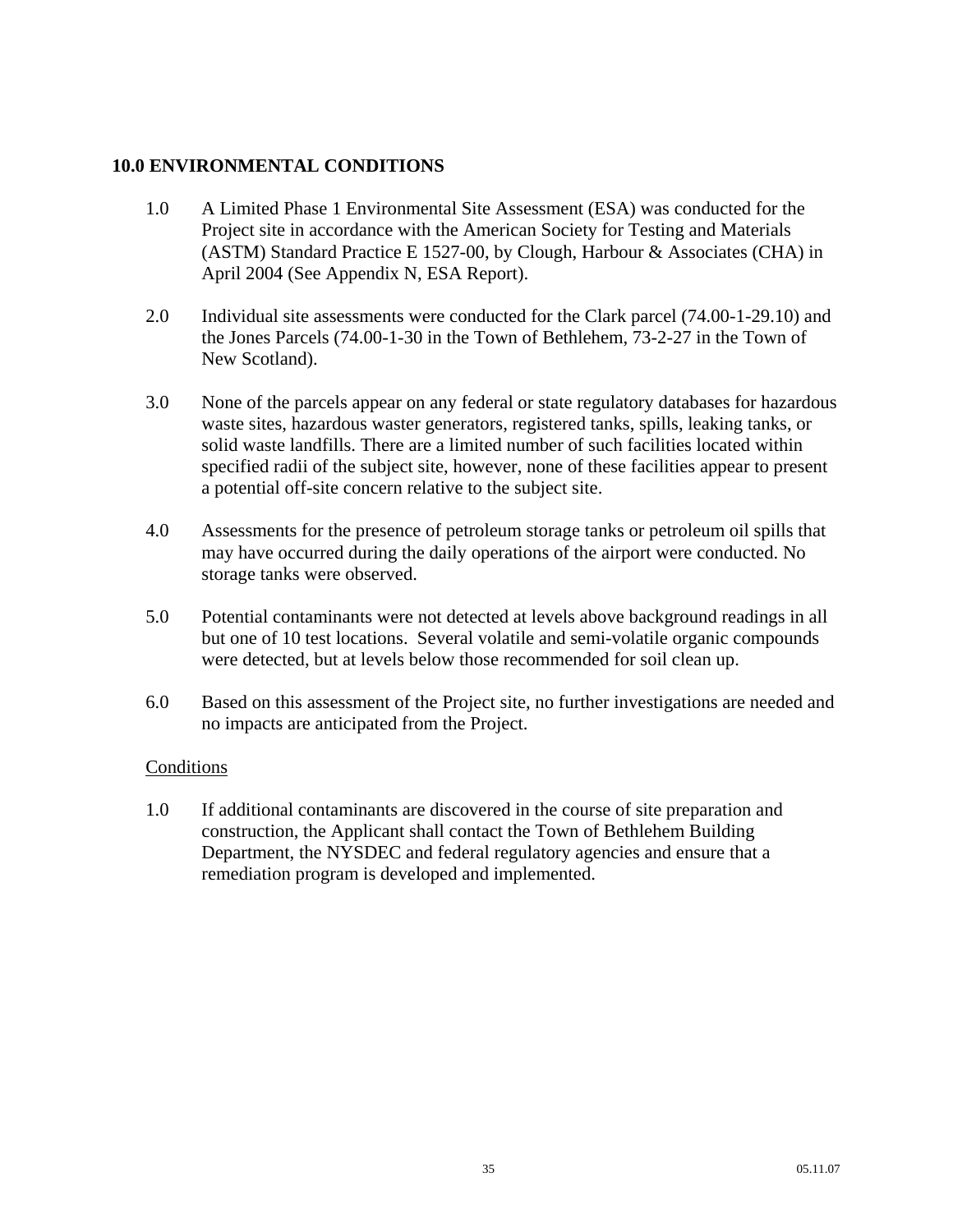## **10.0 ENVIRONMENTAL CONDITIONS**

- 1.0 A Limited Phase 1 Environmental Site Assessment (ESA) was conducted for the Project site in accordance with the American Society for Testing and Materials (ASTM) Standard Practice E 1527-00, by Clough, Harbour & Associates (CHA) in April 2004 (See Appendix N, ESA Report).
- 2.0 Individual site assessments were conducted for the Clark parcel (74.00-1-29.10) and the Jones Parcels (74.00-1-30 in the Town of Bethlehem, 73-2-27 in the Town of New Scotland).
- 3.0 None of the parcels appear on any federal or state regulatory databases for hazardous waste sites, hazardous waster generators, registered tanks, spills, leaking tanks, or solid waste landfills. There are a limited number of such facilities located within specified radii of the subject site, however, none of these facilities appear to present a potential off-site concern relative to the subject site.
- 4.0 Assessments for the presence of petroleum storage tanks or petroleum oil spills that may have occurred during the daily operations of the airport were conducted. No storage tanks were observed.
- 5.0 Potential contaminants were not detected at levels above background readings in all but one of 10 test locations. Several volatile and semi-volatile organic compounds were detected, but at levels below those recommended for soil clean up.
- 6.0 Based on this assessment of the Project site, no further investigations are needed and no impacts are anticipated from the Project.

## Conditions

1.0 If additional contaminants are discovered in the course of site preparation and construction, the Applicant shall contact the Town of Bethlehem Building Department, the NYSDEC and federal regulatory agencies and ensure that a remediation program is developed and implemented.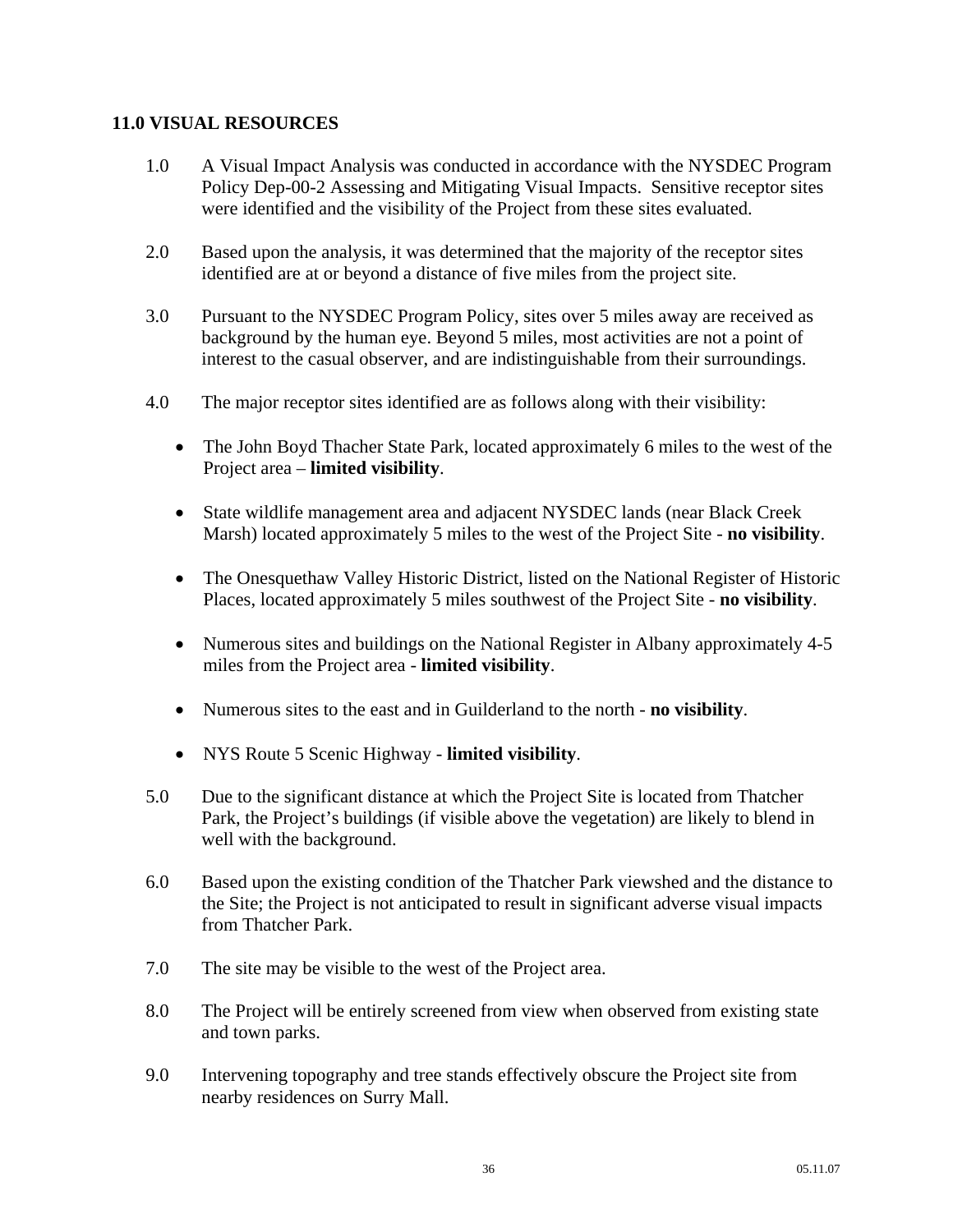### **11.0 VISUAL RESOURCES**

- 1.0 A Visual Impact Analysis was conducted in accordance with the NYSDEC Program Policy Dep-00-2 Assessing and Mitigating Visual Impacts. Sensitive receptor sites were identified and the visibility of the Project from these sites evaluated.
- 2.0 Based upon the analysis, it was determined that the majority of the receptor sites identified are at or beyond a distance of five miles from the project site.
- 3.0 Pursuant to the NYSDEC Program Policy, sites over 5 miles away are received as background by the human eye. Beyond 5 miles, most activities are not a point of interest to the casual observer, and are indistinguishable from their surroundings.
- 4.0 The major receptor sites identified are as follows along with their visibility:
	- The John Boyd Thacher State Park, located approximately 6 miles to the west of the Project area – **limited visibility**.
	- State wildlife management area and adjacent NYSDEC lands (near Black Creek Marsh) located approximately 5 miles to the west of the Project Site - **no visibility**.
	- The Onesquethaw Valley Historic District, listed on the National Register of Historic Places, located approximately 5 miles southwest of the Project Site - **no visibility**.
	- Numerous sites and buildings on the National Register in Albany approximately 4-5 miles from the Project area - **limited visibility**.
	- Numerous sites to the east and in Guilderland to the north **no visibility**.
	- NYS Route 5 Scenic Highway **limited visibility**.
- 5.0 Due to the significant distance at which the Project Site is located from Thatcher Park, the Project's buildings (if visible above the vegetation) are likely to blend in well with the background.
- 6.0 Based upon the existing condition of the Thatcher Park viewshed and the distance to the Site; the Project is not anticipated to result in significant adverse visual impacts from Thatcher Park.
- 7.0 The site may be visible to the west of the Project area.
- 8.0 The Project will be entirely screened from view when observed from existing state and town parks.
- 9.0 Intervening topography and tree stands effectively obscure the Project site from nearby residences on Surry Mall.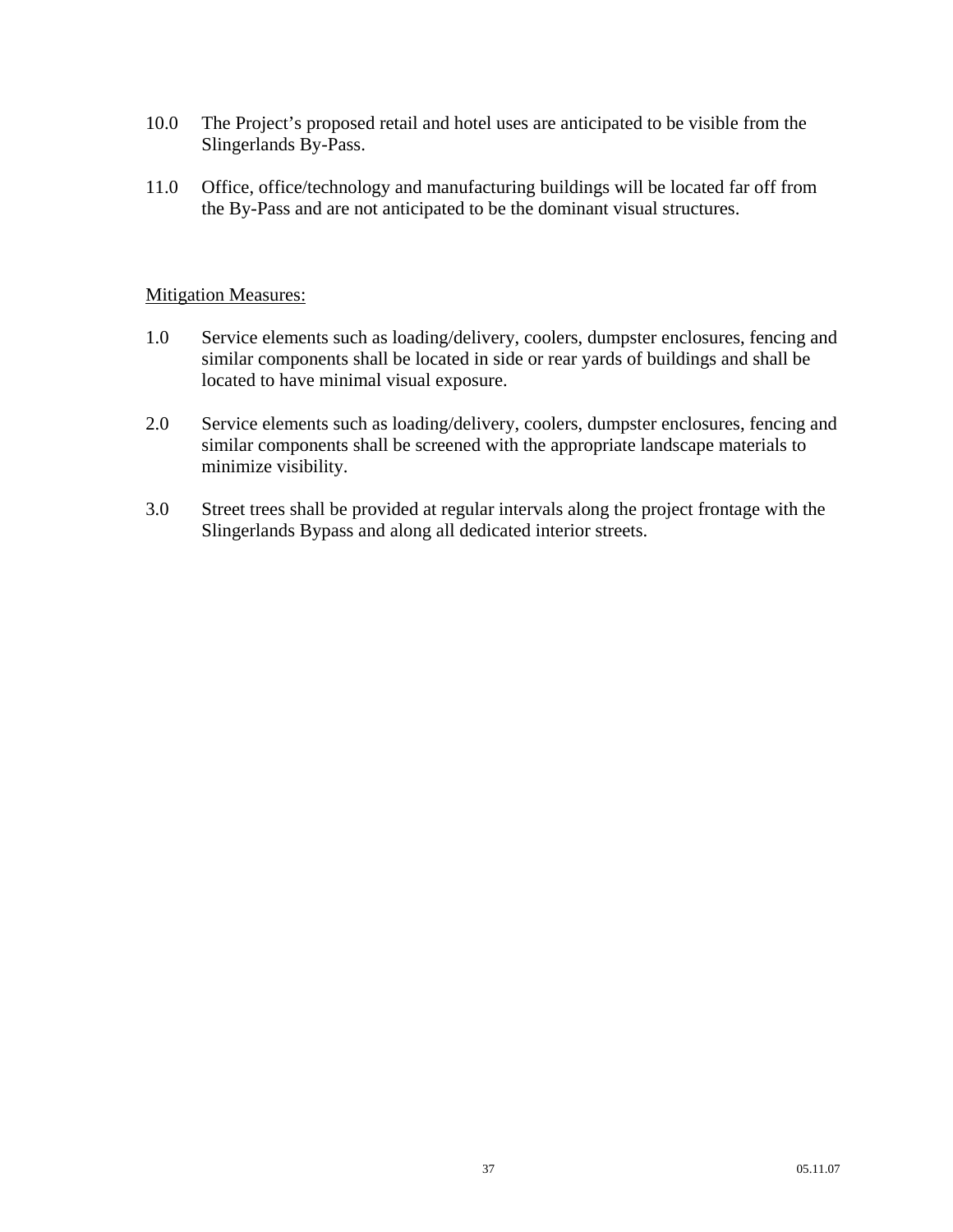- 10.0 The Project's proposed retail and hotel uses are anticipated to be visible from the Slingerlands By-Pass.
- 11.0 Office, office/technology and manufacturing buildings will be located far off from the By-Pass and are not anticipated to be the dominant visual structures.

- 1.0 Service elements such as loading/delivery, coolers, dumpster enclosures, fencing and similar components shall be located in side or rear yards of buildings and shall be located to have minimal visual exposure.
- 2.0 Service elements such as loading/delivery, coolers, dumpster enclosures, fencing and similar components shall be screened with the appropriate landscape materials to minimize visibility.
- 3.0 Street trees shall be provided at regular intervals along the project frontage with the Slingerlands Bypass and along all dedicated interior streets.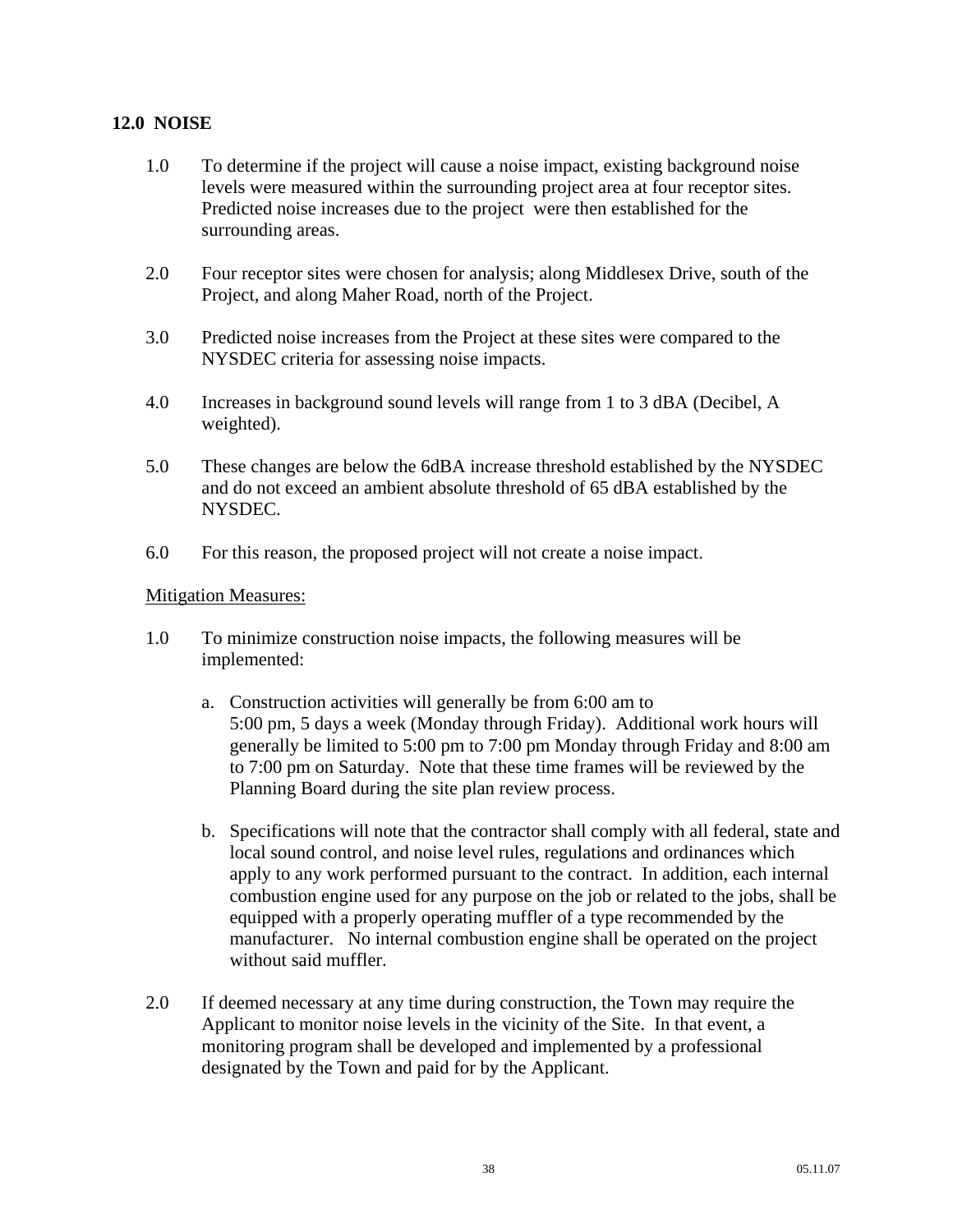### **12.0 NOISE**

- 1.0 To determine if the project will cause a noise impact, existing background noise levels were measured within the surrounding project area at four receptor sites. Predicted noise increases due to the project were then established for the surrounding areas.
- 2.0 Four receptor sites were chosen for analysis; along Middlesex Drive, south of the Project, and along Maher Road, north of the Project.
- 3.0 Predicted noise increases from the Project at these sites were compared to the NYSDEC criteria for assessing noise impacts.
- 4.0 Increases in background sound levels will range from 1 to 3 dBA (Decibel, A weighted).
- 5.0 These changes are below the 6dBA increase threshold established by the NYSDEC and do not exceed an ambient absolute threshold of 65 dBA established by the NYSDEC.
- 6.0 For this reason, the proposed project will not create a noise impact.

- 1.0 To minimize construction noise impacts, the following measures will be implemented:
	- a. Construction activities will generally be from 6:00 am to 5:00 pm, 5 days a week (Monday through Friday). Additional work hours will generally be limited to 5:00 pm to 7:00 pm Monday through Friday and 8:00 am to 7:00 pm on Saturday. Note that these time frames will be reviewed by the Planning Board during the site plan review process.
	- b. Specifications will note that the contractor shall comply with all federal, state and local sound control, and noise level rules, regulations and ordinances which apply to any work performed pursuant to the contract. In addition, each internal combustion engine used for any purpose on the job or related to the jobs, shall be equipped with a properly operating muffler of a type recommended by the manufacturer. No internal combustion engine shall be operated on the project without said muffler.
- 2.0 If deemed necessary at any time during construction, the Town may require the Applicant to monitor noise levels in the vicinity of the Site. In that event, a monitoring program shall be developed and implemented by a professional designated by the Town and paid for by the Applicant.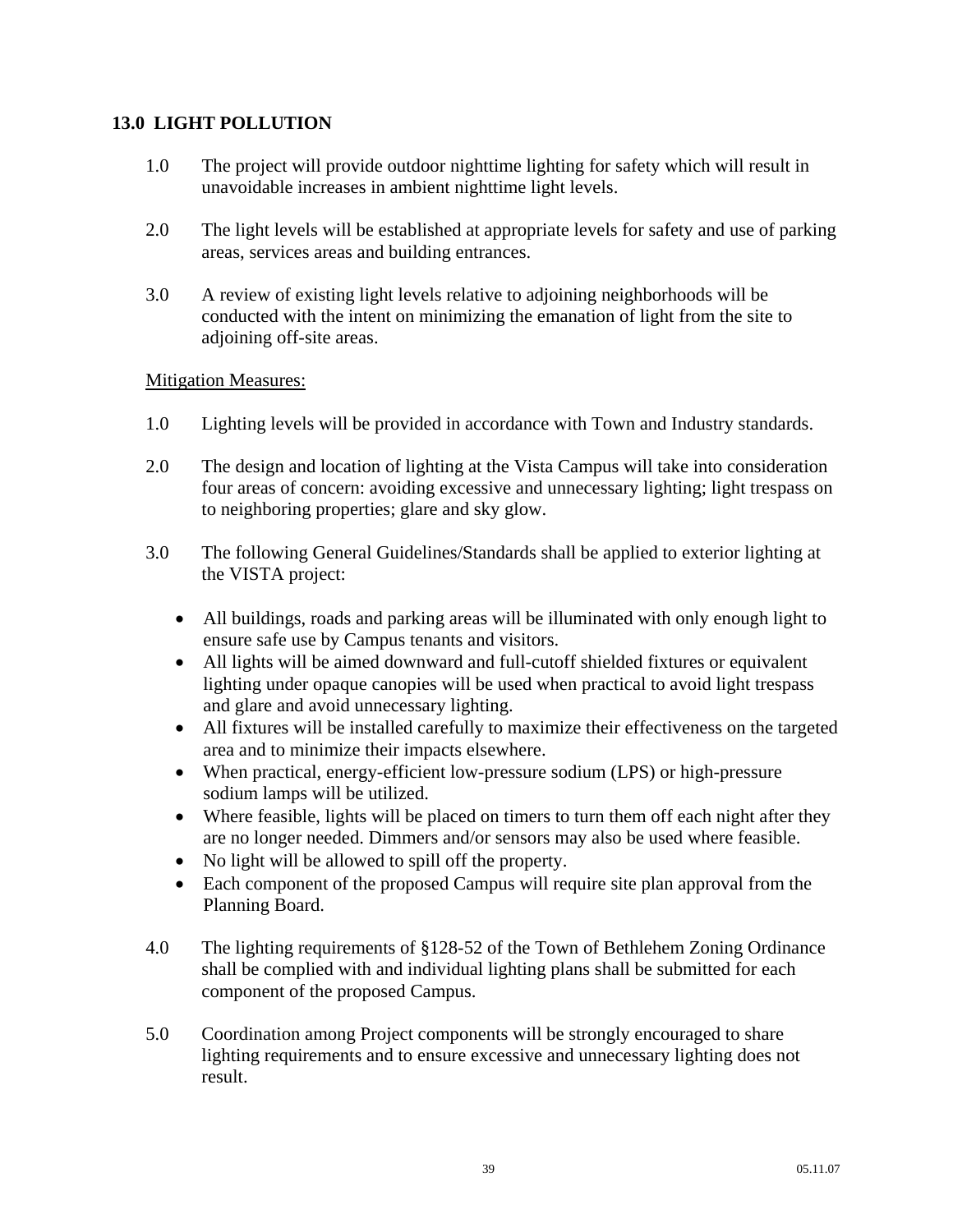# **13.0 LIGHT POLLUTION**

- 1.0 The project will provide outdoor nighttime lighting for safety which will result in unavoidable increases in ambient nighttime light levels.
- 2.0 The light levels will be established at appropriate levels for safety and use of parking areas, services areas and building entrances.
- 3.0 A review of existing light levels relative to adjoining neighborhoods will be conducted with the intent on minimizing the emanation of light from the site to adjoining off-site areas.

- 1.0 Lighting levels will be provided in accordance with Town and Industry standards.
- 2.0 The design and location of lighting at the Vista Campus will take into consideration four areas of concern: avoiding excessive and unnecessary lighting; light trespass on to neighboring properties; glare and sky glow.
- 3.0 The following General Guidelines/Standards shall be applied to exterior lighting at the VISTA project:
	- All buildings, roads and parking areas will be illuminated with only enough light to ensure safe use by Campus tenants and visitors.
	- All lights will be aimed downward and full-cutoff shielded fixtures or equivalent lighting under opaque canopies will be used when practical to avoid light trespass and glare and avoid unnecessary lighting.
	- All fixtures will be installed carefully to maximize their effectiveness on the targeted area and to minimize their impacts elsewhere.
	- When practical, energy-efficient low-pressure sodium (LPS) or high-pressure sodium lamps will be utilized.
	- Where feasible, lights will be placed on timers to turn them off each night after they are no longer needed. Dimmers and/or sensors may also be used where feasible.
	- No light will be allowed to spill off the property.
	- Each component of the proposed Campus will require site plan approval from the Planning Board.
- 4.0 The lighting requirements of §128-52 of the Town of Bethlehem Zoning Ordinance shall be complied with and individual lighting plans shall be submitted for each component of the proposed Campus.
- 5.0 Coordination among Project components will be strongly encouraged to share lighting requirements and to ensure excessive and unnecessary lighting does not result.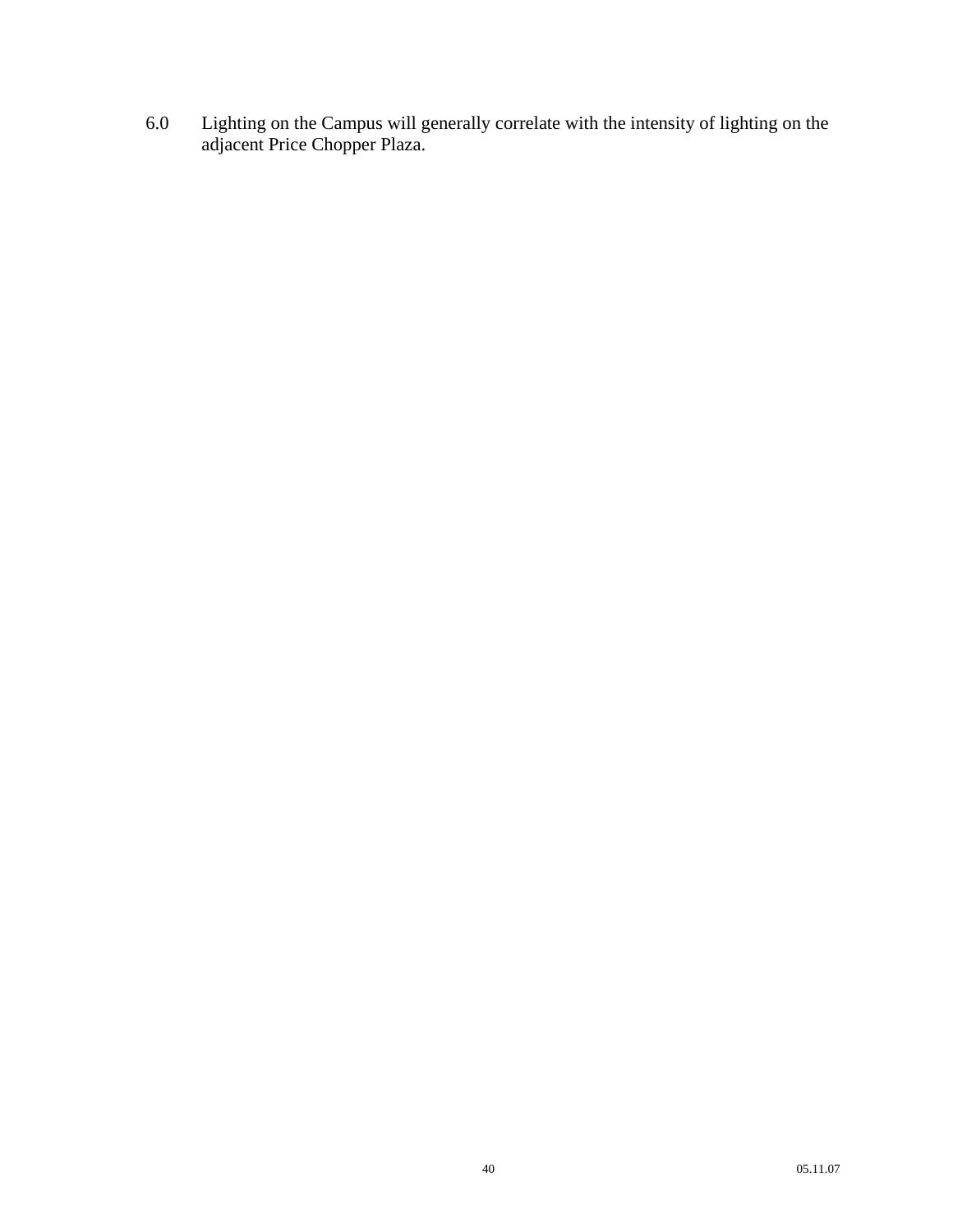6.0 Lighting on the Campus will generally correlate with the intensity of lighting on the adjacent Price Chopper Plaza.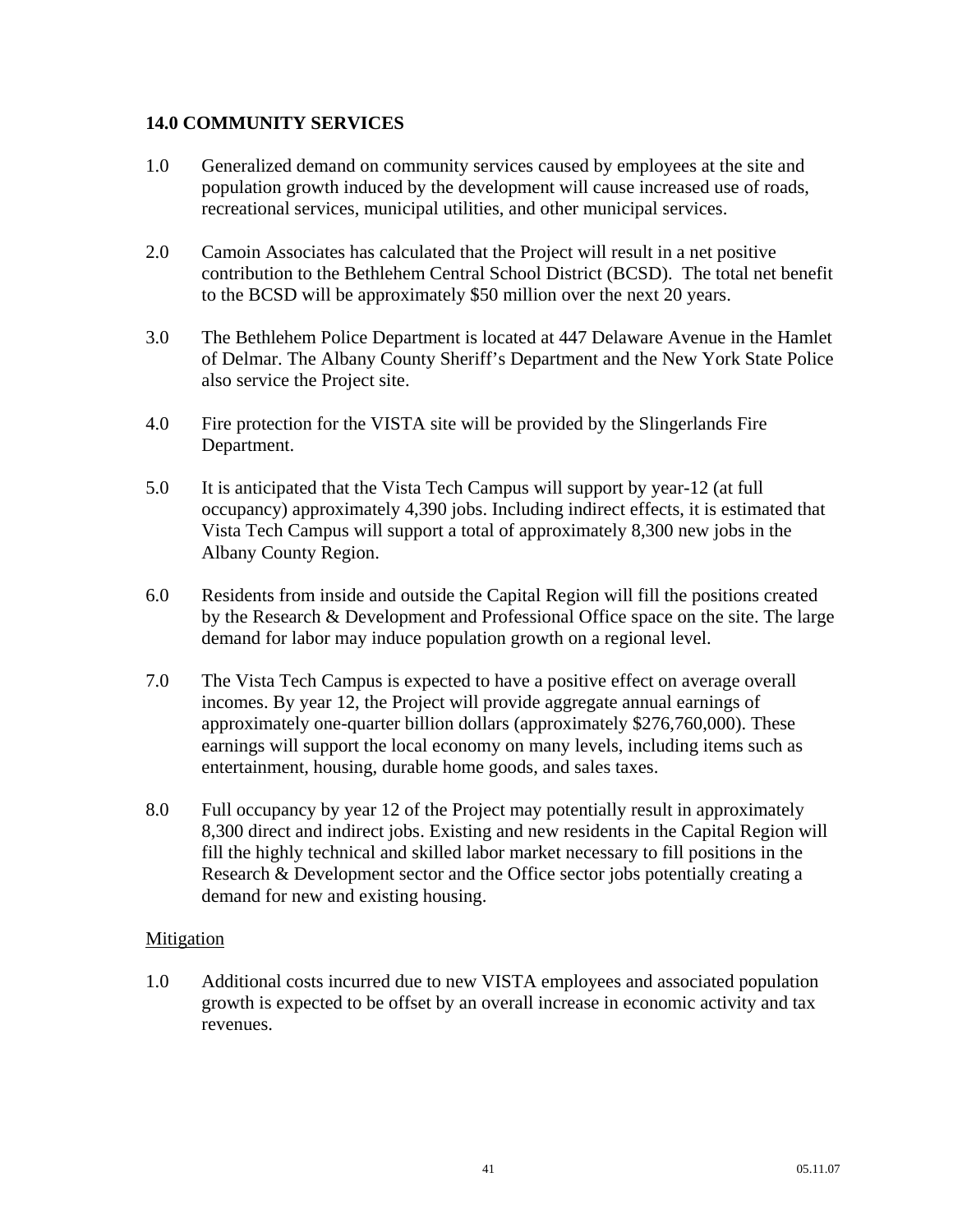### **14.0 COMMUNITY SERVICES**

- 1.0 Generalized demand on community services caused by employees at the site and population growth induced by the development will cause increased use of roads, recreational services, municipal utilities, and other municipal services.
- 2.0 Camoin Associates has calculated that the Project will result in a net positive contribution to the Bethlehem Central School District (BCSD). The total net benefit to the BCSD will be approximately \$50 million over the next 20 years.
- 3.0 The Bethlehem Police Department is located at 447 Delaware Avenue in the Hamlet of Delmar. The Albany County Sheriff's Department and the New York State Police also service the Project site.
- 4.0 Fire protection for the VISTA site will be provided by the Slingerlands Fire Department.
- 5.0 It is anticipated that the Vista Tech Campus will support by year-12 (at full occupancy) approximately 4,390 jobs. Including indirect effects, it is estimated that Vista Tech Campus will support a total of approximately 8,300 new jobs in the Albany County Region.
- 6.0 Residents from inside and outside the Capital Region will fill the positions created by the Research & Development and Professional Office space on the site. The large demand for labor may induce population growth on a regional level.
- 7.0 The Vista Tech Campus is expected to have a positive effect on average overall incomes. By year 12, the Project will provide aggregate annual earnings of approximately one-quarter billion dollars (approximately \$276,760,000). These earnings will support the local economy on many levels, including items such as entertainment, housing, durable home goods, and sales taxes.
- 8.0 Full occupancy by year 12 of the Project may potentially result in approximately 8,300 direct and indirect jobs. Existing and new residents in the Capital Region will fill the highly technical and skilled labor market necessary to fill positions in the Research & Development sector and the Office sector jobs potentially creating a demand for new and existing housing.

## **Mitigation**

1.0 Additional costs incurred due to new VISTA employees and associated population growth is expected to be offset by an overall increase in economic activity and tax revenues.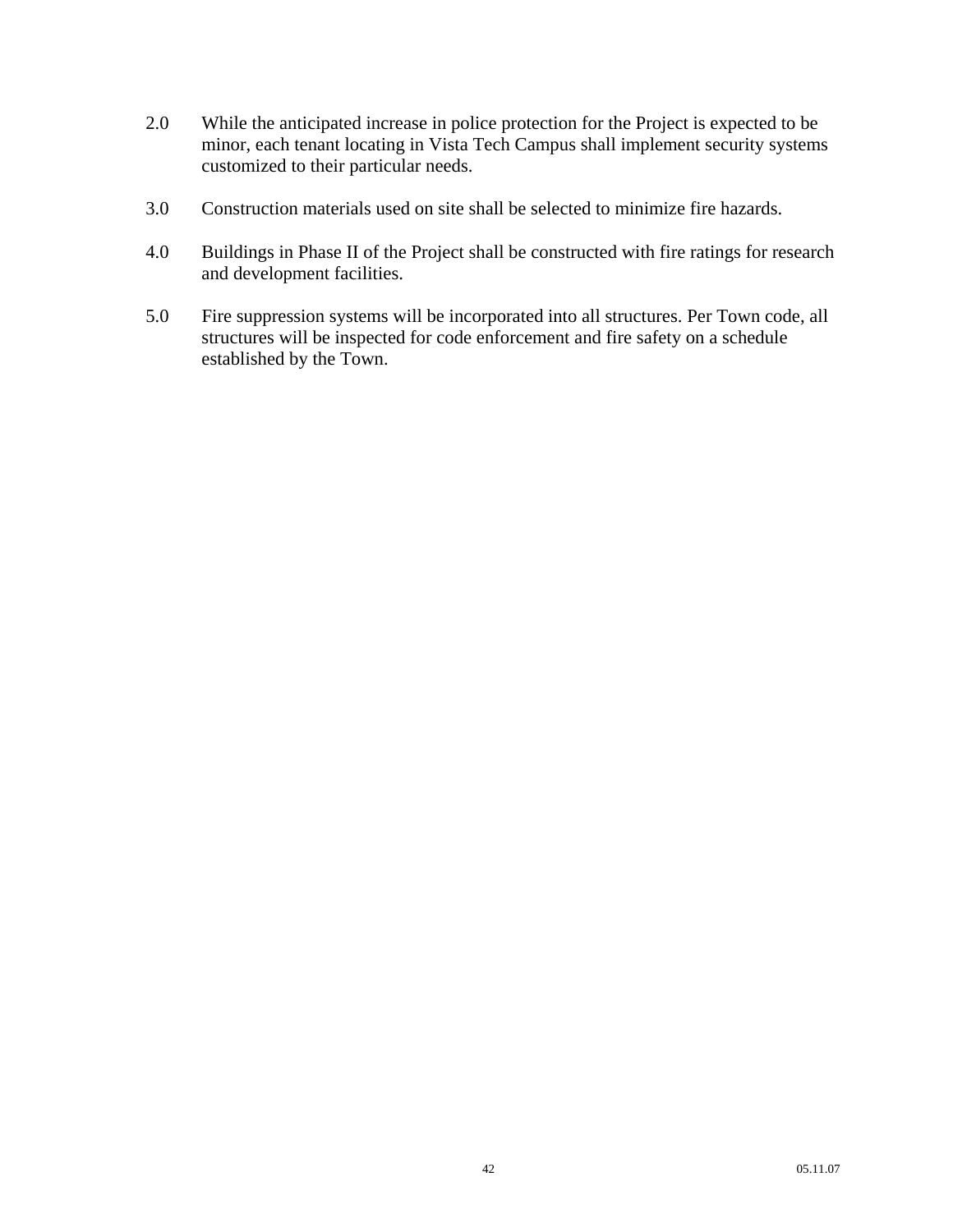- 2.0 While the anticipated increase in police protection for the Project is expected to be minor, each tenant locating in Vista Tech Campus shall implement security systems customized to their particular needs.
- 3.0 Construction materials used on site shall be selected to minimize fire hazards.
- 4.0 Buildings in Phase II of the Project shall be constructed with fire ratings for research and development facilities.
- 5.0 Fire suppression systems will be incorporated into all structures. Per Town code, all structures will be inspected for code enforcement and fire safety on a schedule established by the Town.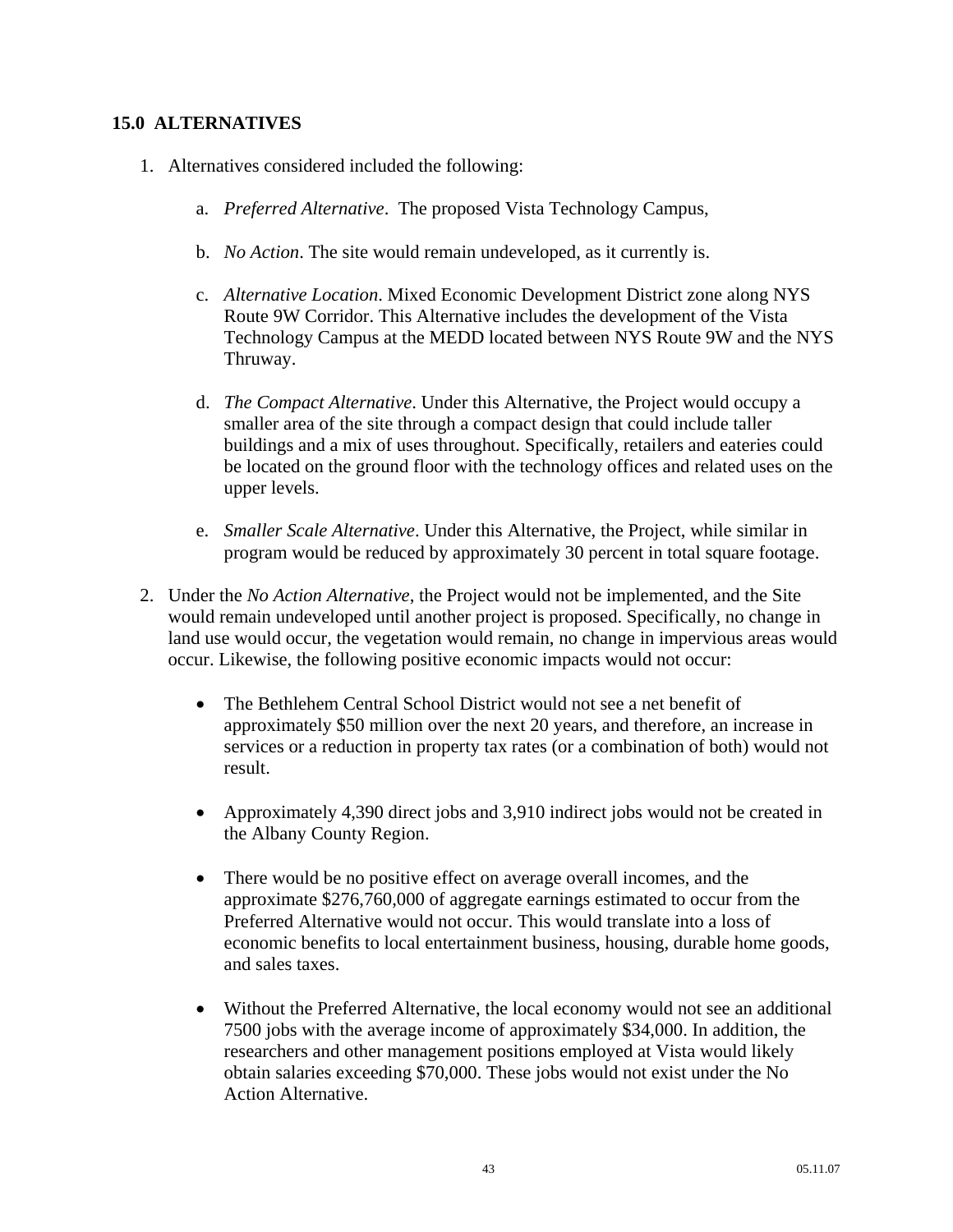### **15.0 ALTERNATIVES**

- 1. Alternatives considered included the following:
	- a. *Preferred Alternative*. The proposed Vista Technology Campus,
	- b. *No Action*. The site would remain undeveloped, as it currently is.
	- c. *Alternative Location*. Mixed Economic Development District zone along NYS Route 9W Corridor. This Alternative includes the development of the Vista Technology Campus at the MEDD located between NYS Route 9W and the NYS Thruway.
	- d. *The Compact Alternative*. Under this Alternative, the Project would occupy a smaller area of the site through a compact design that could include taller buildings and a mix of uses throughout. Specifically, retailers and eateries could be located on the ground floor with the technology offices and related uses on the upper levels.
	- e. *Smaller Scale Alternative*. Under this Alternative, the Project, while similar in program would be reduced by approximately 30 percent in total square footage.
- 2. Under the *No Action Alternative*, the Project would not be implemented, and the Site would remain undeveloped until another project is proposed. Specifically, no change in land use would occur, the vegetation would remain, no change in impervious areas would occur. Likewise, the following positive economic impacts would not occur:
	- The Bethlehem Central School District would not see a net benefit of approximately \$50 million over the next 20 years, and therefore, an increase in services or a reduction in property tax rates (or a combination of both) would not result.
	- Approximately 4,390 direct jobs and 3,910 indirect jobs would not be created in the Albany County Region.
	- There would be no positive effect on average overall incomes, and the approximate \$276,760,000 of aggregate earnings estimated to occur from the Preferred Alternative would not occur. This would translate into a loss of economic benefits to local entertainment business, housing, durable home goods, and sales taxes.
	- Without the Preferred Alternative, the local economy would not see an additional 7500 jobs with the average income of approximately \$34,000. In addition, the researchers and other management positions employed at Vista would likely obtain salaries exceeding \$70,000. These jobs would not exist under the No Action Alternative.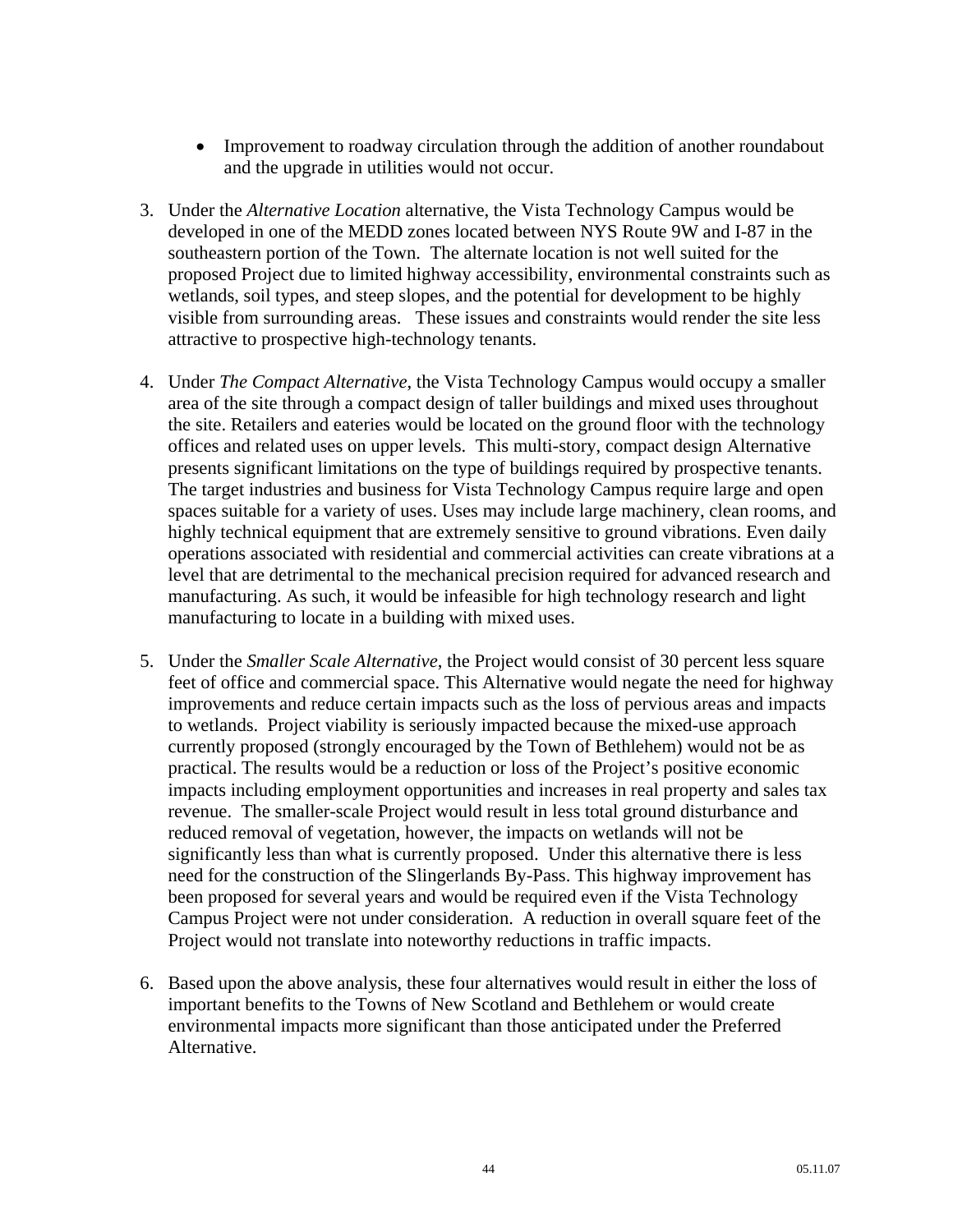- Improvement to roadway circulation through the addition of another roundabout and the upgrade in utilities would not occur.
- 3. Under the *Alternative Location* alternative, the Vista Technology Campus would be developed in one of the MEDD zones located between NYS Route 9W and I-87 in the southeastern portion of the Town. The alternate location is not well suited for the proposed Project due to limited highway accessibility, environmental constraints such as wetlands, soil types, and steep slopes, and the potential for development to be highly visible from surrounding areas. These issues and constraints would render the site less attractive to prospective high-technology tenants.
- 4. Under *The Compact Alternative*, the Vista Technology Campus would occupy a smaller area of the site through a compact design of taller buildings and mixed uses throughout the site. Retailers and eateries would be located on the ground floor with the technology offices and related uses on upper levels. This multi-story, compact design Alternative presents significant limitations on the type of buildings required by prospective tenants. The target industries and business for Vista Technology Campus require large and open spaces suitable for a variety of uses. Uses may include large machinery, clean rooms, and highly technical equipment that are extremely sensitive to ground vibrations. Even daily operations associated with residential and commercial activities can create vibrations at a level that are detrimental to the mechanical precision required for advanced research and manufacturing. As such, it would be infeasible for high technology research and light manufacturing to locate in a building with mixed uses.
- 5. Under the *Smaller Scale Alternative*, the Project would consist of 30 percent less square feet of office and commercial space. This Alternative would negate the need for highway improvements and reduce certain impacts such as the loss of pervious areas and impacts to wetlands. Project viability is seriously impacted because the mixed-use approach currently proposed (strongly encouraged by the Town of Bethlehem) would not be as practical. The results would be a reduction or loss of the Project's positive economic impacts including employment opportunities and increases in real property and sales tax revenue. The smaller-scale Project would result in less total ground disturbance and reduced removal of vegetation, however, the impacts on wetlands will not be significantly less than what is currently proposed. Under this alternative there is less need for the construction of the Slingerlands By-Pass. This highway improvement has been proposed for several years and would be required even if the Vista Technology Campus Project were not under consideration. A reduction in overall square feet of the Project would not translate into noteworthy reductions in traffic impacts.
- 6. Based upon the above analysis, these four alternatives would result in either the loss of important benefits to the Towns of New Scotland and Bethlehem or would create environmental impacts more significant than those anticipated under the Preferred Alternative.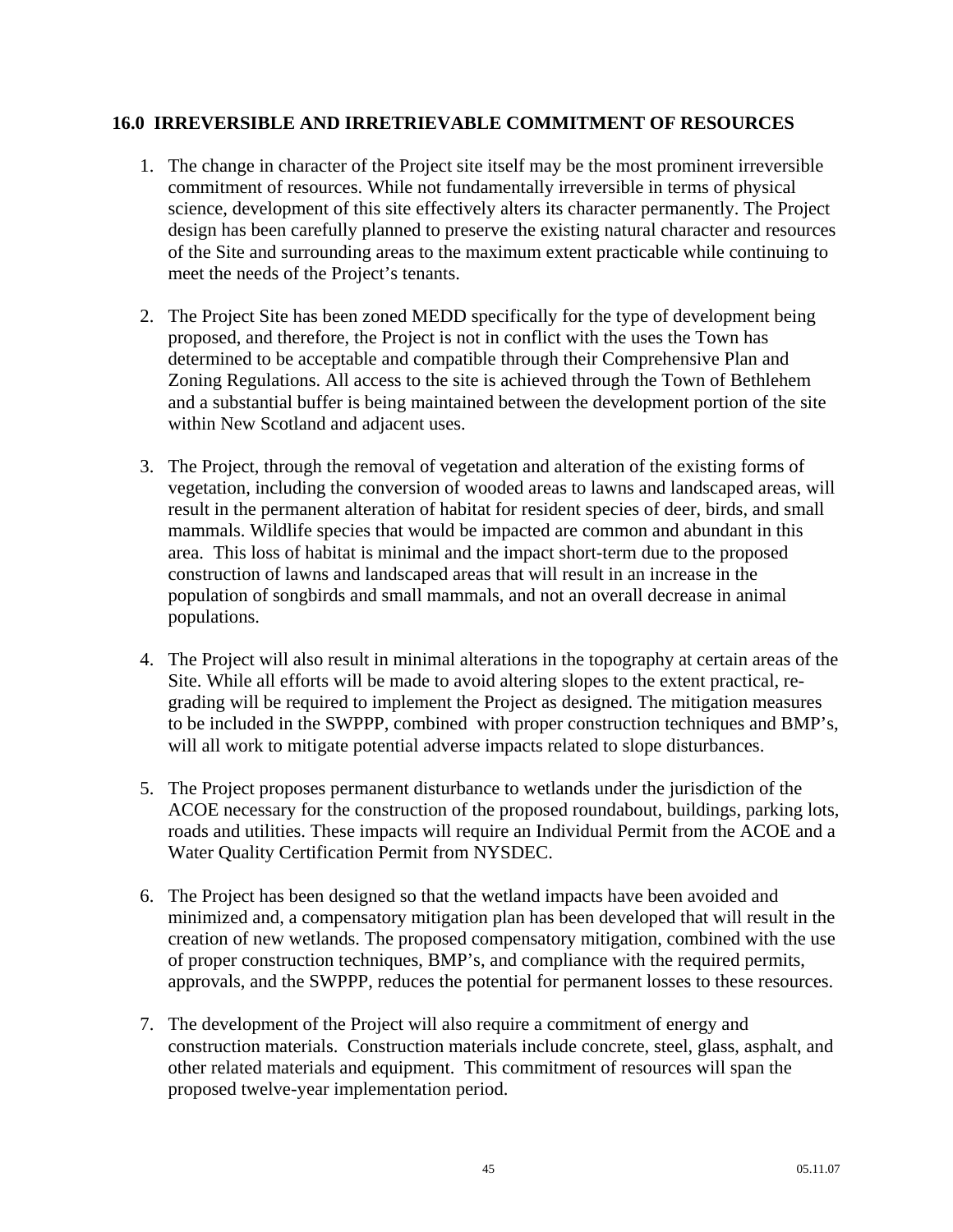### **16.0 IRREVERSIBLE AND IRRETRIEVABLE COMMITMENT OF RESOURCES**

- 1. The change in character of the Project site itself may be the most prominent irreversible commitment of resources. While not fundamentally irreversible in terms of physical science, development of this site effectively alters its character permanently. The Project design has been carefully planned to preserve the existing natural character and resources of the Site and surrounding areas to the maximum extent practicable while continuing to meet the needs of the Project's tenants.
- 2. The Project Site has been zoned MEDD specifically for the type of development being proposed, and therefore, the Project is not in conflict with the uses the Town has determined to be acceptable and compatible through their Comprehensive Plan and Zoning Regulations. All access to the site is achieved through the Town of Bethlehem and a substantial buffer is being maintained between the development portion of the site within New Scotland and adjacent uses.
- 3. The Project, through the removal of vegetation and alteration of the existing forms of vegetation, including the conversion of wooded areas to lawns and landscaped areas, will result in the permanent alteration of habitat for resident species of deer, birds, and small mammals. Wildlife species that would be impacted are common and abundant in this area. This loss of habitat is minimal and the impact short-term due to the proposed construction of lawns and landscaped areas that will result in an increase in the population of songbirds and small mammals, and not an overall decrease in animal populations.
- 4. The Project will also result in minimal alterations in the topography at certain areas of the Site. While all efforts will be made to avoid altering slopes to the extent practical, regrading will be required to implement the Project as designed. The mitigation measures to be included in the SWPPP, combined with proper construction techniques and BMP's, will all work to mitigate potential adverse impacts related to slope disturbances.
- 5. The Project proposes permanent disturbance to wetlands under the jurisdiction of the ACOE necessary for the construction of the proposed roundabout, buildings, parking lots, roads and utilities. These impacts will require an Individual Permit from the ACOE and a Water Quality Certification Permit from NYSDEC.
- 6. The Project has been designed so that the wetland impacts have been avoided and minimized and, a compensatory mitigation plan has been developed that will result in the creation of new wetlands. The proposed compensatory mitigation, combined with the use of proper construction techniques, BMP's, and compliance with the required permits, approvals, and the SWPPP, reduces the potential for permanent losses to these resources.
- 7. The development of the Project will also require a commitment of energy and construction materials. Construction materials include concrete, steel, glass, asphalt, and other related materials and equipment. This commitment of resources will span the proposed twelve-year implementation period.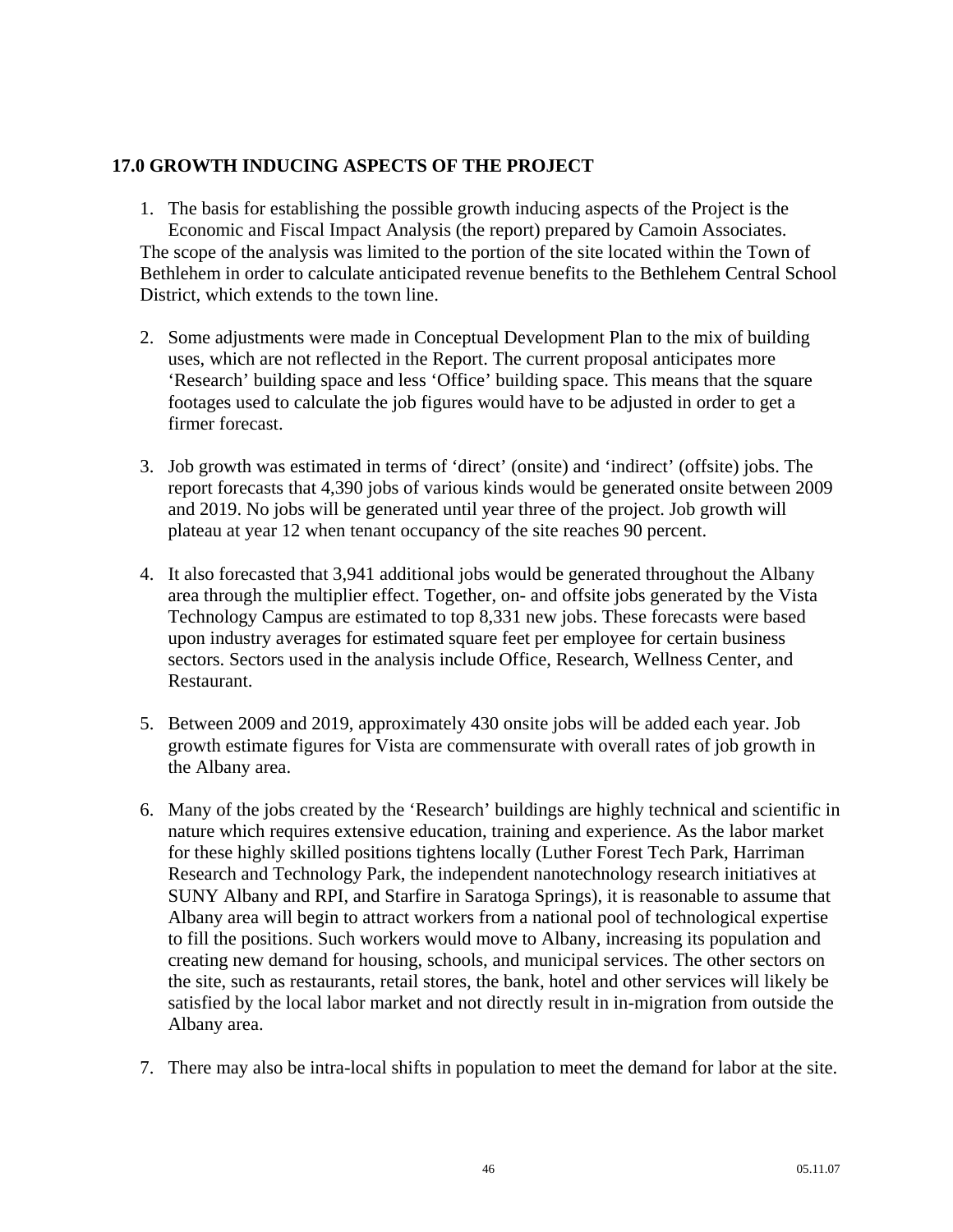# **17.0 GROWTH INDUCING ASPECTS OF THE PROJECT**

- 1. The basis for establishing the possible growth inducing aspects of the Project is the Economic and Fiscal Impact Analysis (the report) prepared by Camoin Associates. The scope of the analysis was limited to the portion of the site located within the Town of Bethlehem in order to calculate anticipated revenue benefits to the Bethlehem Central School District, which extends to the town line.
- 2. Some adjustments were made in Conceptual Development Plan to the mix of building uses, which are not reflected in the Report. The current proposal anticipates more 'Research' building space and less 'Office' building space. This means that the square footages used to calculate the job figures would have to be adjusted in order to get a firmer forecast.
- 3. Job growth was estimated in terms of 'direct' (onsite) and 'indirect' (offsite) jobs. The report forecasts that 4,390 jobs of various kinds would be generated onsite between 2009 and 2019. No jobs will be generated until year three of the project. Job growth will plateau at year 12 when tenant occupancy of the site reaches 90 percent.
- 4. It also forecasted that 3,941 additional jobs would be generated throughout the Albany area through the multiplier effect. Together, on- and offsite jobs generated by the Vista Technology Campus are estimated to top 8,331 new jobs. These forecasts were based upon industry averages for estimated square feet per employee for certain business sectors. Sectors used in the analysis include Office, Research, Wellness Center, and Restaurant.
- 5. Between 2009 and 2019, approximately 430 onsite jobs will be added each year. Job growth estimate figures for Vista are commensurate with overall rates of job growth in the Albany area.
- 6. Many of the jobs created by the 'Research' buildings are highly technical and scientific in nature which requires extensive education, training and experience. As the labor market for these highly skilled positions tightens locally (Luther Forest Tech Park, Harriman Research and Technology Park, the independent nanotechnology research initiatives at SUNY Albany and RPI, and Starfire in Saratoga Springs), it is reasonable to assume that Albany area will begin to attract workers from a national pool of technological expertise to fill the positions. Such workers would move to Albany, increasing its population and creating new demand for housing, schools, and municipal services. The other sectors on the site, such as restaurants, retail stores, the bank, hotel and other services will likely be satisfied by the local labor market and not directly result in in-migration from outside the Albany area.
- 7. There may also be intra-local shifts in population to meet the demand for labor at the site.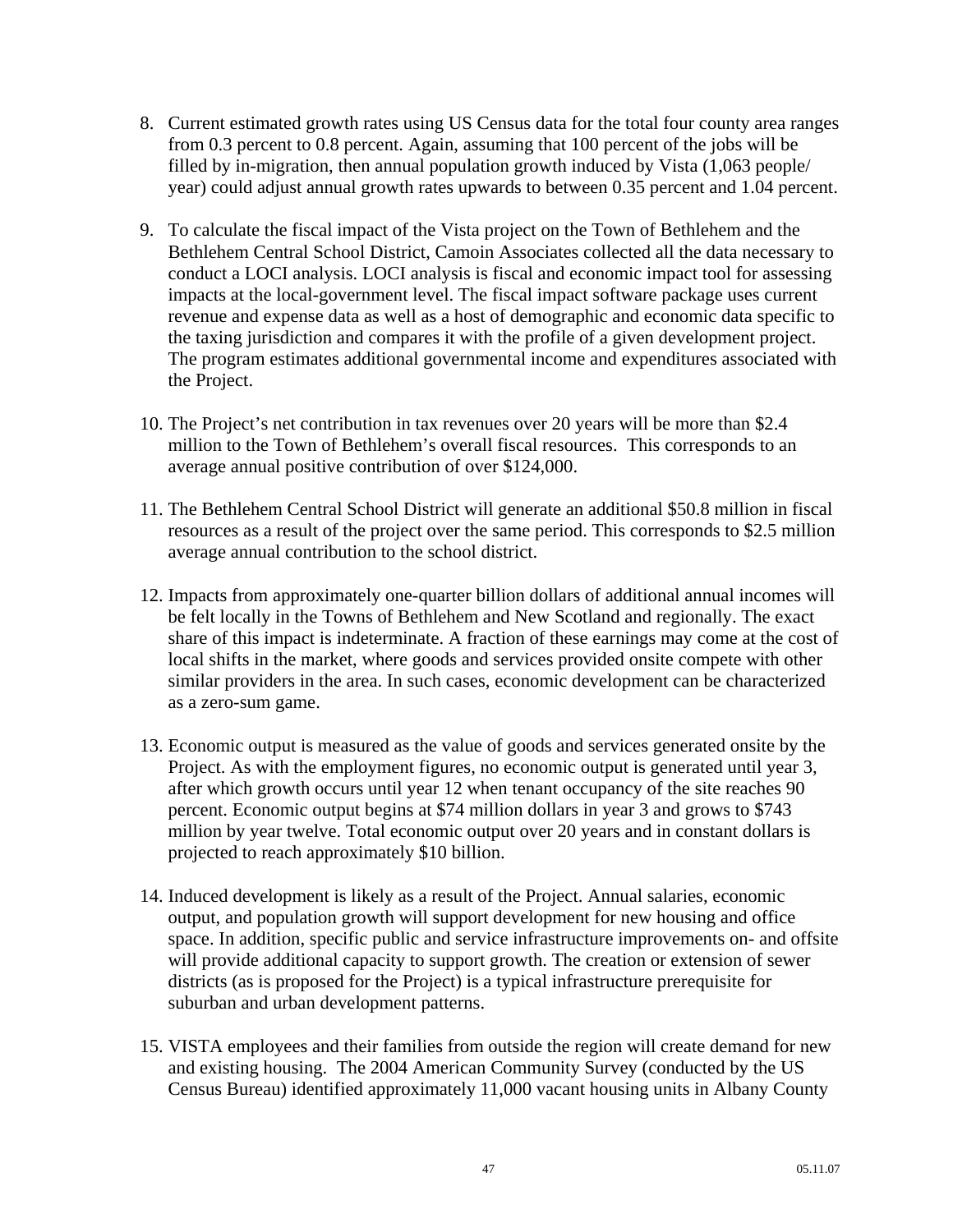- 8. Current estimated growth rates using US Census data for the total four county area ranges from 0.3 percent to 0.8 percent. Again, assuming that 100 percent of the jobs will be filled by in-migration, then annual population growth induced by Vista (1,063 people/ year) could adjust annual growth rates upwards to between 0.35 percent and 1.04 percent.
- 9. To calculate the fiscal impact of the Vista project on the Town of Bethlehem and the Bethlehem Central School District, Camoin Associates collected all the data necessary to conduct a LOCI analysis. LOCI analysis is fiscal and economic impact tool for assessing impacts at the local-government level. The fiscal impact software package uses current revenue and expense data as well as a host of demographic and economic data specific to the taxing jurisdiction and compares it with the profile of a given development project. The program estimates additional governmental income and expenditures associated with the Project.
- 10. The Project's net contribution in tax revenues over 20 years will be more than \$2.4 million to the Town of Bethlehem's overall fiscal resources. This corresponds to an average annual positive contribution of over \$124,000.
- 11. The Bethlehem Central School District will generate an additional \$50.8 million in fiscal resources as a result of the project over the same period. This corresponds to \$2.5 million average annual contribution to the school district.
- 12. Impacts from approximately one-quarter billion dollars of additional annual incomes will be felt locally in the Towns of Bethlehem and New Scotland and regionally. The exact share of this impact is indeterminate. A fraction of these earnings may come at the cost of local shifts in the market, where goods and services provided onsite compete with other similar providers in the area. In such cases, economic development can be characterized as a zero-sum game.
- 13. Economic output is measured as the value of goods and services generated onsite by the Project. As with the employment figures, no economic output is generated until year 3, after which growth occurs until year 12 when tenant occupancy of the site reaches 90 percent. Economic output begins at \$74 million dollars in year 3 and grows to \$743 million by year twelve. Total economic output over 20 years and in constant dollars is projected to reach approximately \$10 billion.
- 14. Induced development is likely as a result of the Project. Annual salaries, economic output, and population growth will support development for new housing and office space. In addition, specific public and service infrastructure improvements on- and offsite will provide additional capacity to support growth. The creation or extension of sewer districts (as is proposed for the Project) is a typical infrastructure prerequisite for suburban and urban development patterns.
- 15. VISTA employees and their families from outside the region will create demand for new and existing housing. The 2004 American Community Survey (conducted by the US Census Bureau) identified approximately 11,000 vacant housing units in Albany County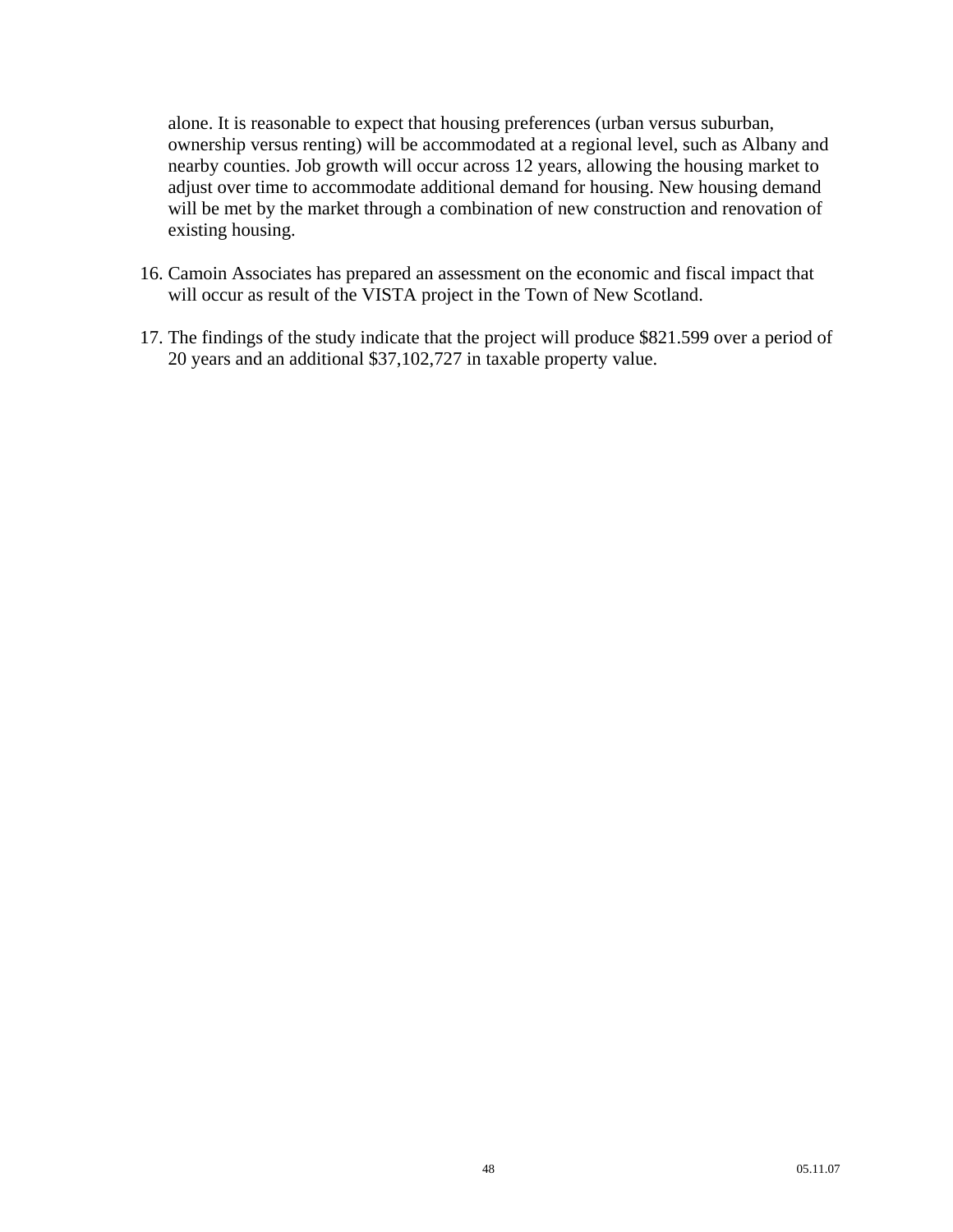alone. It is reasonable to expect that housing preferences (urban versus suburban, ownership versus renting) will be accommodated at a regional level, such as Albany and nearby counties. Job growth will occur across 12 years, allowing the housing market to adjust over time to accommodate additional demand for housing. New housing demand will be met by the market through a combination of new construction and renovation of existing housing.

- 16. Camoin Associates has prepared an assessment on the economic and fiscal impact that will occur as result of the VISTA project in the Town of New Scotland.
- 17. The findings of the study indicate that the project will produce \$821.599 over a period of 20 years and an additional \$37,102,727 in taxable property value.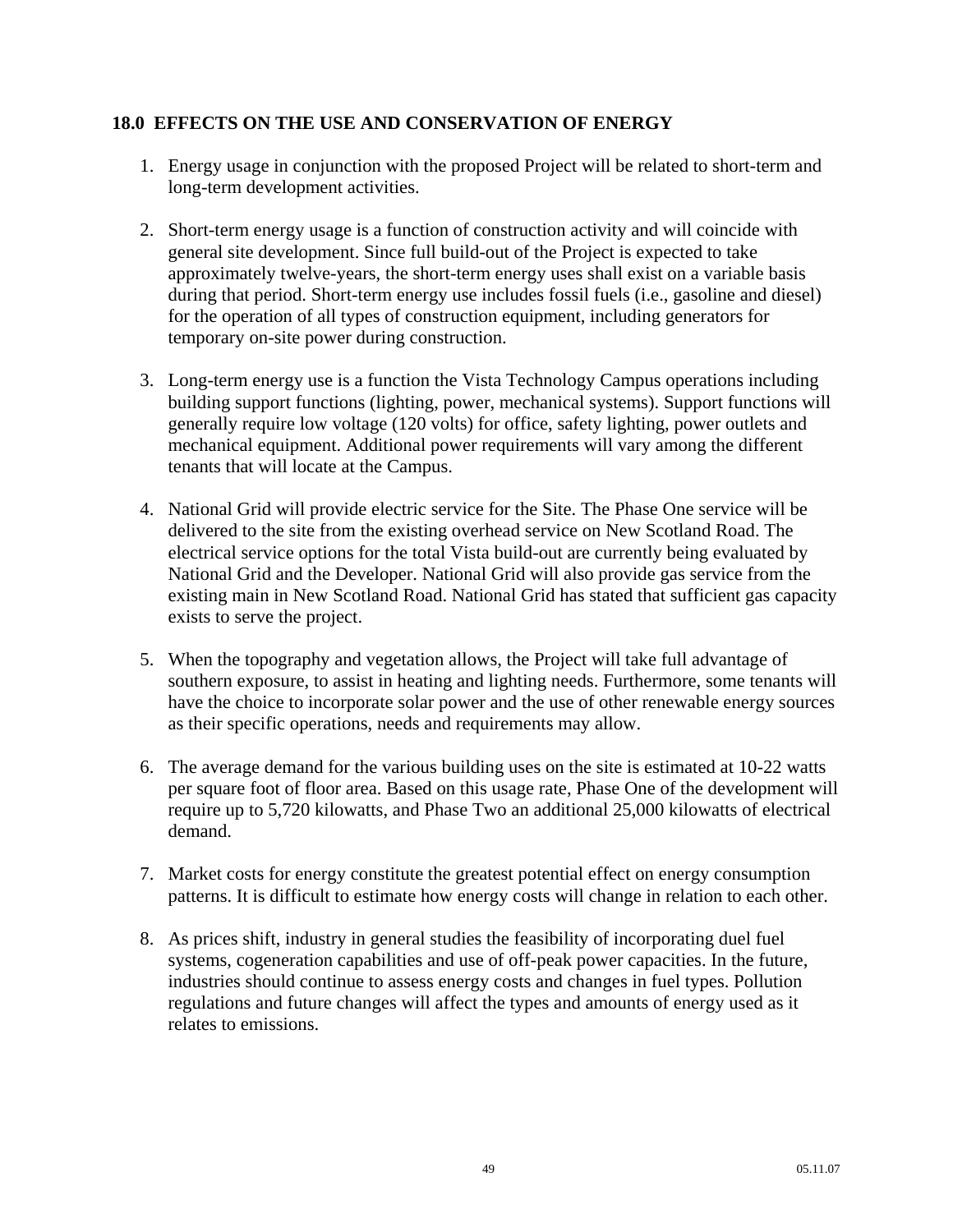### **18.0 EFFECTS ON THE USE AND CONSERVATION OF ENERGY**

- 1. Energy usage in conjunction with the proposed Project will be related to short-term and long-term development activities.
- 2. Short-term energy usage is a function of construction activity and will coincide with general site development. Since full build-out of the Project is expected to take approximately twelve-years, the short-term energy uses shall exist on a variable basis during that period. Short-term energy use includes fossil fuels (i.e., gasoline and diesel) for the operation of all types of construction equipment, including generators for temporary on-site power during construction.
- 3. Long-term energy use is a function the Vista Technology Campus operations including building support functions (lighting, power, mechanical systems). Support functions will generally require low voltage (120 volts) for office, safety lighting, power outlets and mechanical equipment. Additional power requirements will vary among the different tenants that will locate at the Campus.
- 4. National Grid will provide electric service for the Site. The Phase One service will be delivered to the site from the existing overhead service on New Scotland Road. The electrical service options for the total Vista build-out are currently being evaluated by National Grid and the Developer. National Grid will also provide gas service from the existing main in New Scotland Road. National Grid has stated that sufficient gas capacity exists to serve the project.
- 5. When the topography and vegetation allows, the Project will take full advantage of southern exposure, to assist in heating and lighting needs. Furthermore, some tenants will have the choice to incorporate solar power and the use of other renewable energy sources as their specific operations, needs and requirements may allow.
- 6. The average demand for the various building uses on the site is estimated at 10-22 watts per square foot of floor area. Based on this usage rate, Phase One of the development will require up to 5,720 kilowatts, and Phase Two an additional 25,000 kilowatts of electrical demand.
- 7. Market costs for energy constitute the greatest potential effect on energy consumption patterns. It is difficult to estimate how energy costs will change in relation to each other.
- 8. As prices shift, industry in general studies the feasibility of incorporating duel fuel systems, cogeneration capabilities and use of off-peak power capacities. In the future, industries should continue to assess energy costs and changes in fuel types. Pollution regulations and future changes will affect the types and amounts of energy used as it relates to emissions.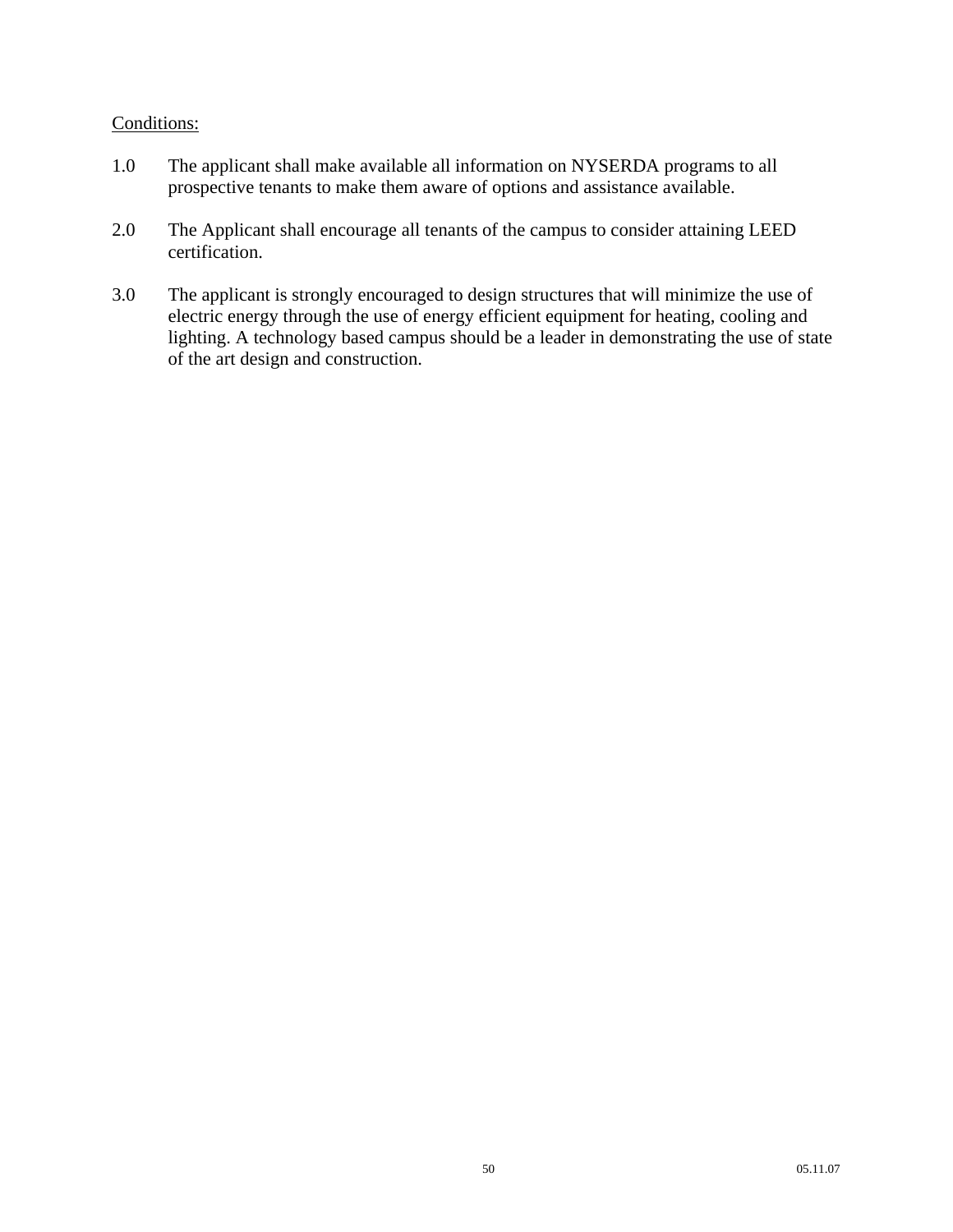### Conditions:

- 1.0 The applicant shall make available all information on NYSERDA programs to all prospective tenants to make them aware of options and assistance available.
- 2.0 The Applicant shall encourage all tenants of the campus to consider attaining LEED certification.
- 3.0 The applicant is strongly encouraged to design structures that will minimize the use of electric energy through the use of energy efficient equipment for heating, cooling and lighting. A technology based campus should be a leader in demonstrating the use of state of the art design and construction.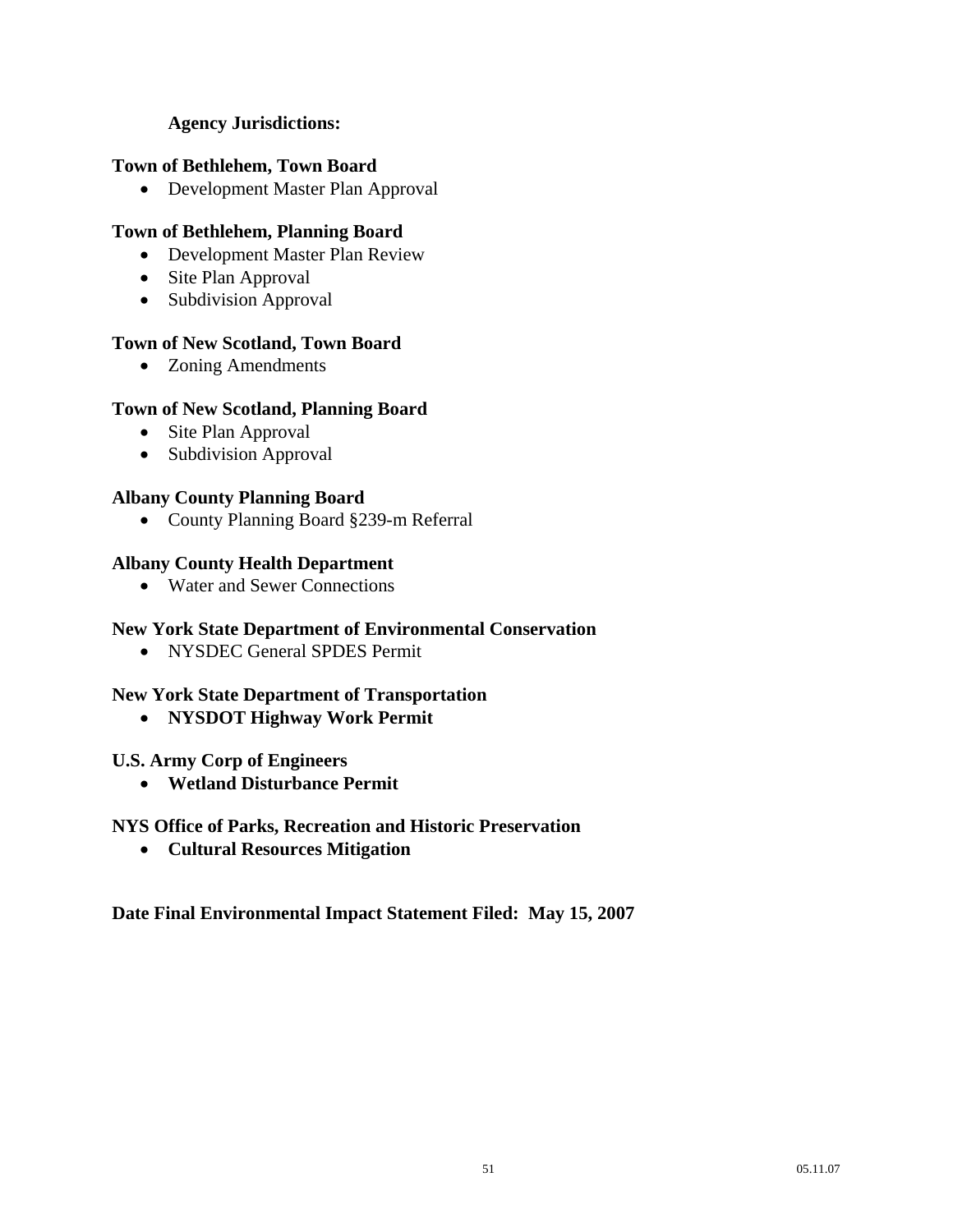### **Agency Jurisdictions:**

#### **Town of Bethlehem, Town Board**

• Development Master Plan Approval

#### **Town of Bethlehem, Planning Board**

- Development Master Plan Review
- Site Plan Approval
- Subdivision Approval

#### **Town of New Scotland, Town Board**

• Zoning Amendments

#### **Town of New Scotland, Planning Board**

- Site Plan Approval
- Subdivision Approval

#### **Albany County Planning Board**

• County Planning Board §239-m Referral

#### **Albany County Health Department**

• Water and Sewer Connections

#### **New York State Department of Environmental Conservation**

• NYSDEC General SPDES Permit

#### **New York State Department of Transportation**

• **NYSDOT Highway Work Permit** 

#### **U.S. Army Corp of Engineers**

• **Wetland Disturbance Permit** 

#### **NYS Office of Parks, Recreation and Historic Preservation**

• **Cultural Resources Mitigation** 

**Date Final Environmental Impact Statement Filed: May 15, 2007**